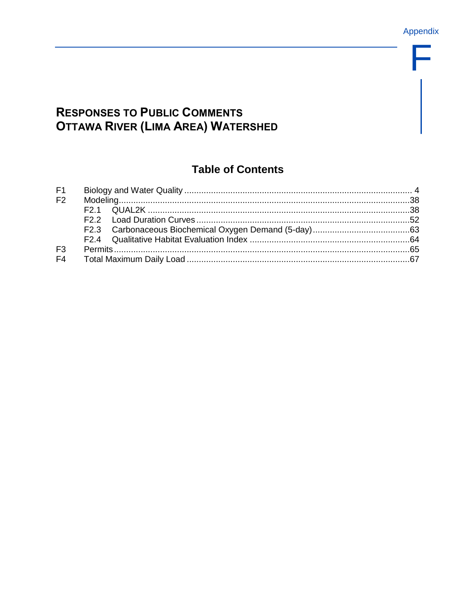F

# **RESPONSES TO PUBLIC COMMENTS OTTAWA RIVER (LIMA AREA) WATERSHED**

# **Table of Contents**

| F <sub>2</sub> |  |  |  |  |  |  |  |
|----------------|--|--|--|--|--|--|--|
|                |  |  |  |  |  |  |  |
|                |  |  |  |  |  |  |  |
|                |  |  |  |  |  |  |  |
|                |  |  |  |  |  |  |  |
| F <sub>3</sub> |  |  |  |  |  |  |  |
| F <sub>4</sub> |  |  |  |  |  |  |  |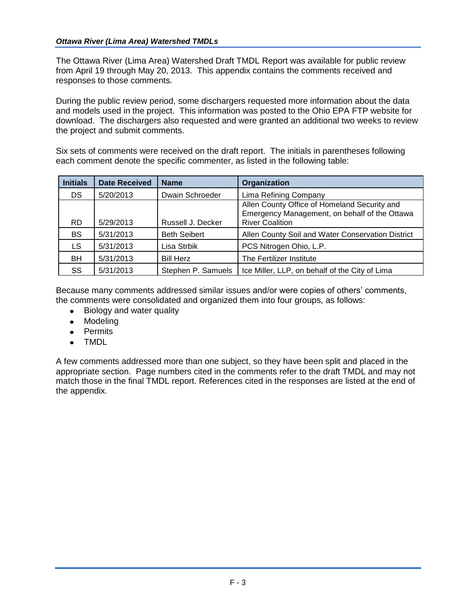The Ottawa River (Lima Area) Watershed Draft TMDL Report was available for public review from April 19 through May 20, 2013. This appendix contains the comments received and responses to those comments.

During the public review period, some dischargers requested more information about the data and models used in the project. This information was posted to the Ohio EPA FTP website for download. The dischargers also requested and were granted an additional two weeks to review the project and submit comments.

Six sets of comments were received on the draft report. The initials in parentheses following each comment denote the specific commenter, as listed in the following table:

| <b>Initials</b> | <b>Date Received</b> | <b>Name</b>         | Organization                                                                                                            |
|-----------------|----------------------|---------------------|-------------------------------------------------------------------------------------------------------------------------|
| DS.             | 5/20/2013            | Dwain Schroeder     | Lima Refining Company                                                                                                   |
| <b>RD</b>       | 5/29/2013            | Russell J. Decker   | Allen County Office of Homeland Security and<br>Emergency Management, on behalf of the Ottawa<br><b>River Coalition</b> |
| <b>BS</b>       | 5/31/2013            | <b>Beth Seibert</b> | Allen County Soil and Water Conservation District                                                                       |
| LS.             | 5/31/2013            | Lisa Strbik         | PCS Nitrogen Ohio, L.P.                                                                                                 |
| BH              | 5/31/2013            | <b>Bill Herz</b>    | The Fertilizer Institute                                                                                                |
| SS              | 5/31/2013            | Stephen P. Samuels  | Ice Miller, LLP, on behalf of the City of Lima                                                                          |

Because many comments addressed similar issues and/or were copies of others' comments, the comments were consolidated and organized them into four groups, as follows:

- Biology and water quality
- Modeling
- Permits
- TMDL  $\bullet$

A few comments addressed more than one subject, so they have been split and placed in the appropriate section. Page numbers cited in the comments refer to the draft TMDL and may not match those in the final TMDL report. References cited in the responses are listed at the end of the appendix.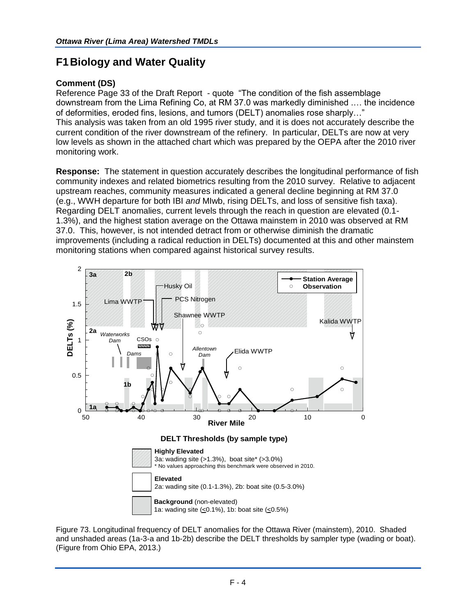# <span id="page-3-0"></span>**F1Biology and Water Quality**

# **Comment (DS)**

Reference Page 33 of the Draft Report - quote "The condition of the fish assemblage downstream from the Lima Refining Co, at RM 37.0 was markedly diminished .… the incidence of deformities, eroded fins, lesions, and tumors (DELT) anomalies rose sharply…" This analysis was taken from an old 1995 river study, and it is does not accurately describe the current condition of the river downstream of the refinery. In particular, DELTs are now at very low levels as shown in the attached chart which was prepared by the OEPA after the 2010 river monitoring work.

**Response:** The statement in question accurately describes the longitudinal performance of fish community indexes and related biometrics resulting from the 2010 survey. Relative to adjacent upstream reaches, community measures indicated a general decline beginning at RM 37.0 (e.g., WWH departure for both IBI *and* MIwb, rising DELTs, and loss of sensitive fish taxa). Regarding DELT anomalies, current levels through the reach in question are elevated (0.1- 1.3%), and the highest station average on the Ottawa mainstem in 2010 was observed at RM 37.0. This, however, is not intended detract from or otherwise diminish the dramatic improvements (including a radical reduction in DELTs) documented at this and other mainstem monitoring stations when compared against historical survey results.



Figure 73. Longitudinal frequency of DELT anomalies for the Ottawa River (mainstem), 2010. Shaded and unshaded areas (1a-3-a and 1b-2b) describe the DELT thresholds by sampler type (wading or boat). (Figure from Ohio EPA, 2013.)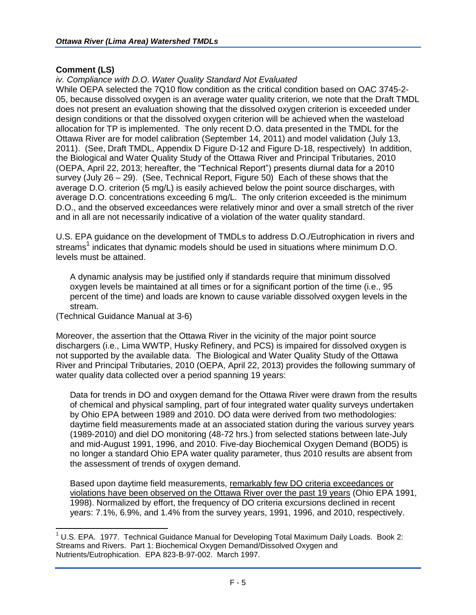#### **Comment (LS)**

#### *iv. Compliance with D.O. Water Quality Standard Not Evaluated*

While OEPA selected the 7Q10 flow condition as the critical condition based on OAC 3745-2- 05, because dissolved oxygen is an average water quality criterion, we note that the Draft TMDL does not present an evaluation showing that the dissolved oxygen criterion is exceeded under design conditions or that the dissolved oxygen criterion will be achieved when the wasteload allocation for TP is implemented. The only recent D.O. data presented in the TMDL for the Ottawa River are for model calibration (September 14, 2011) and model validation (July 13, 2011). (See, Draft TMDL, Appendix D Figure D-12 and Figure D-18, respectively) In addition, the Biological and Water Quality Study of the Ottawa River and Principal Tributaries, 2010 (OEPA, April 22, 2013; hereafter, the "Technical Report") presents diurnal data for a 2010 survey (July 26 – 29). (See, Technical Report, Figure 50) Each of these shows that the average D.O. criterion (5 mg/L) is easily achieved below the point source discharges, with average D.O. concentrations exceeding 6 mg/L. The only criterion exceeded is the minimum D.O., and the observed exceedances were relatively minor and over a small stretch of the river and in all are not necessarily indicative of a violation of the water quality standard.

U.S. EPA guidance on the development of TMDLs to address D.O./Eutrophication in rivers and streams<sup>1</sup> indicates that dynamic models should be used in situations where minimum D.O. levels must be attained.

A dynamic analysis may be justified only if standards require that minimum dissolved oxygen levels be maintained at all times or for a significant portion of the time (i.e., 95 percent of the time) and loads are known to cause variable dissolved oxygen levels in the stream.

(Technical Guidance Manual at 3-6)

 $\overline{a}$ 

Moreover, the assertion that the Ottawa River in the vicinity of the major point source dischargers (i.e., Lima WWTP, Husky Refinery, and PCS) is impaired for dissolved oxygen is not supported by the available data. The Biological and Water Quality Study of the Ottawa River and Principal Tributaries, 2010 (OEPA, April 22, 2013) provides the following summary of water quality data collected over a period spanning 19 years:

Data for trends in DO and oxygen demand for the Ottawa River were drawn from the results of chemical and physical sampling, part of four integrated water quality surveys undertaken by Ohio EPA between 1989 and 2010. DO data were derived from two methodologies: daytime field measurements made at an associated station during the various survey years (1989-2010) and diel DO monitoring (48-72 hrs.) from selected stations between late-July and mid-August 1991, 1996, and 2010. Five-day Biochemical Oxygen Demand (BOD5) is no longer a standard Ohio EPA water quality parameter, thus 2010 results are absent from the assessment of trends of oxygen demand.

Based upon daytime field measurements, remarkably few DO criteria exceedances or violations have been observed on the Ottawa River over the past 19 years (Ohio EPA 1991, 1998). Normalized by effort, the frequency of DO criteria excursions declined in recent years: 7.1%, 6.9%, and 1.4% from the survey years, 1991, 1996, and 2010, respectively.

 $1$  U.S. EPA. 1977. Technical Guidance Manual for Developing Total Maximum Daily Loads. Book 2: Streams and Rivers. Part 1: Biochemical Oxygen Demand/Dissolved Oxygen and Nutrients/Eutrophication. EPA 823-B-97-002. March 1997.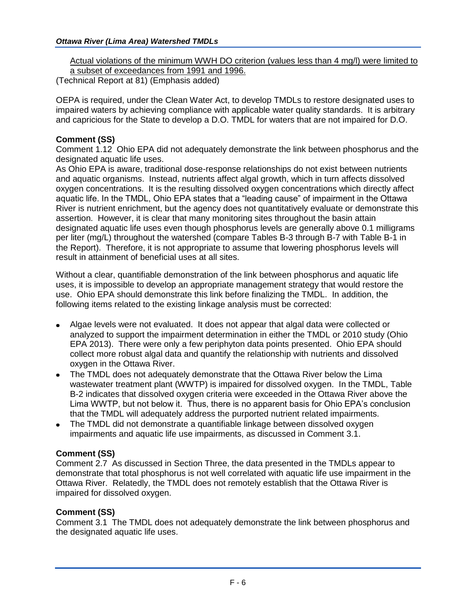Actual violations of the minimum WWH DO criterion (values less than 4 mg/l) were limited to a subset of exceedances from 1991 and 1996.

(Technical Report at 81) (Emphasis added)

OEPA is required, under the Clean Water Act, to develop TMDLs to restore designated uses to impaired waters by achieving compliance with applicable water quality standards. It is arbitrary and capricious for the State to develop a D.O. TMDL for waters that are not impaired for D.O.

## **Comment (SS)**

Comment 1.12 Ohio EPA did not adequately demonstrate the link between phosphorus and the designated aquatic life uses.

As Ohio EPA is aware, traditional dose-response relationships do not exist between nutrients and aquatic organisms. Instead, nutrients affect algal growth, which in turn affects dissolved oxygen concentrations. It is the resulting dissolved oxygen concentrations which directly affect aquatic life. In the TMDL, Ohio EPA states that a "leading cause" of impairment in the Ottawa River is nutrient enrichment, but the agency does not quantitatively evaluate or demonstrate this assertion. However, it is clear that many monitoring sites throughout the basin attain designated aquatic life uses even though phosphorus levels are generally above 0.1 milligrams per liter (mg/L) throughout the watershed (compare Tables B-3 through B-7 with Table B-1 in the Report). Therefore, it is not appropriate to assume that lowering phosphorus levels will result in attainment of beneficial uses at all sites.

Without a clear, quantifiable demonstration of the link between phosphorus and aquatic life uses, it is impossible to develop an appropriate management strategy that would restore the use. Ohio EPA should demonstrate this link before finalizing the TMDL. In addition, the following items related to the existing linkage analysis must be corrected:

- Algae levels were not evaluated. It does not appear that algal data were collected or analyzed to support the impairment determination in either the TMDL or 2010 study (Ohio EPA 2013). There were only a few periphyton data points presented. Ohio EPA should collect more robust algal data and quantify the relationship with nutrients and dissolved oxygen in the Ottawa River.
- The TMDL does not adequately demonstrate that the Ottawa River below the Lima wastewater treatment plant (WWTP) is impaired for dissolved oxygen. In the TMDL, Table B-2 indicates that dissolved oxygen criteria were exceeded in the Ottawa River above the Lima WWTP, but not below it. Thus, there is no apparent basis for Ohio EPA's conclusion that the TMDL will adequately address the purported nutrient related impairments.
- The TMDL did not demonstrate a quantifiable linkage between dissolved oxygen impairments and aquatic life use impairments, as discussed in Comment 3.1.

# **Comment (SS)**

Comment 2.7 As discussed in Section Three, the data presented in the TMDLs appear to demonstrate that total phosphorus is not well correlated with aquatic life use impairment in the Ottawa River. Relatedly, the TMDL does not remotely establish that the Ottawa River is impaired for dissolved oxygen.

#### **Comment (SS)**

Comment 3.1 The TMDL does not adequately demonstrate the link between phosphorus and the designated aquatic life uses.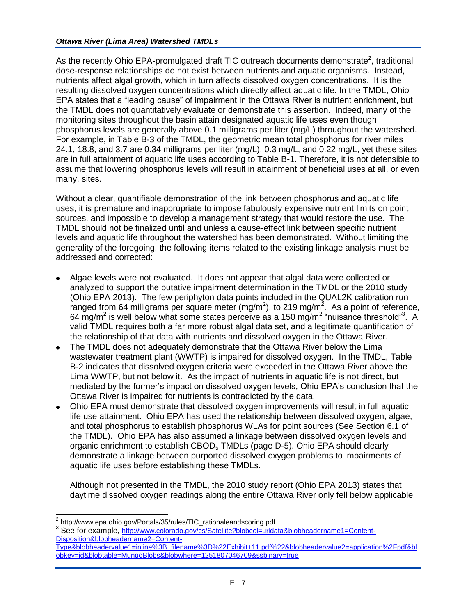As the recently Ohio EPA-promulgated draft TIC outreach documents demonstrate<sup>2</sup>, traditional dose-response relationships do not exist between nutrients and aquatic organisms. Instead, nutrients affect algal growth, which in turn affects dissolved oxygen concentrations. It is the resulting dissolved oxygen concentrations which directly affect aquatic life. In the TMDL, Ohio EPA states that a "leading cause" of impairment in the Ottawa River is nutrient enrichment, but the TMDL does not quantitatively evaluate or demonstrate this assertion. Indeed, many of the monitoring sites throughout the basin attain designated aquatic life uses even though phosphorus levels are generally above 0.1 milligrams per liter (mg/L) throughout the watershed. For example, in Table B-3 of the TMDL, the geometric mean total phosphorus for river miles 24.1, 18.8, and 3.7 are 0.34 milligrams per liter (mg/L), 0.3 mg/L, and 0.22 mg/L, yet these sites are in full attainment of aquatic life uses according to Table B-1. Therefore, it is not defensible to assume that lowering phosphorus levels will result in attainment of beneficial uses at all, or even many, sites.

Without a clear, quantifiable demonstration of the link between phosphorus and aquatic life uses, it is premature and inappropriate to impose fabulously expensive nutrient limits on point sources, and impossible to develop a management strategy that would restore the use. The TMDL should not be finalized until and unless a cause-effect link between specific nutrient levels and aquatic life throughout the watershed has been demonstrated. Without limiting the generality of the foregoing, the following items related to the existing linkage analysis must be addressed and corrected:

- Algae levels were not evaluated. It does not appear that algal data were collected or analyzed to support the putative impairment determination in the TMDL or the 2010 study (Ohio EPA 2013). The few periphyton data points included in the QUAL2K calibration run ranged from 64 milligrams per square meter (mg/m<sup>2</sup>), to 219 mg/m<sup>2</sup>. As a point of reference, 64 mg/m<sup>2</sup> is well below what some states perceive as a 150 mg/m<sup>2</sup> "nuisance threshold"<sup>3</sup>. A valid TMDL requires both a far more robust algal data set, and a legitimate quantification of the relationship of that data with nutrients and dissolved oxygen in the Ottawa River.
- The TMDL does not adequately demonstrate that the Ottawa River below the Lima wastewater treatment plant (WWTP) is impaired for dissolved oxygen. In the TMDL, Table B-2 indicates that dissolved oxygen criteria were exceeded in the Ottawa River above the Lima WWTP, but not below it. As the impact of nutrients in aquatic life is not direct, but mediated by the former's impact on dissolved oxygen levels, Ohio EPA's conclusion that the Ottawa River is impaired for nutrients is contradicted by the data.
- Ohio EPA must demonstrate that dissolved oxygen improvements will result in full aquatic  $\bullet$ life use attainment. Ohio EPA has used the relationship between dissolved oxygen, algae, and total phosphorus to establish phosphorus WLAs for point sources (See Section 6.1 of the TMDL). Ohio EPA has also assumed a linkage between dissolved oxygen levels and organic enrichment to establish CBOD<sub>5</sub> TMDLs (page D-5). Ohio EPA should clearly demonstrate a linkage between purported dissolved oxygen problems to impairments of aquatic life uses before establishing these TMDLs.

Although not presented in the TMDL, the 2010 study report (Ohio EPA 2013) states that daytime dissolved oxygen readings along the entire Ottawa River only fell below applicable

 2 http://www.epa.ohio.gov/Portals/35/rules/TIC\_rationaleandscoring.pdf

<sup>&</sup>lt;sup>3</sup> See for example, [http://www.colorado.gov/cs/Satellite?blobcol=urldata&blobheadername1=Content-](http://www.colorado.gov/cs/Satellite?blobcol=urldata&blobheadername1=Content-Disposition&blobheadername2=Content-Type&blobheadervalue1=inline%3B+filename%3D%22Exhibit+11.pdf%22&blobheadervalue2=application%2Fpdf&blobkey=id&blobtable=MungoBlobs&blobwhere=1251807046709&ssbinary=true)[Disposition&blobheadername2=Content-](http://www.colorado.gov/cs/Satellite?blobcol=urldata&blobheadername1=Content-Disposition&blobheadername2=Content-Type&blobheadervalue1=inline%3B+filename%3D%22Exhibit+11.pdf%22&blobheadervalue2=application%2Fpdf&blobkey=id&blobtable=MungoBlobs&blobwhere=1251807046709&ssbinary=true)

[Type&blobheadervalue1=inline%3B+filename%3D%22Exhibit+11.pdf%22&blobheadervalue2=application%2Fpdf&bl](http://www.colorado.gov/cs/Satellite?blobcol=urldata&blobheadername1=Content-Disposition&blobheadername2=Content-Type&blobheadervalue1=inline%3B+filename%3D%22Exhibit+11.pdf%22&blobheadervalue2=application%2Fpdf&blobkey=id&blobtable=MungoBlobs&blobwhere=1251807046709&ssbinary=true) [obkey=id&blobtable=MungoBlobs&blobwhere=1251807046709&ssbinary=true](http://www.colorado.gov/cs/Satellite?blobcol=urldata&blobheadername1=Content-Disposition&blobheadername2=Content-Type&blobheadervalue1=inline%3B+filename%3D%22Exhibit+11.pdf%22&blobheadervalue2=application%2Fpdf&blobkey=id&blobtable=MungoBlobs&blobwhere=1251807046709&ssbinary=true)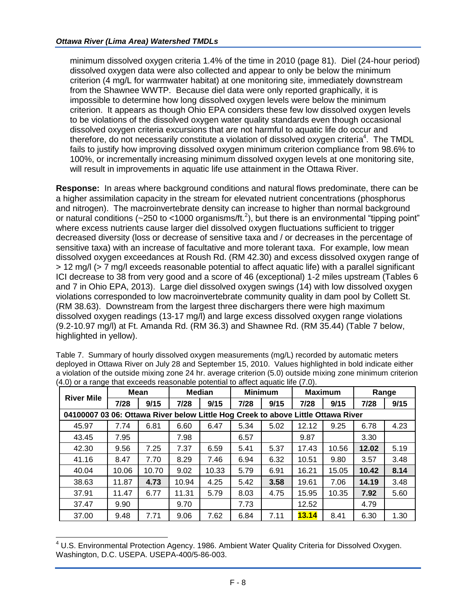minimum dissolved oxygen criteria 1.4% of the time in 2010 (page 81). Diel (24-hour period) dissolved oxygen data were also collected and appear to only be below the minimum criterion (4 mg/L for warmwater habitat) at one monitoring site, immediately downstream from the Shawnee WWTP. Because diel data were only reported graphically, it is impossible to determine how long dissolved oxygen levels were below the minimum criterion. It appears as though Ohio EPA considers these few low dissolved oxygen levels to be violations of the dissolved oxygen water quality standards even though occasional dissolved oxygen criteria excursions that are not harmful to aquatic life do occur and therefore, do not necessarily constitute a violation of dissolved oxygen criteria<sup>4</sup>. The TMDL fails to justify how improving dissolved oxygen minimum criterion compliance from 98.6% to 100%, or incrementally increasing minimum dissolved oxygen levels at one monitoring site, will result in improvements in aquatic life use attainment in the Ottawa River.

**Response:** In areas where background conditions and natural flows predominate, there can be a higher assimilation capacity in the stream for elevated nutrient concentrations (phosphorus and nitrogen). The macroinvertebrate density can increase to higher than normal background or natural conditions (~250 to <1000 organisms/ft.<sup>2</sup>), but there is an environmental "tipping point" where excess nutrients cause larger diel dissolved oxygen fluctuations sufficient to trigger decreased diversity (loss or decrease of sensitive taxa and / or decreases in the percentage of sensitive taxa) with an increase of facultative and more tolerant taxa. For example, low mean dissolved oxygen exceedances at Roush Rd. (RM 42.30) and excess dissolved oxygen range of > 12 mg/l (> 7 mg/l exceeds reasonable potential to affect aquatic life) with a parallel significant ICI decrease to 38 from very good and a score of 46 (exceptional) 1-2 miles upstream (Tables 6 and 7 in Ohio EPA, 2013). Large diel dissolved oxygen swings (14) with low dissolved oxygen violations corresponded to low macroinvertebrate community quality in dam pool by Collett St. (RM 38.63). Downstream from the largest three dischargers there were high maximum dissolved oxygen readings (13-17 mg/l) and large excess dissolved oxygen range violations (9.2-10.97 mg/l) at Ft. Amanda Rd. (RM 36.3) and Shawnee Rd. (RM 35.44) (Table 7 below, highlighted in yellow).

|                                                                                  | Mean  |       | <b>Median</b> |       | <b>Minimum</b> |      | <b>Maximum</b> |       | Range |      |
|----------------------------------------------------------------------------------|-------|-------|---------------|-------|----------------|------|----------------|-------|-------|------|
| <b>River Mile</b>                                                                | 7/28  | 9/15  | 7/28          | 9/15  | 7/28           | 9/15 | 7/28           | 9/15  | 7/28  | 9/15 |
| 04100007 03 06: Ottawa River below Little Hog Creek to above Little Ottawa River |       |       |               |       |                |      |                |       |       |      |
| 45.97                                                                            | 7.74  | 6.81  | 6.60          | 6.47  | 5.34           | 5.02 | 12.12          | 9.25  | 6.78  | 4.23 |
| 43.45                                                                            | 7.95  |       | 7.98          |       | 6.57           |      | 9.87           |       | 3.30  |      |
| 42.30                                                                            | 9.56  | 7.25  | 7.37          | 6.59  | 5.41           | 5.37 | 17.43          | 10.56 | 12.02 | 5.19 |
| 41.16                                                                            | 8.47  | 7.70  | 8.29          | 7.46  | 6.94           | 6.32 | 10.51          | 9.80  | 3.57  | 3.48 |
| 40.04                                                                            | 10.06 | 10.70 | 9.02          | 10.33 | 5.79           | 6.91 | 16.21          | 15.05 | 10.42 | 8.14 |
| 38.63                                                                            | 11.87 | 4.73  | 10.94         | 4.25  | 5.42           | 3.58 | 19.61          | 7.06  | 14.19 | 3.48 |
| 37.91                                                                            | 11.47 | 6.77  | 11.31         | 5.79  | 8.03           | 4.75 | 15.95          | 10.35 | 7.92  | 5.60 |
| 37.47                                                                            | 9.90  |       | 9.70          |       | 7.73           |      | 12.52          |       | 4.79  |      |
| 37.00                                                                            | 9.48  | 7.71  | 9.06          | 7.62  | 6.84           | 7.11 | <b>13.14</b>   | 8.41  | 6.30  | 1.30 |

Table 7. Summary of hourly dissolved oxygen measurements (mg/L) recorded by automatic meters deployed in Ottawa River on July 28 and September 15, 2010. Values highlighted in bold indicate either a violation of the outside mixing zone 24 hr. average criterion (5.0) outside mixing zone minimum criterion (4.0) or a range that exceeds reasonable potential to affect aquatic life (7.0).

<sup>&</sup>lt;sup>4</sup> U.S. Environmental Protection Agency. 1986. Ambient Water Quality Criteria for Dissolved Oxygen. Washington, D.C. USEPA. USEPA-400/5-86-003.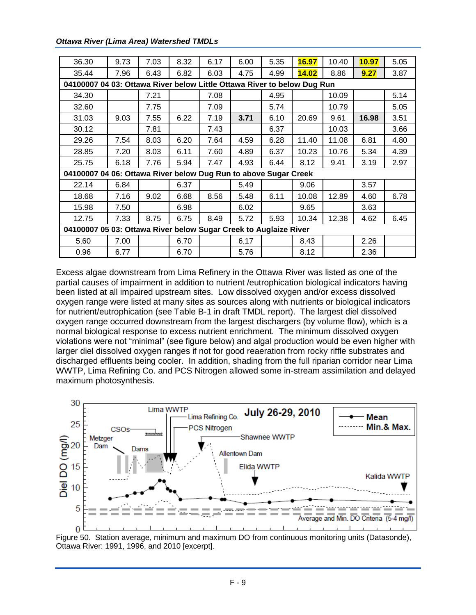*Ottawa River (Lima Area) Watershed TMDLs*

| 36.30                                                                   | 9.73 | 7.03 | 8.32 | 6.17 | 6.00 | 5.35 | 16.97 | 10.40 | 10.97 | 5.05 |  |
|-------------------------------------------------------------------------|------|------|------|------|------|------|-------|-------|-------|------|--|
| 35.44                                                                   | 7.96 | 6.43 | 6.82 | 6.03 | 4.75 | 4.99 | 14.02 | 8.86  | 9.27  | 3.87 |  |
| 04100007 04 03: Ottawa River below Little Ottawa River to below Dug Run |      |      |      |      |      |      |       |       |       |      |  |
| 34.30                                                                   |      | 7.21 |      | 7.08 |      | 4.95 |       | 10.09 |       | 5.14 |  |
| 32.60                                                                   |      | 7.75 |      | 7.09 |      | 5.74 |       | 10.79 |       | 5.05 |  |
| 31.03                                                                   | 9.03 | 7.55 | 6.22 | 7.19 | 3.71 | 6.10 | 20.69 | 9.61  | 16.98 | 3.51 |  |
| 30.12                                                                   |      | 7.81 |      | 7.43 |      | 6.37 |       | 10.03 |       | 3.66 |  |
| 29.26                                                                   | 7.54 | 8.03 | 6.20 | 7.64 | 4.59 | 6.28 | 11.40 | 11.08 | 6.81  | 4.80 |  |
| 28.85                                                                   | 7.20 | 8.03 | 6.11 | 7.60 | 4.89 | 6.37 | 10.23 | 10.76 | 5.34  | 4.39 |  |
| 25.75                                                                   | 6.18 | 7.76 | 5.94 | 7.47 | 4.93 | 6.44 | 8.12  | 9.41  | 3.19  | 2.97 |  |
| 04100007 04 06: Ottawa River below Dug Run to above Sugar Creek         |      |      |      |      |      |      |       |       |       |      |  |
| 22.14                                                                   | 6.84 |      | 6.37 |      | 5.49 |      | 9.06  |       | 3.57  |      |  |
| 18.68                                                                   | 7.16 | 9.02 | 6.68 | 8.56 | 5.48 | 6.11 | 10.08 | 12.89 | 4.60  | 6.78 |  |
| 15.98                                                                   | 7.50 |      | 6.98 |      | 6.02 |      | 9.65  |       | 3.63  |      |  |
| 12.75                                                                   | 7.33 | 8.75 | 6.75 | 8.49 | 5.72 | 5.93 | 10.34 | 12.38 | 4.62  | 6.45 |  |
| 04100007 05 03: Ottawa River below Sugar Creek to Auglaize River        |      |      |      |      |      |      |       |       |       |      |  |
| 5.60                                                                    | 7.00 |      | 6.70 |      | 6.17 |      | 8.43  |       | 2.26  |      |  |
| 0.96                                                                    | 6.77 |      | 6.70 |      | 5.76 |      | 8.12  |       | 2.36  |      |  |

Excess algae downstream from Lima Refinery in the Ottawa River was listed as one of the partial causes of impairment in addition to nutrient /eutrophication biological indicators having been listed at all impaired upstream sites. Low dissolved oxygen and/or excess dissolved oxygen range were listed at many sites as sources along with nutrients or biological indicators for nutrient/eutrophication (see Table B-1 in draft TMDL report). The largest diel dissolved oxygen range occurred downstream from the largest dischargers (by volume flow), which is a normal biological response to excess nutrient enrichment. The minimum dissolved oxygen violations were not "minimal" (see figure below) and algal production would be even higher with larger diel dissolved oxygen ranges if not for good reaeration from rocky riffle substrates and discharged effluents being cooler. In addition, shading from the full riparian corridor near Lima WWTP, Lima Refining Co. and PCS Nitrogen allowed some in-stream assimilation and delayed maximum photosynthesis.



Figure 50. Station average, minimum and maximum DO from continuous monitoring units (Datasonde), Ottawa River: 1991, 1996, and 2010 [excerpt].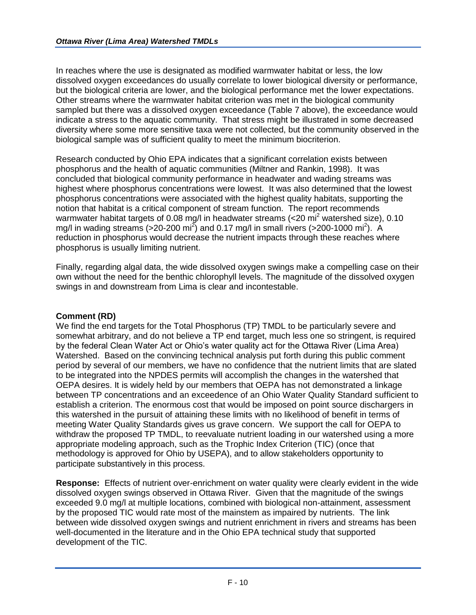In reaches where the use is designated as modified warmwater habitat or less, the low dissolved oxygen exceedances do usually correlate to lower biological diversity or performance, but the biological criteria are lower, and the biological performance met the lower expectations. Other streams where the warmwater habitat criterion was met in the biological community sampled but there was a dissolved oxygen exceedance (Table 7 above), the exceedance would indicate a stress to the aquatic community. That stress might be illustrated in some decreased diversity where some more sensitive taxa were not collected, but the community observed in the biological sample was of sufficient quality to meet the minimum biocriterion.

Research conducted by Ohio EPA indicates that a significant correlation exists between phosphorus and the health of aquatic communities (Miltner and Rankin, 1998). It was concluded that biological community performance in headwater and wading streams was highest where phosphorus concentrations were lowest. It was also determined that the lowest phosphorus concentrations were associated with the highest quality habitats, supporting the notion that habitat is a critical component of stream function. The report recommends warmwater habitat targets of 0.08 mg/l in headwater streams (<20 mi<sup>2</sup> watershed size), 0.10 mg/l in wading streams (>20-200 mi<sup>2</sup>) and 0.17 mg/l in small rivers (>200-1000 mi<sup>2</sup>). A reduction in phosphorus would decrease the nutrient impacts through these reaches where phosphorus is usually limiting nutrient.

Finally, regarding algal data, the wide dissolved oxygen swings make a compelling case on their own without the need for the benthic chlorophyll levels. The magnitude of the dissolved oxygen swings in and downstream from Lima is clear and incontestable.

# **Comment (RD)**

We find the end targets for the Total Phosphorus (TP) TMDL to be particularly severe and somewhat arbitrary, and do not believe a TP end target, much less one so stringent, is required by the federal Clean Water Act or Ohio's water quality act for the Ottawa River (Lima Area) Watershed. Based on the convincing technical analysis put forth during this public comment period by several of our members, we have no confidence that the nutrient limits that are slated to be integrated into the NPDES permits will accomplish the changes in the watershed that OEPA desires. It is widely held by our members that OEPA has not demonstrated a linkage between TP concentrations and an exceedence of an Ohio Water Quality Standard sufficient to establish a criterion. The enormous cost that would be imposed on point source dischargers in this watershed in the pursuit of attaining these limits with no likelihood of benefit in terms of meeting Water Quality Standards gives us grave concern. We support the call for OEPA to withdraw the proposed TP TMDL, to reevaluate nutrient loading in our watershed using a more appropriate modeling approach, such as the Trophic Index Criterion (TIC) (once that methodology is approved for Ohio by USEPA), and to allow stakeholders opportunity to participate substantively in this process.

**Response:** Effects of nutrient over-enrichment on water quality were clearly evident in the wide dissolved oxygen swings observed in Ottawa River. Given that the magnitude of the swings exceeded 9.0 mg/l at multiple locations, combined with biological non-attainment, assessment by the proposed TIC would rate most of the mainstem as impaired by nutrients. The link between wide dissolved oxygen swings and nutrient enrichment in rivers and streams has been well-documented in the literature and in the Ohio EPA technical study that supported development of the TIC.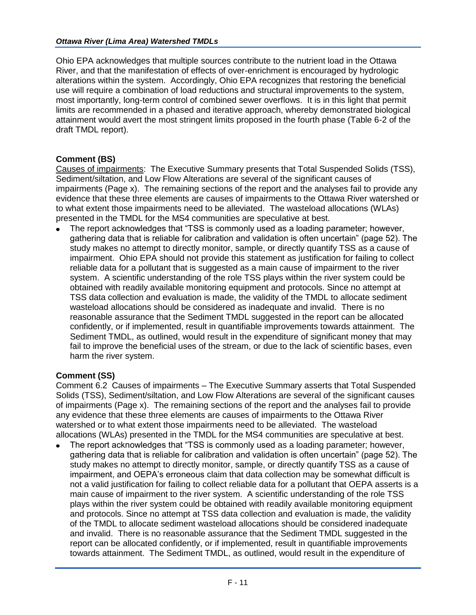Ohio EPA acknowledges that multiple sources contribute to the nutrient load in the Ottawa River, and that the manifestation of effects of over-enrichment is encouraged by hydrologic alterations within the system. Accordingly, Ohio EPA recognizes that restoring the beneficial use will require a combination of load reductions and structural improvements to the system, most importantly, long-term control of combined sewer overflows. It is in this light that permit limits are recommended in a phased and iterative approach, whereby demonstrated biological attainment would avert the most stringent limits proposed in the fourth phase (Table 6-2 of the draft TMDL report).

## **Comment (BS)**

Causes of impairments: The Executive Summary presents that Total Suspended Solids (TSS), Sediment/siltation, and Low Flow Alterations are several of the significant causes of impairments (Page x). The remaining sections of the report and the analyses fail to provide any evidence that these three elements are causes of impairments to the Ottawa River watershed or to what extent those impairments need to be alleviated. The wasteload allocations (WLAs) presented in the TMDL for the MS4 communities are speculative at best.

The report acknowledges that "TSS is commonly used as a loading parameter; however, gathering data that is reliable for calibration and validation is often uncertain" (page 52). The study makes no attempt to directly monitor, sample, or directly quantify TSS as a cause of impairment. Ohio EPA should not provide this statement as justification for failing to collect reliable data for a pollutant that is suggested as a main cause of impairment to the river system. A scientific understanding of the role TSS plays within the river system could be obtained with readily available monitoring equipment and protocols. Since no attempt at TSS data collection and evaluation is made, the validity of the TMDL to allocate sediment wasteload allocations should be considered as inadequate and invalid. There is no reasonable assurance that the Sediment TMDL suggested in the report can be allocated confidently, or if implemented, result in quantifiable improvements towards attainment. The Sediment TMDL, as outlined, would result in the expenditure of significant money that may fail to improve the beneficial uses of the stream, or due to the lack of scientific bases, even harm the river system.

#### **Comment (SS)**

Comment 6.2 Causes of impairments – The Executive Summary asserts that Total Suspended Solids (TSS), Sediment/siltation, and Low Flow Alterations are several of the significant causes of impairments (Page x). The remaining sections of the report and the analyses fail to provide any evidence that these three elements are causes of impairments to the Ottawa River watershed or to what extent those impairments need to be alleviated. The wasteload allocations (WLAs) presented in the TMDL for the MS4 communities are speculative at best.

The report acknowledges that "TSS is commonly used as a loading parameter; however, gathering data that is reliable for calibration and validation is often uncertain" (page 52). The study makes no attempt to directly monitor, sample, or directly quantify TSS as a cause of impairment, and OEPA's erroneous claim that data collection may be somewhat difficult is not a valid justification for failing to collect reliable data for a pollutant that OEPA asserts is a main cause of impairment to the river system. A scientific understanding of the role TSS plays within the river system could be obtained with readily available monitoring equipment and protocols. Since no attempt at TSS data collection and evaluation is made, the validity of the TMDL to allocate sediment wasteload allocations should be considered inadequate and invalid. There is no reasonable assurance that the Sediment TMDL suggested in the report can be allocated confidently, or if implemented, result in quantifiable improvements towards attainment. The Sediment TMDL, as outlined, would result in the expenditure of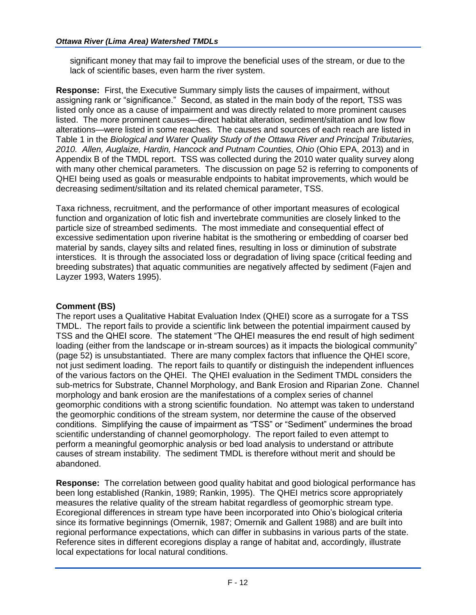significant money that may fail to improve the beneficial uses of the stream, or due to the lack of scientific bases, even harm the river system.

**Response:** First, the Executive Summary simply lists the causes of impairment, without assigning rank or "significance." Second, as stated in the main body of the report, TSS was listed only once as a cause of impairment and was directly related to more prominent causes listed. The more prominent causes—direct habitat alteration, sediment/siltation and low flow alterations—were listed in some reaches. The causes and sources of each reach are listed in Table 1 in the *Biological and Water Quality Study of the Ottawa River and Principal Tributaries, 2010. Allen, Auglaize, Hardin, Hancock and Putnam Counties, Ohio* (Ohio EPA, 2013) and in Appendix B of the TMDL report. TSS was collected during the 2010 water quality survey along with many other chemical parameters. The discussion on page 52 is referring to components of QHEI being used as goals or measurable endpoints to habitat improvements, which would be decreasing sediment/siltation and its related chemical parameter, TSS.

Taxa richness, recruitment, and the performance of other important measures of ecological function and organization of lotic fish and invertebrate communities are closely linked to the particle size of streambed sediments. The most immediate and consequential effect of excessive sedimentation upon riverine habitat is the smothering or embedding of coarser bed material by sands, clayey silts and related fines, resulting in loss or diminution of substrate interstices. It is through the associated loss or degradation of living space (critical feeding and breeding substrates) that aquatic communities are negatively affected by sediment (Fajen and Layzer 1993, Waters 1995).

## **Comment (BS)**

The report uses a Qualitative Habitat Evaluation Index (QHEI) score as a surrogate for a TSS TMDL. The report fails to provide a scientific link between the potential impairment caused by TSS and the QHEI score. The statement "The QHEI measures the end result of high sediment loading (either from the landscape or in-stream sources) as it impacts the biological community" (page 52) is unsubstantiated. There are many complex factors that influence the QHEI score, not just sediment loading. The report fails to quantify or distinguish the independent influences of the various factors on the QHEI. The QHEI evaluation in the Sediment TMDL considers the sub-metrics for Substrate, Channel Morphology, and Bank Erosion and Riparian Zone. Channel morphology and bank erosion are the manifestations of a complex series of channel geomorphic conditions with a strong scientific foundation. No attempt was taken to understand the geomorphic conditions of the stream system, nor determine the cause of the observed conditions. Simplifying the cause of impairment as "TSS" or "Sediment" undermines the broad scientific understanding of channel geomorphology. The report failed to even attempt to perform a meaningful geomorphic analysis or bed load analysis to understand or attribute causes of stream instability. The sediment TMDL is therefore without merit and should be abandoned.

**Response:** The correlation between good quality habitat and good biological performance has been long established (Rankin, 1989; Rankin, 1995). The QHEI metrics score appropriately measures the relative quality of the stream habitat regardless of geomorphic stream type. Ecoregional differences in stream type have been incorporated into Ohio's biological criteria since its formative beginnings (Omernik, 1987; Omernik and Gallent 1988) and are built into regional performance expectations, which can differ in subbasins in various parts of the state. Reference sites in different ecoregions display a range of habitat and, accordingly, illustrate local expectations for local natural conditions.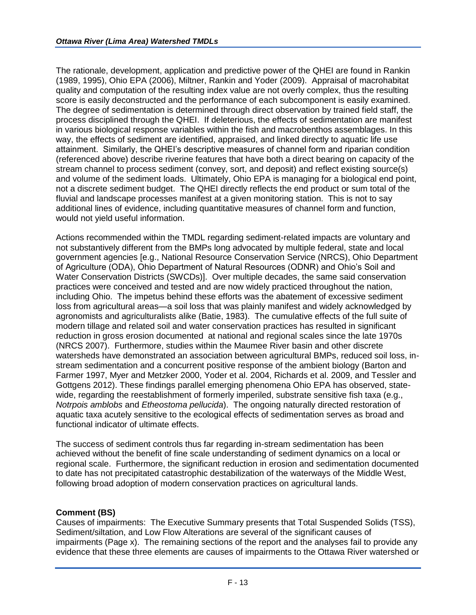The rationale, development, application and predictive power of the QHEI are found in Rankin (1989, 1995), Ohio EPA (2006), Miltner, Rankin and Yoder (2009). Appraisal of macrohabitat quality and computation of the resulting index value are not overly complex, thus the resulting score is easily deconstructed and the performance of each subcomponent is easily examined. The degree of sedimentation is determined through direct observation by trained field staff, the process disciplined through the QHEI. If deleterious, the effects of sedimentation are manifest in various biological response variables within the fish and macrobenthos assemblages. In this way, the effects of sediment are identified, appraised, and linked directly to aquatic life use attainment. Similarly, the QHEI's descriptive measures of channel form and riparian condition (referenced above) describe riverine features that have both a direct bearing on capacity of the stream channel to process sediment (convey, sort, and deposit) and reflect existing source(s) and volume of the sediment loads. Ultimately, Ohio EPA is managing for a biological end point, not a discrete sediment budget. The QHEI directly reflects the end product or sum total of the fluvial and landscape processes manifest at a given monitoring station. This is not to say additional lines of evidence, including quantitative measures of channel form and function, would not yield useful information.

Actions recommended within the TMDL regarding sediment-related impacts are voluntary and not substantively different from the BMPs long advocated by multiple federal, state and local government agencies [e.g., National Resource Conservation Service (NRCS), Ohio Department of Agriculture (ODA), Ohio Department of Natural Resources (ODNR) and Ohio's Soil and Water Conservation Districts (SWCDs)]. Over multiple decades, the same said conservation practices were conceived and tested and are now widely practiced throughout the nation, including Ohio. The impetus behind these efforts was the abatement of excessive sediment loss from agricultural areas—a soil loss that was plainly manifest and widely acknowledged by agronomists and agriculturalists alike (Batie, 1983). The cumulative effects of the full suite of modern tillage and related soil and water conservation practices has resulted in significant reduction in gross erosion documented at national and regional scales since the late 1970s (NRCS 2007). Furthermore, studies within the Maumee River basin and other discrete watersheds have demonstrated an association between agricultural BMPs, reduced soil loss, instream sedimentation and a concurrent positive response of the ambient biology (Barton and Farmer 1997, Myer and Metzker 2000, Yoder et al. 2004, Richards et al. 2009, and Tessler and Gottgens 2012). These findings parallel emerging phenomena Ohio EPA has observed, statewide, regarding the reestablishment of formerly imperiled, substrate sensitive fish taxa (e.g., *Notrpois amblobs* and *Etheostoma pellucida*). The ongoing naturally directed restoration of aquatic taxa acutely sensitive to the ecological effects of sedimentation serves as broad and functional indicator of ultimate effects.

The success of sediment controls thus far regarding in-stream sedimentation has been achieved without the benefit of fine scale understanding of sediment dynamics on a local or regional scale. Furthermore, the significant reduction in erosion and sedimentation documented to date has not precipitated catastrophic destabilization of the waterways of the Middle West, following broad adoption of modern conservation practices on agricultural lands.

#### **Comment (BS)**

Causes of impairments: The Executive Summary presents that Total Suspended Solids (TSS), Sediment/siltation, and Low Flow Alterations are several of the significant causes of impairments (Page x). The remaining sections of the report and the analyses fail to provide any evidence that these three elements are causes of impairments to the Ottawa River watershed or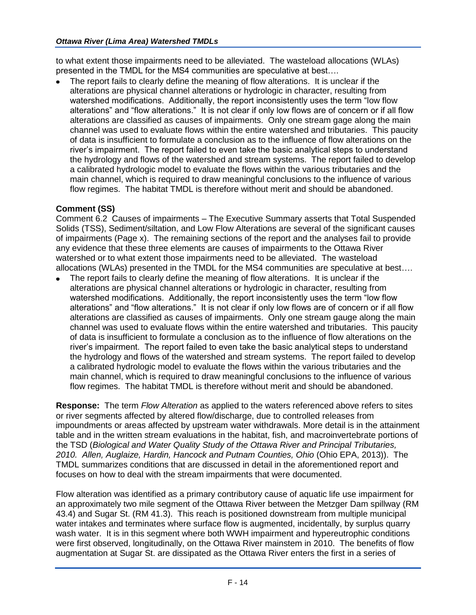to what extent those impairments need to be alleviated. The wasteload allocations (WLAs) presented in the TMDL for the MS4 communities are speculative at best….

The report fails to clearly define the meaning of flow alterations. It is unclear if the alterations are physical channel alterations or hydrologic in character, resulting from watershed modifications. Additionally, the report inconsistently uses the term "low flow alterations" and "flow alterations." It is not clear if only low flows are of concern or if all flow alterations are classified as causes of impairments. Only one stream gage along the main channel was used to evaluate flows within the entire watershed and tributaries. This paucity of data is insufficient to formulate a conclusion as to the influence of flow alterations on the river's impairment. The report failed to even take the basic analytical steps to understand the hydrology and flows of the watershed and stream systems. The report failed to develop a calibrated hydrologic model to evaluate the flows within the various tributaries and the main channel, which is required to draw meaningful conclusions to the influence of various flow regimes. The habitat TMDL is therefore without merit and should be abandoned.

# **Comment (SS)**

Comment 6.2 Causes of impairments – The Executive Summary asserts that Total Suspended Solids (TSS), Sediment/siltation, and Low Flow Alterations are several of the significant causes of impairments (Page x). The remaining sections of the report and the analyses fail to provide any evidence that these three elements are causes of impairments to the Ottawa River watershed or to what extent those impairments need to be alleviated. The wasteload allocations (WLAs) presented in the TMDL for the MS4 communities are speculative at best….

The report fails to clearly define the meaning of flow alterations. It is unclear if the alterations are physical channel alterations or hydrologic in character, resulting from watershed modifications. Additionally, the report inconsistently uses the term "low flow alterations" and "flow alterations." It is not clear if only low flows are of concern or if all flow alterations are classified as causes of impairments. Only one stream gauge along the main channel was used to evaluate flows within the entire watershed and tributaries. This paucity of data is insufficient to formulate a conclusion as to the influence of flow alterations on the river's impairment. The report failed to even take the basic analytical steps to understand the hydrology and flows of the watershed and stream systems. The report failed to develop a calibrated hydrologic model to evaluate the flows within the various tributaries and the main channel, which is required to draw meaningful conclusions to the influence of various flow regimes. The habitat TMDL is therefore without merit and should be abandoned.

**Response:** The term *Flow Alteration* as applied to the waters referenced above refers to sites or river segments affected by altered flow/discharge, due to controlled releases from impoundments or areas affected by upstream water withdrawals. More detail is in the attainment table and in the written stream evaluations in the habitat, fish, and macroinvertebrate portions of the TSD (*Biological and Water Quality Study of the Ottawa River and Principal Tributaries, 2010. Allen, Auglaize, Hardin, Hancock and Putnam Counties, Ohio* (Ohio EPA, 2013)). The TMDL summarizes conditions that are discussed in detail in the aforementioned report and focuses on how to deal with the stream impairments that were documented.

Flow alteration was identified as a primary contributory cause of aquatic life use impairment for an approximately two mile segment of the Ottawa River between the Metzger Dam spillway (RM 43.4) and Sugar St. (RM 41.3). This reach is positioned downstream from multiple municipal water intakes and terminates where surface flow is augmented, incidentally, by surplus quarry wash water. It is in this segment where both WWH impairment and hypereutrophic conditions were first observed, longitudinally, on the Ottawa River mainstem in 2010. The benefits of flow augmentation at Sugar St. are dissipated as the Ottawa River enters the first in a series of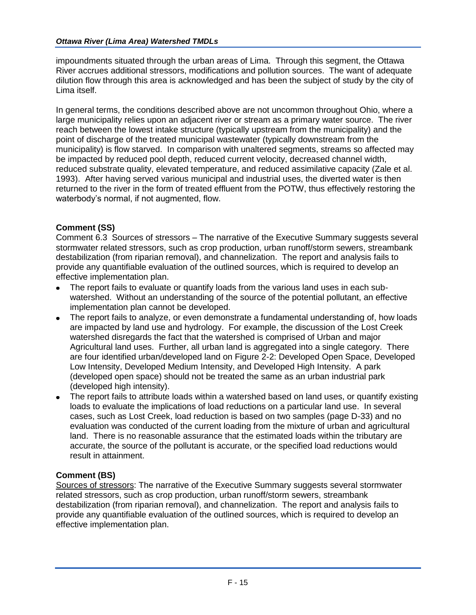impoundments situated through the urban areas of Lima. Through this segment, the Ottawa River accrues additional stressors, modifications and pollution sources. The want of adequate dilution flow through this area is acknowledged and has been the subject of study by the city of Lima itself.

In general terms, the conditions described above are not uncommon throughout Ohio, where a large municipality relies upon an adjacent river or stream as a primary water source. The river reach between the lowest intake structure (typically upstream from the municipality) and the point of discharge of the treated municipal wastewater (typically downstream from the municipality) is flow starved. In comparison with unaltered segments, streams so affected may be impacted by reduced pool depth, reduced current velocity, decreased channel width, reduced substrate quality, elevated temperature, and reduced assimilative capacity (Zale et al. 1993). After having served various municipal and industrial uses, the diverted water is then returned to the river in the form of treated effluent from the POTW, thus effectively restoring the waterbody's normal, if not augmented, flow.

# **Comment (SS)**

Comment 6.3 Sources of stressors – The narrative of the Executive Summary suggests several stormwater related stressors, such as crop production, urban runoff/storm sewers, streambank destabilization (from riparian removal), and channelization. The report and analysis fails to provide any quantifiable evaluation of the outlined sources, which is required to develop an effective implementation plan.

- The report fails to evaluate or quantify loads from the various land uses in each subwatershed. Without an understanding of the source of the potential pollutant, an effective implementation plan cannot be developed.
- The report fails to analyze, or even demonstrate a fundamental understanding of, how loads are impacted by land use and hydrology. For example, the discussion of the Lost Creek watershed disregards the fact that the watershed is comprised of Urban and major Agricultural land uses. Further, all urban land is aggregated into a single category. There are four identified urban/developed land on Figure 2-2: Developed Open Space, Developed Low Intensity, Developed Medium Intensity, and Developed High Intensity. A park (developed open space) should not be treated the same as an urban industrial park (developed high intensity).
- The report fails to attribute loads within a watershed based on land uses, or quantify existing loads to evaluate the implications of load reductions on a particular land use. In several cases, such as Lost Creek, load reduction is based on two samples (page D-33) and no evaluation was conducted of the current loading from the mixture of urban and agricultural land. There is no reasonable assurance that the estimated loads within the tributary are accurate, the source of the pollutant is accurate, or the specified load reductions would result in attainment.

#### **Comment (BS)**

Sources of stressors: The narrative of the Executive Summary suggests several stormwater related stressors, such as crop production, urban runoff/storm sewers, streambank destabilization (from riparian removal), and channelization. The report and analysis fails to provide any quantifiable evaluation of the outlined sources, which is required to develop an effective implementation plan.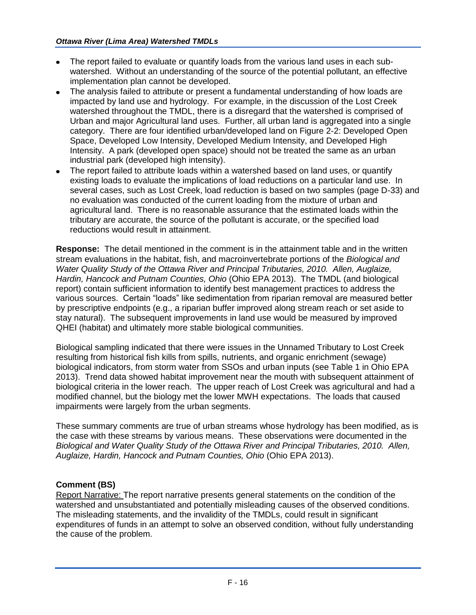- The report failed to evaluate or quantify loads from the various land uses in each subwatershed. Without an understanding of the source of the potential pollutant, an effective implementation plan cannot be developed.
- The analysis failed to attribute or present a fundamental understanding of how loads are impacted by land use and hydrology. For example, in the discussion of the Lost Creek watershed throughout the TMDL, there is a disregard that the watershed is comprised of Urban and major Agricultural land uses. Further, all urban land is aggregated into a single category. There are four identified urban/developed land on Figure 2-2: Developed Open Space, Developed Low Intensity, Developed Medium Intensity, and Developed High Intensity. A park (developed open space) should not be treated the same as an urban industrial park (developed high intensity).
- The report failed to attribute loads within a watershed based on land uses, or quantify existing loads to evaluate the implications of load reductions on a particular land use. In several cases, such as Lost Creek, load reduction is based on two samples (page D-33) and no evaluation was conducted of the current loading from the mixture of urban and agricultural land. There is no reasonable assurance that the estimated loads within the tributary are accurate, the source of the pollutant is accurate, or the specified load reductions would result in attainment.

**Response:** The detail mentioned in the comment is in the attainment table and in the written stream evaluations in the habitat, fish, and macroinvertebrate portions of the *Biological and Water Quality Study of the Ottawa River and Principal Tributaries, 2010. Allen, Auglaize, Hardin, Hancock and Putnam Counties, Ohio* (Ohio EPA 2013). The TMDL (and biological report) contain sufficient information to identify best management practices to address the various sources. Certain "loads" like sedimentation from riparian removal are measured better by prescriptive endpoints (e.g., a riparian buffer improved along stream reach or set aside to stay natural). The subsequent improvements in land use would be measured by improved QHEI (habitat) and ultimately more stable biological communities.

Biological sampling indicated that there were issues in the Unnamed Tributary to Lost Creek resulting from historical fish kills from spills, nutrients, and organic enrichment (sewage) biological indicators, from storm water from SSOs and urban inputs (see Table 1 in Ohio EPA 2013). Trend data showed habitat improvement near the mouth with subsequent attainment of biological criteria in the lower reach. The upper reach of Lost Creek was agricultural and had a modified channel, but the biology met the lower MWH expectations. The loads that caused impairments were largely from the urban segments.

These summary comments are true of urban streams whose hydrology has been modified, as is the case with these streams by various means. These observations were documented in the *Biological and Water Quality Study of the Ottawa River and Principal Tributaries, 2010. Allen, Auglaize, Hardin, Hancock and Putnam Counties, Ohio* (Ohio EPA 2013).

# **Comment (BS)**

Report Narrative: The report narrative presents general statements on the condition of the watershed and unsubstantiated and potentially misleading causes of the observed conditions. The misleading statements, and the invalidity of the TMDLs, could result in significant expenditures of funds in an attempt to solve an observed condition, without fully understanding the cause of the problem.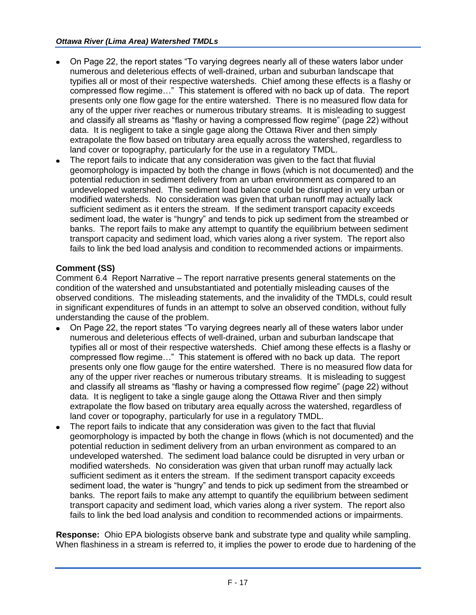- On Page 22, the report states "To varying degrees nearly all of these waters labor under numerous and deleterious effects of well-drained, urban and suburban landscape that typifies all or most of their respective watersheds. Chief among these effects is a flashy or compressed flow regime…" This statement is offered with no back up of data. The report presents only one flow gage for the entire watershed. There is no measured flow data for any of the upper river reaches or numerous tributary streams. It is misleading to suggest and classify all streams as "flashy or having a compressed flow regime" (page 22) without data. It is negligent to take a single gage along the Ottawa River and then simply extrapolate the flow based on tributary area equally across the watershed, regardless to land cover or topography, particularly for the use in a regulatory TMDL.
- The report fails to indicate that any consideration was given to the fact that fluvial geomorphology is impacted by both the change in flows (which is not documented) and the potential reduction in sediment delivery from an urban environment as compared to an undeveloped watershed. The sediment load balance could be disrupted in very urban or modified watersheds. No consideration was given that urban runoff may actually lack sufficient sediment as it enters the stream. If the sediment transport capacity exceeds sediment load, the water is "hungry" and tends to pick up sediment from the streambed or banks. The report fails to make any attempt to quantify the equilibrium between sediment transport capacity and sediment load, which varies along a river system. The report also fails to link the bed load analysis and condition to recommended actions or impairments.

## **Comment (SS)**

Comment 6.4 Report Narrative – The report narrative presents general statements on the condition of the watershed and unsubstantiated and potentially misleading causes of the observed conditions. The misleading statements, and the invalidity of the TMDLs, could result in significant expenditures of funds in an attempt to solve an observed condition, without fully understanding the cause of the problem.

- On Page 22, the report states "To varying degrees nearly all of these waters labor under numerous and deleterious effects of well-drained, urban and suburban landscape that typifies all or most of their respective watersheds. Chief among these effects is a flashy or compressed flow regime…" This statement is offered with no back up data. The report presents only one flow gauge for the entire watershed. There is no measured flow data for any of the upper river reaches or numerous tributary streams. It is misleading to suggest and classify all streams as "flashy or having a compressed flow regime" (page 22) without data. It is negligent to take a single gauge along the Ottawa River and then simply extrapolate the flow based on tributary area equally across the watershed, regardless of land cover or topography, particularly for use in a regulatory TMDL.
- The report fails to indicate that any consideration was given to the fact that fluvial geomorphology is impacted by both the change in flows (which is not documented) and the potential reduction in sediment delivery from an urban environment as compared to an undeveloped watershed. The sediment load balance could be disrupted in very urban or modified watersheds. No consideration was given that urban runoff may actually lack sufficient sediment as it enters the stream. If the sediment transport capacity exceeds sediment load, the water is "hungry" and tends to pick up sediment from the streambed or banks. The report fails to make any attempt to quantify the equilibrium between sediment transport capacity and sediment load, which varies along a river system. The report also fails to link the bed load analysis and condition to recommended actions or impairments.

**Response:** Ohio EPA biologists observe bank and substrate type and quality while sampling. When flashiness in a stream is referred to, it implies the power to erode due to hardening of the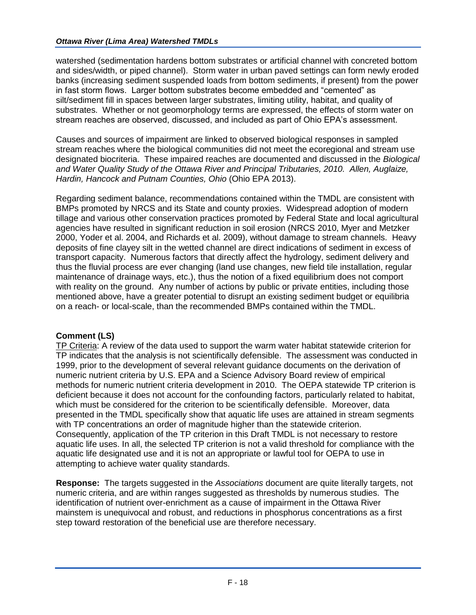watershed (sedimentation hardens bottom substrates or artificial channel with concreted bottom and sides/width, or piped channel). Storm water in urban paved settings can form newly eroded banks (increasing sediment suspended loads from bottom sediments, if present) from the power in fast storm flows. Larger bottom substrates become embedded and "cemented" as silt/sediment fill in spaces between larger substrates, limiting utility, habitat, and quality of substrates. Whether or not geomorphology terms are expressed, the effects of storm water on stream reaches are observed, discussed, and included as part of Ohio EPA's assessment.

Causes and sources of impairment are linked to observed biological responses in sampled stream reaches where the biological communities did not meet the ecoregional and stream use designated biocriteria. These impaired reaches are documented and discussed in the *Biological and Water Quality Study of the Ottawa River and Principal Tributaries, 2010. Allen, Auglaize, Hardin, Hancock and Putnam Counties, Ohio* (Ohio EPA 2013).

Regarding sediment balance, recommendations contained within the TMDL are consistent with BMPs promoted by NRCS and its State and county proxies. Widespread adoption of modern tillage and various other conservation practices promoted by Federal State and local agricultural agencies have resulted in significant reduction in soil erosion (NRCS 2010, Myer and Metzker 2000, Yoder et al. 2004, and Richards et al. 2009), without damage to stream channels. Heavy deposits of fine clayey silt in the wetted channel are direct indications of sediment in excess of transport capacity. Numerous factors that directly affect the hydrology, sediment delivery and thus the fluvial process are ever changing (land use changes, new field tile installation, regular maintenance of drainage ways, etc.), thus the notion of a fixed equilibrium does not comport with reality on the ground. Any number of actions by public or private entities, including those mentioned above, have a greater potential to disrupt an existing sediment budget or equilibria on a reach- or local-scale, than the recommended BMPs contained within the TMDL.

#### **Comment (LS)**

TP Criteria: A review of the data used to support the warm water habitat statewide criterion for TP indicates that the analysis is not scientifically defensible. The assessment was conducted in 1999, prior to the development of several relevant guidance documents on the derivation of numeric nutrient criteria by U.S. EPA and a Science Advisory Board review of empirical methods for numeric nutrient criteria development in 2010. The OEPA statewide TP criterion is deficient because it does not account for the confounding factors, particularly related to habitat, which must be considered for the criterion to be scientifically defensible. Moreover, data presented in the TMDL specifically show that aquatic life uses are attained in stream segments with TP concentrations an order of magnitude higher than the statewide criterion. Consequently, application of the TP criterion in this Draft TMDL is not necessary to restore aquatic life uses. In all, the selected TP criterion is not a valid threshold for compliance with the aquatic life designated use and it is not an appropriate or lawful tool for OEPA to use in attempting to achieve water quality standards.

**Response:** The targets suggested in the *Associations* document are quite literally targets, not numeric criteria, and are within ranges suggested as thresholds by numerous studies. The identification of nutrient over-enrichment as a cause of impairment in the Ottawa River mainstem is unequivocal and robust, and reductions in phosphorus concentrations as a first step toward restoration of the beneficial use are therefore necessary.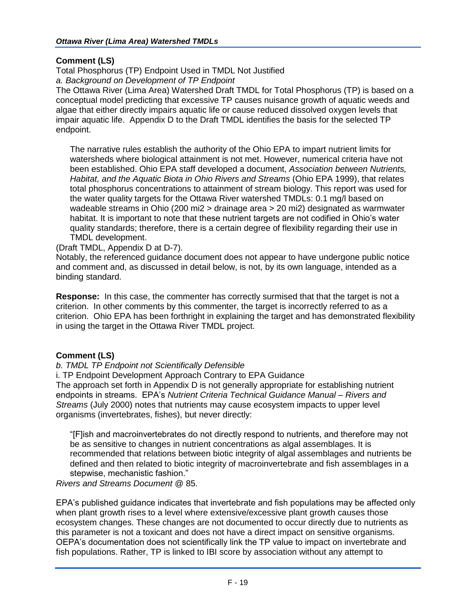## **Comment (LS)**

Total Phosphorus (TP) Endpoint Used in TMDL Not Justified *a. Background on Development of TP Endpoint*

The Ottawa River (Lima Area) Watershed Draft TMDL for Total Phosphorus (TP) is based on a conceptual model predicting that excessive TP causes nuisance growth of aquatic weeds and algae that either directly impairs aquatic life or cause reduced dissolved oxygen levels that impair aquatic life. Appendix D to the Draft TMDL identifies the basis for the selected TP endpoint.

The narrative rules establish the authority of the Ohio EPA to impart nutrient limits for watersheds where biological attainment is not met. However, numerical criteria have not been established. Ohio EPA staff developed a document, *Association between Nutrients, Habitat, and the Aquatic Biota in Ohio Rivers and Streams* (Ohio EPA 1999), that relates total phosphorus concentrations to attainment of stream biology. This report was used for the water quality targets for the Ottawa River watershed TMDLs: 0.1 mg/l based on wadeable streams in Ohio (200 mi2 > drainage area > 20 mi2) designated as warmwater habitat. It is important to note that these nutrient targets are not codified in Ohio's water quality standards; therefore, there is a certain degree of flexibility regarding their use in TMDL development.

(Draft TMDL, Appendix D at D-7).

Notably, the referenced guidance document does not appear to have undergone public notice and comment and, as discussed in detail below, is not, by its own language, intended as a binding standard.

**Response:** In this case, the commenter has correctly surmised that that the target is not a criterion. In other comments by this commenter, the target is incorrectly referred to as a criterion. Ohio EPA has been forthright in explaining the target and has demonstrated flexibility in using the target in the Ottawa River TMDL project.

# **Comment (LS)**

#### *b. TMDL TP Endpoint not Scientifically Defensible*

i. TP Endpoint Development Approach Contrary to EPA Guidance The approach set forth in Appendix D is not generally appropriate for establishing nutrient endpoints in streams. EPA's *Nutrient Criteria Technical Guidance Manual – Rivers and Streams* (July 2000) notes that nutrients may cause ecosystem impacts to upper level organisms (invertebrates, fishes), but never directly:

"[F]ish and macroinvertebrates do not directly respond to nutrients, and therefore may not be as sensitive to changes in nutrient concentrations as algal assemblages. It is recommended that relations between biotic integrity of algal assemblages and nutrients be defined and then related to biotic integrity of macroinvertebrate and fish assemblages in a stepwise, mechanistic fashion."

*Rivers and Streams Document* @ 85.

EPA's published guidance indicates that invertebrate and fish populations may be affected only when plant growth rises to a level where extensive/excessive plant growth causes those ecosystem changes. These changes are not documented to occur directly due to nutrients as this parameter is not a toxicant and does not have a direct impact on sensitive organisms. OEPA's documentation does not scientifically link the TP value to impact on invertebrate and fish populations. Rather, TP is linked to IBI score by association without any attempt to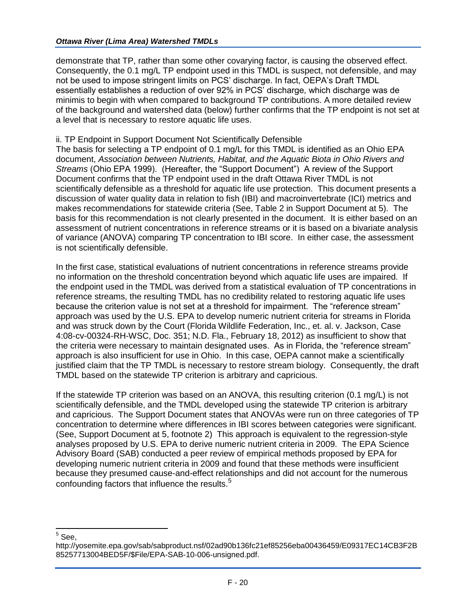demonstrate that TP, rather than some other covarying factor, is causing the observed effect. Consequently, the 0.1 mg/L TP endpoint used in this TMDL is suspect, not defensible, and may not be used to impose stringent limits on PCS' discharge. In fact, OEPA's Draft TMDL essentially establishes a reduction of over 92% in PCS' discharge, which discharge was de minimis to begin with when compared to background TP contributions. A more detailed review of the background and watershed data (below) further confirms that the TP endpoint is not set at a level that is necessary to restore aquatic life uses.

#### ii. TP Endpoint in Support Document Not Scientifically Defensible

The basis for selecting a TP endpoint of 0.1 mg/L for this TMDL is identified as an Ohio EPA document, *Association between Nutrients, Habitat, and the Aquatic Biota in Ohio Rivers and Streams* (Ohio EPA 1999). (Hereafter, the "Support Document") A review of the Support Document confirms that the TP endpoint used in the draft Ottawa River TMDL is not scientifically defensible as a threshold for aquatic life use protection. This document presents a discussion of water quality data in relation to fish (IBI) and macroinvertebrate (ICI) metrics and makes recommendations for statewide criteria (See, Table 2 in Support Document at 5). The basis for this recommendation is not clearly presented in the document. It is either based on an assessment of nutrient concentrations in reference streams or it is based on a bivariate analysis of variance (ANOVA) comparing TP concentration to IBI score. In either case, the assessment is not scientifically defensible.

In the first case, statistical evaluations of nutrient concentrations in reference streams provide no information on the threshold concentration beyond which aquatic life uses are impaired. If the endpoint used in the TMDL was derived from a statistical evaluation of TP concentrations in reference streams, the resulting TMDL has no credibility related to restoring aquatic life uses because the criterion value is not set at a threshold for impairment. The "reference stream" approach was used by the U.S. EPA to develop numeric nutrient criteria for streams in Florida and was struck down by the Court (Florida Wildlife Federation, Inc., et. al. v. Jackson, Case 4:08-cv-00324-RH-WSC, Doc. 351; N.D. Fla., February 18, 2012) as insufficient to show that the criteria were necessary to maintain designated uses. As in Florida, the "reference stream" approach is also insufficient for use in Ohio. In this case, OEPA cannot make a scientifically justified claim that the TP TMDL is necessary to restore stream biology. Consequently, the draft TMDL based on the statewide TP criterion is arbitrary and capricious.

If the statewide TP criterion was based on an ANOVA, this resulting criterion (0.1 mg/L) is not scientifically defensible, and the TMDL developed using the statewide TP criterion is arbitrary and capricious. The Support Document states that ANOVAs were run on three categories of TP concentration to determine where differences in IBI scores between categories were significant. (See, Support Document at 5, footnote 2) This approach is equivalent to the regression-style analyses proposed by U.S. EPA to derive numeric nutrient criteria in 2009. The EPA Science Advisory Board (SAB) conducted a peer review of empirical methods proposed by EPA for developing numeric nutrient criteria in 2009 and found that these methods were insufficient because they presumed cause-and-effect relationships and did not account for the numerous confounding factors that influence the results.<sup>5</sup>

 $5$  See,

http://yosemite.epa.gov/sab/sabproduct.nsf/02ad90b136fc21ef85256eba00436459/E09317EC14CB3F2B 85257713004BED5F/\$File/EPA-SAB-10-006-unsigned.pdf.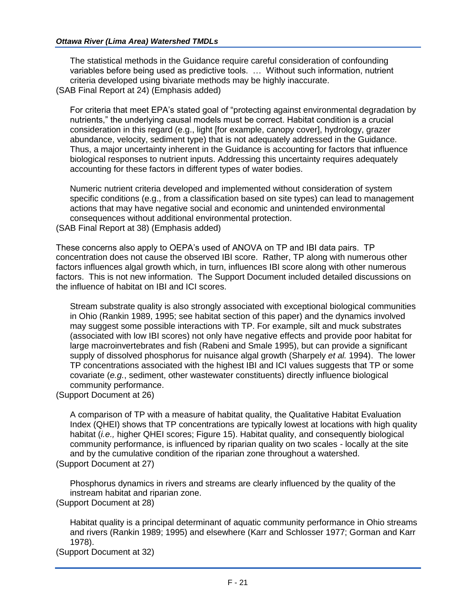The statistical methods in the Guidance require careful consideration of confounding variables before being used as predictive tools. … Without such information, nutrient criteria developed using bivariate methods may be highly inaccurate. (SAB Final Report at 24) (Emphasis added)

For criteria that meet EPA's stated goal of "protecting against environmental degradation by nutrients," the underlying causal models must be correct. Habitat condition is a crucial consideration in this regard (e.g., light [for example, canopy cover], hydrology, grazer abundance, velocity, sediment type) that is not adequately addressed in the Guidance. Thus, a major uncertainty inherent in the Guidance is accounting for factors that influence biological responses to nutrient inputs. Addressing this uncertainty requires adequately accounting for these factors in different types of water bodies.

Numeric nutrient criteria developed and implemented without consideration of system specific conditions (e.g., from a classification based on site types) can lead to management actions that may have negative social and economic and unintended environmental consequences without additional environmental protection. (SAB Final Report at 38) (Emphasis added)

These concerns also apply to OEPA's used of ANOVA on TP and IBI data pairs. TP concentration does not cause the observed IBI score. Rather, TP along with numerous other factors influences algal growth which, in turn, influences IBI score along with other numerous factors. This is not new information. The Support Document included detailed discussions on the influence of habitat on IBI and ICI scores.

Stream substrate quality is also strongly associated with exceptional biological communities in Ohio (Rankin 1989, 1995; see habitat section of this paper) and the dynamics involved may suggest some possible interactions with TP. For example, silt and muck substrates (associated with low IBI scores) not only have negative effects and provide poor habitat for large macroinvertebrates and fish (Rabeni and Smale 1995), but can provide a significant supply of dissolved phosphorus for nuisance algal growth (Sharpely *et al.* 1994). The lower TP concentrations associated with the highest IBI and ICI values suggests that TP or some covariate (*e.g.*, sediment, other wastewater constituents) directly influence biological community performance.

(Support Document at 26)

A comparison of TP with a measure of habitat quality, the Qualitative Habitat Evaluation Index (QHEI) shows that TP concentrations are typically lowest at locations with high quality habitat (*i.e.,* higher QHEI scores; Figure 15). Habitat quality, and consequently biological community performance, is influenced by riparian quality on two scales - locally at the site and by the cumulative condition of the riparian zone throughout a watershed. (Support Document at 27)

Phosphorus dynamics in rivers and streams are clearly influenced by the quality of the instream habitat and riparian zone. (Support Document at 28)

Habitat quality is a principal determinant of aquatic community performance in Ohio streams and rivers (Rankin 1989; 1995) and elsewhere (Karr and Schlosser 1977; Gorman and Karr 1978).

(Support Document at 32)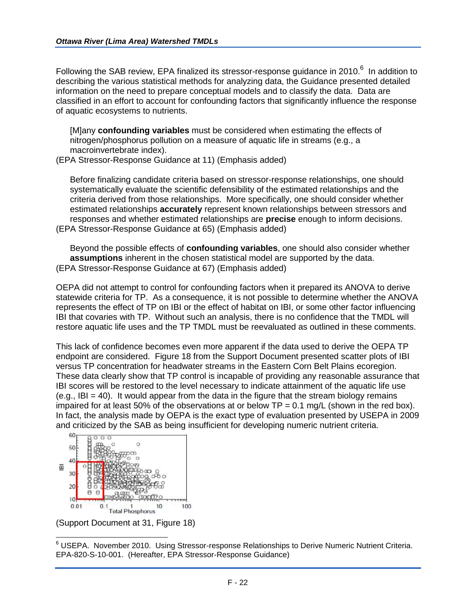Following the SAB review, EPA finalized its stressor-response guidance in 2010. $^6$  In addition to describing the various statistical methods for analyzing data, the Guidance presented detailed information on the need to prepare conceptual models and to classify the data. Data are classified in an effort to account for confounding factors that significantly influence the response of aquatic ecosystems to nutrients.

[M]any **confounding variables** must be considered when estimating the effects of nitrogen/phosphorus pollution on a measure of aquatic life in streams (e.g., a macroinvertebrate index).

(EPA Stressor-Response Guidance at 11) (Emphasis added)

Before finalizing candidate criteria based on stressor-response relationships, one should systematically evaluate the scientific defensibility of the estimated relationships and the criteria derived from those relationships. More specifically, one should consider whether estimated relationships **accurately** represent known relationships between stressors and responses and whether estimated relationships are **precise** enough to inform decisions. (EPA Stressor-Response Guidance at 65) (Emphasis added)

Beyond the possible effects of **confounding variables**, one should also consider whether **assumptions** inherent in the chosen statistical model are supported by the data. (EPA Stressor-Response Guidance at 67) (Emphasis added)

OEPA did not attempt to control for confounding factors when it prepared its ANOVA to derive statewide criteria for TP. As a consequence, it is not possible to determine whether the ANOVA represents the effect of TP on IBI or the effect of habitat on IBI, or some other factor influencing IBI that covaries with TP. Without such an analysis, there is no confidence that the TMDL will restore aquatic life uses and the TP TMDL must be reevaluated as outlined in these comments.

This lack of confidence becomes even more apparent if the data used to derive the OEPA TP endpoint are considered. Figure 18 from the Support Document presented scatter plots of IBI versus TP concentration for headwater streams in the Eastern Corn Belt Plains ecoregion. These data clearly show that TP control is incapable of providing any reasonable assurance that IBI scores will be restored to the level necessary to indicate attainment of the aquatic life use  $(e.g., IB = 40)$ . It would appear from the data in the figure that the stream biology remains impaired for at least 50% of the observations at or below  $TP = 0.1$  mg/L (shown in the red box). In fact, the analysis made by OEPA is the exact type of evaluation presented by USEPA in 2009 and criticized by the SAB as being insufficient for developing numeric nutrient criteria.



(Support Document at 31, Figure 18)

<sup>6</sup> USEPA. November 2010. Using Stressor-response Relationships to Derive Numeric Nutrient Criteria. EPA-820-S-10-001. (Hereafter, EPA Stressor-Response Guidance)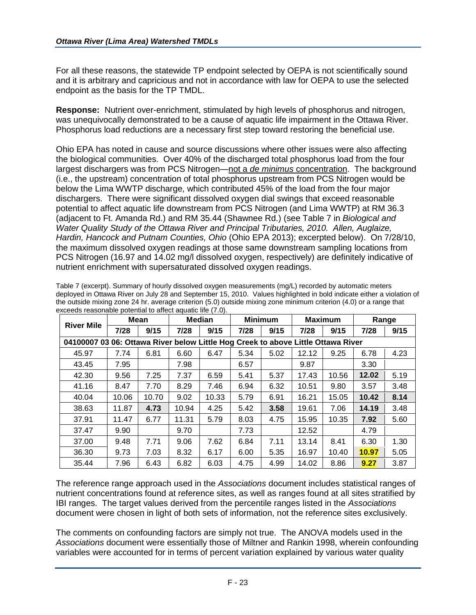For all these reasons, the statewide TP endpoint selected by OEPA is not scientifically sound and it is arbitrary and capricious and not in accordance with law for OEPA to use the selected endpoint as the basis for the TP TMDL.

**Response:** Nutrient over-enrichment, stimulated by high levels of phosphorus and nitrogen, was unequivocally demonstrated to be a cause of aquatic life impairment in the Ottawa River. Phosphorus load reductions are a necessary first step toward restoring the beneficial use.

Ohio EPA has noted in cause and source discussions where other issues were also affecting the biological communities. Over 40% of the discharged total phosphorus load from the four largest dischargers was from PCS Nitrogen—not a *de minimus* concentration. The background (i.e., the upstream) concentration of total phosphorus upstream from PCS Nitrogen would be below the Lima WWTP discharge, which contributed 45% of the load from the four major dischargers. There were significant dissolved oxygen dial swings that exceed reasonable potential to affect aquatic life downstream from PCS Nitrogen (and Lima WWTP) at RM 36.3 (adjacent to Ft. Amanda Rd.) and RM 35.44 (Shawnee Rd.) (see Table 7 in *Biological and Water Quality Study of the Ottawa River and Principal Tributaries, 2010. Allen, Auglaize, Hardin, Hancock and Putnam Counties, Ohio* (Ohio EPA 2013); excerpted below). On 7/28/10, the maximum dissolved oxygen readings at those same downstream sampling locations from PCS Nitrogen (16.97 and 14.02 mg/l dissolved oxygen, respectively) are definitely indicative of nutrient enrichment with supersaturated dissolved oxygen readings.

|                                                                                  | Mean  |       | <b>Median</b> |       | <b>Minimum</b> |      | <b>Maximum</b> |       | Range |      |
|----------------------------------------------------------------------------------|-------|-------|---------------|-------|----------------|------|----------------|-------|-------|------|
| <b>River Mile</b>                                                                | 7/28  | 9/15  | 7/28          | 9/15  | 7/28           | 9/15 | 7/28           | 9/15  | 7/28  | 9/15 |
| 04100007 03 06: Ottawa River below Little Hog Creek to above Little Ottawa River |       |       |               |       |                |      |                |       |       |      |
| 45.97                                                                            | 7.74  | 6.81  | 6.60          | 6.47  | 5.34           | 5.02 | 12.12          | 9.25  | 6.78  | 4.23 |
| 43.45                                                                            | 7.95  |       | 7.98          |       | 6.57           |      | 9.87           |       | 3.30  |      |
| 42.30                                                                            | 9.56  | 7.25  | 7.37          | 6.59  | 5.41           | 5.37 | 17.43          | 10.56 | 12.02 | 5.19 |
| 41.16                                                                            | 8.47  | 7.70  | 8.29          | 7.46  | 6.94           | 6.32 | 10.51          | 9.80  | 3.57  | 3.48 |
| 40.04                                                                            | 10.06 | 10.70 | 9.02          | 10.33 | 5.79           | 6.91 | 16.21          | 15.05 | 10.42 | 8.14 |
| 38.63                                                                            | 11.87 | 4.73  | 10.94         | 4.25  | 5.42           | 3.58 | 19.61          | 7.06  | 14.19 | 3.48 |
| 37.91                                                                            | 11.47 | 6.77  | 11.31         | 5.79  | 8.03           | 4.75 | 15.95          | 10.35 | 7.92  | 5.60 |
| 37.47                                                                            | 9.90  |       | 9.70          |       | 7.73           |      | 12.52          |       | 4.79  |      |
| 37.00                                                                            | 9.48  | 7.71  | 9.06          | 7.62  | 6.84           | 7.11 | 13.14          | 8.41  | 6.30  | 1.30 |
| 36.30                                                                            | 9.73  | 7.03  | 8.32          | 6.17  | 6.00           | 5.35 | 16.97          | 10.40 | 10.97 | 5.05 |
| 35.44                                                                            | 7.96  | 6.43  | 6.82          | 6.03  | 4.75           | 4.99 | 14.02          | 8.86  | 9.27  | 3.87 |

Table 7 (excerpt). Summary of hourly dissolved oxygen measurements (mg/L) recorded by automatic meters deployed in Ottawa River on July 28 and September 15, 2010. Values highlighted in bold indicate either a violation of the outside mixing zone 24 hr. average criterion (5.0) outside mixing zone minimum criterion (4.0) or a range that exceeds reasonable potential to affect aquatic life (7.0).

The reference range approach used in the *Associations* document includes statistical ranges of nutrient concentrations found at reference sites, as well as ranges found at all sites stratified by IBI ranges. The target values derived from the percentile ranges listed in the *Associations* document were chosen in light of both sets of information, not the reference sites exclusively.

The comments on confounding factors are simply not true. The ANOVA models used in the *Associations* document were essentially those of Miltner and Rankin 1998, wherein confounding variables were accounted for in terms of percent variation explained by various water quality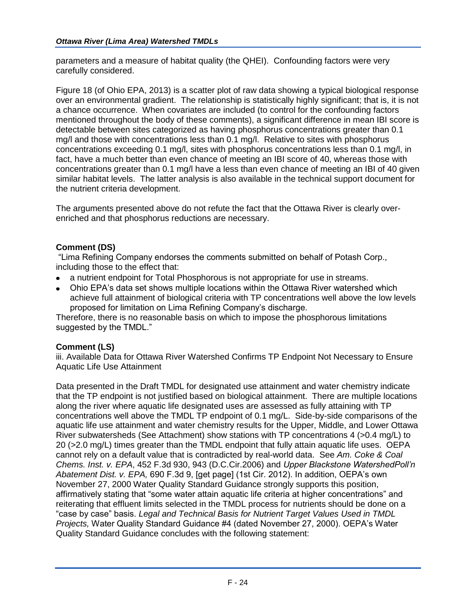parameters and a measure of habitat quality (the QHEI). Confounding factors were very carefully considered.

Figure 18 (of Ohio EPA, 2013) is a scatter plot of raw data showing a typical biological response over an environmental gradient. The relationship is statistically highly significant; that is, it is not a chance occurrence. When covariates are included (to control for the confounding factors mentioned throughout the body of these comments), a significant difference in mean IBI score is detectable between sites categorized as having phosphorus concentrations greater than 0.1 mg/l and those with concentrations less than 0.1 mg/l. Relative to sites with phosphorus concentrations exceeding 0.1 mg/l, sites with phosphorus concentrations less than 0.1 mg/l, in fact, have a much better than even chance of meeting an IBI score of 40, whereas those with concentrations greater than 0.1 mg/l have a less than even chance of meeting an IBI of 40 given similar habitat levels. The latter analysis is also available in the technical support document for the nutrient criteria development.

The arguments presented above do not refute the fact that the Ottawa River is clearly overenriched and that phosphorus reductions are necessary.

# **Comment (DS)**

"Lima Refining Company endorses the comments submitted on behalf of Potash Corp., including those to the effect that:

- a nutrient endpoint for Total Phosphorous is not appropriate for use in streams.  $\bullet$
- Ohio EPA's data set shows multiple locations within the Ottawa River watershed which achieve full attainment of biological criteria with TP concentrations well above the low levels proposed for limitation on Lima Refining Company's discharge.

Therefore, there is no reasonable basis on which to impose the phosphorous limitations suggested by the TMDL."

#### **Comment (LS)**

iii. Available Data for Ottawa River Watershed Confirms TP Endpoint Not Necessary to Ensure Aquatic Life Use Attainment

Data presented in the Draft TMDL for designated use attainment and water chemistry indicate that the TP endpoint is not justified based on biological attainment. There are multiple locations along the river where aquatic life designated uses are assessed as fully attaining with TP concentrations well above the TMDL TP endpoint of 0.1 mg/L. Side-by-side comparisons of the aquatic life use attainment and water chemistry results for the Upper, Middle, and Lower Ottawa River subwatersheds (See Attachment) show stations with TP concentrations 4 (>0.4 mg/L) to 20 (>2.0 mg/L) times greater than the TMDL endpoint that fully attain aquatic life uses. OEPA cannot rely on a default value that is contradicted by real-world data. See *Am. Coke & Coal Chems. Inst. v. EPA*, 452 F.3d 930, 943 (D.C.Cir.2006) and *Upper Blackstone WatershedPoll'n Abatement Dist. v. EPA,* 690 F.3d 9, [get page] (1st Cir. 2012). In addition, OEPA's own November 27, 2000 Water Quality Standard Guidance strongly supports this position, affirmatively stating that "some water attain aquatic life criteria at higher concentrations" and reiterating that effluent limits selected in the TMDL process for nutrients should be done on a "case by case" basis. *Legal and Technical Basis for Nutrient Target Values Used in TMDL Projects,* Water Quality Standard Guidance #4 (dated November 27, 2000). OEPA's Water Quality Standard Guidance concludes with the following statement: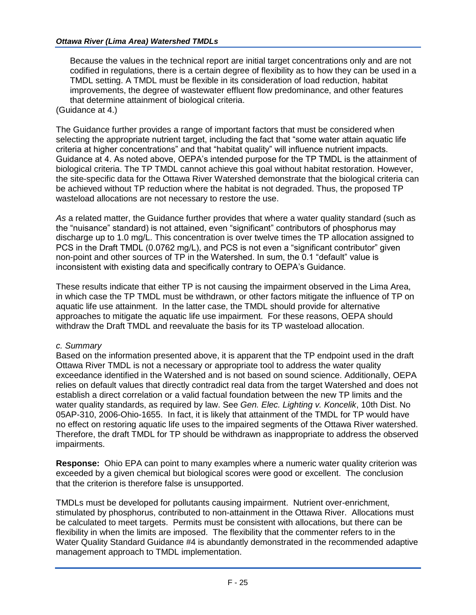Because the values in the technical report are initial target concentrations only and are not codified in regulations, there is a certain degree of flexibility as to how they can be used in a TMDL setting. A TMDL must be flexible in its consideration of load reduction, habitat improvements, the degree of wastewater effluent flow predominance, and other features that determine attainment of biological criteria. (Guidance at 4.)

The Guidance further provides a range of important factors that must be considered when selecting the appropriate nutrient target, including the fact that "some water attain aquatic life criteria at higher concentrations" and that "habitat quality" will influence nutrient impacts. Guidance at 4. As noted above, OEPA's intended purpose for the TP TMDL is the attainment of biological criteria. The TP TMDL cannot achieve this goal without habitat restoration. However, the site-specific data for the Ottawa River Watershed demonstrate that the biological criteria can be achieved without TP reduction where the habitat is not degraded. Thus, the proposed TP wasteload allocations are not necessary to restore the use.

*As* a related matter, the Guidance further provides that where a water quality standard (such as the "nuisance" standard) is not attained, even "significant" contributors of phosphorus may discharge up to 1.0 mg/L. This concentration is over twelve times the TP allocation assigned to PCS in the Draft TMDL (0.0762 mg/L), and PCS is not even a "significant contributor" given non-point and other sources of TP in the Watershed. In sum, the 0.1 "default" value is inconsistent with existing data and specifically contrary to OEPA's Guidance.

These results indicate that either TP is not causing the impairment observed in the Lima Area, in which case the TP TMDL must be withdrawn, or other factors mitigate the influence of TP on aquatic life use attainment. In the latter case, the TMDL should provide for alternative approaches to mitigate the aquatic life use impairment. For these reasons, OEPA should withdraw the Draft TMDL and reevaluate the basis for its TP wasteload allocation.

#### *c. Summary*

Based on the information presented above, it is apparent that the TP endpoint used in the draft Ottawa River TMDL is not a necessary or appropriate tool to address the water quality exceedance identified in the Watershed and is not based on sound science. Additionally, OEPA relies on default values that directly contradict real data from the target Watershed and does not establish a direct correlation or a valid factual foundation between the new TP limits and the water quality standards, as required by law. See *Gen. Elec. Lighting v. Koncelik*, 10th Dist. No 05AP-310, 2006-Ohio-1655. In fact, it is likely that attainment of the TMDL for TP would have no effect on restoring aquatic life uses to the impaired segments of the Ottawa River watershed. Therefore, the draft TMDL for TP should be withdrawn as inappropriate to address the observed impairments.

**Response:** Ohio EPA can point to many examples where a numeric water quality criterion was exceeded by a given chemical but biological scores were good or excellent. The conclusion that the criterion is therefore false is unsupported.

TMDLs must be developed for pollutants causing impairment. Nutrient over-enrichment, stimulated by phosphorus, contributed to non-attainment in the Ottawa River. Allocations must be calculated to meet targets. Permits must be consistent with allocations, but there can be flexibility in when the limits are imposed. The flexibility that the commenter refers to in the Water Quality Standard Guidance #4 is abundantly demonstrated in the recommended adaptive management approach to TMDL implementation.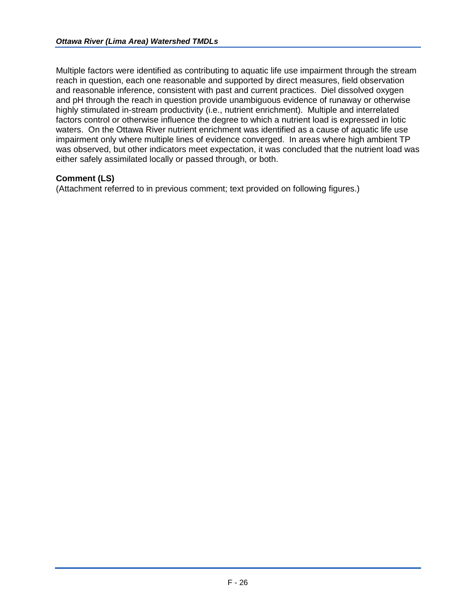Multiple factors were identified as contributing to aquatic life use impairment through the stream reach in question, each one reasonable and supported by direct measures, field observation and reasonable inference, consistent with past and current practices. Diel dissolved oxygen and pH through the reach in question provide unambiguous evidence of runaway or otherwise highly stimulated in-stream productivity (i.e., nutrient enrichment). Multiple and interrelated factors control or otherwise influence the degree to which a nutrient load is expressed in lotic waters. On the Ottawa River nutrient enrichment was identified as a cause of aquatic life use impairment only where multiple lines of evidence converged. In areas where high ambient TP was observed, but other indicators meet expectation, it was concluded that the nutrient load was either safely assimilated locally or passed through, or both.

## **Comment (LS)**

(Attachment referred to in previous comment; text provided on following figures.)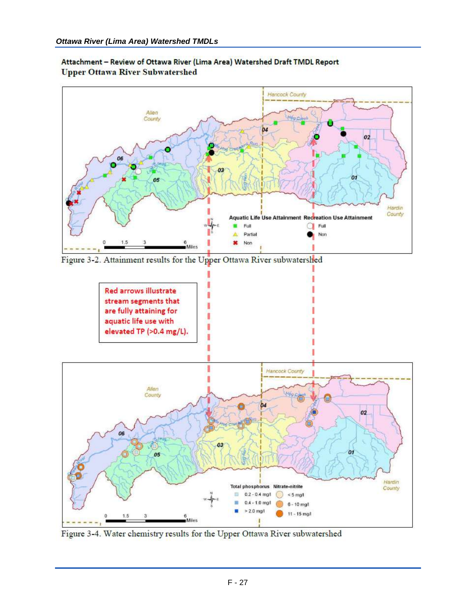

Attachment - Review of Ottawa River (Lima Area) Watershed Draft TMDL Report **Upper Ottawa River Subwatershed** 

Figure 3-2. Attainment results for the Upper Ottawa River subwatershed



Figure 3-4. Water chemistry results for the Upper Ottawa River subwatershed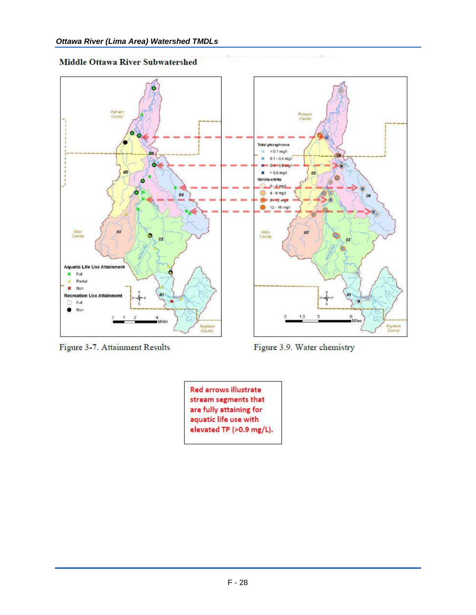



Figure 3-7. Attainment Results



Figure 3.9. Water chemistry

**Red arrows illustrate** stream segments that are fully attaining for aquatic life use with elevated TP (>0.9 mg/L).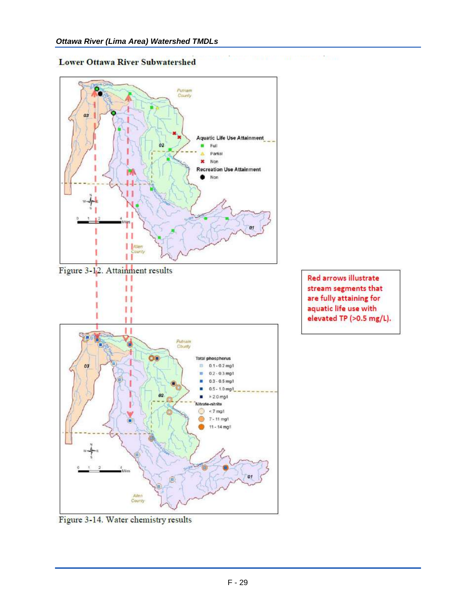#### **Lower Ottawa River Subwatershed**



Figure 3-12. Attainment results П

п

п



Red arrows illustrate stream segments that are fully attaining for aquatic life use with elevated TP (>0.5 mg/L).

Figure 3-14. Water chemistry results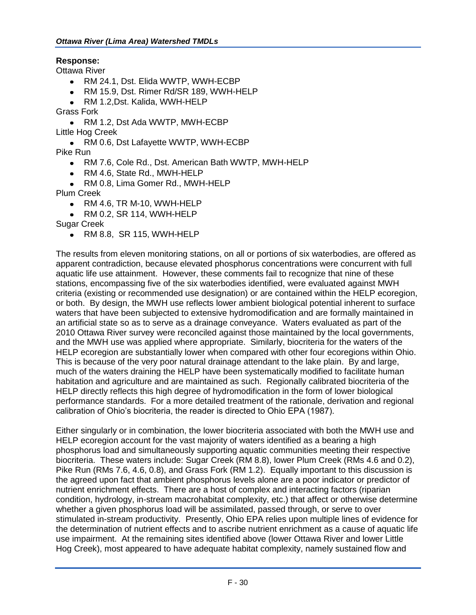## **Response:**

Ottawa River

- RM 24.1, Dst. Elida WWTP, WWH-ECBP
- RM 15.9, Dst. Rimer Rd/SR 189, WWH-HELP
- RM 1.2,Dst. Kalida, WWH-HELP

Grass Fork

- RM 1.2, Dst Ada WWTP, MWH-ECBP
- Little Hog Creek
	- RM 0.6, Dst Lafayette WWTP, WWH-ECBP

Pike Run

- RM 7.6, Cole Rd., Dst. American Bath WWTP, MWH-HELP
- RM 4.6, State Rd., MWH-HELP
- RM 0.8, Lima Gomer Rd., MWH-HELP

Plum Creek

- RM 4.6, TR M-10, WWH-HELP
- RM 0.2, SR 114, WWH-HELP

Sugar Creek

RM 8.8, SR 115, WWH-HELP

The results from eleven monitoring stations, on all or portions of six waterbodies, are offered as apparent contradiction, because elevated phosphorus concentrations were concurrent with full aquatic life use attainment. However, these comments fail to recognize that nine of these stations, encompassing five of the six waterbodies identified, were evaluated against MWH criteria (existing or recommended use designation) or are contained within the HELP ecoregion, or both. By design, the MWH use reflects lower ambient biological potential inherent to surface waters that have been subjected to extensive hydromodification and are formally maintained in an artificial state so as to serve as a drainage conveyance. Waters evaluated as part of the 2010 Ottawa River survey were reconciled against those maintained by the local governments, and the MWH use was applied where appropriate. Similarly, biocriteria for the waters of the HELP ecoregion are substantially lower when compared with other four ecoregions within Ohio. This is because of the very poor natural drainage attendant to the lake plain. By and large, much of the waters draining the HELP have been systematically modified to facilitate human habitation and agriculture and are maintained as such. Regionally calibrated biocriteria of the HELP directly reflects this high degree of hydromodification in the form of lower biological performance standards. For a more detailed treatment of the rationale, derivation and regional calibration of Ohio's biocriteria, the reader is directed to Ohio EPA (1987).

Either singularly or in combination, the lower biocriteria associated with both the MWH use and HELP ecoregion account for the vast majority of waters identified as a bearing a high phosphorus load and simultaneously supporting aquatic communities meeting their respective biocriteria. These waters include: Sugar Creek (RM 8.8), lower Plum Creek (RMs 4.6 and 0.2), Pike Run (RMs 7.6, 4.6, 0.8), and Grass Fork (RM 1.2). Equally important to this discussion is the agreed upon fact that ambient phosphorus levels alone are a poor indicator or predictor of nutrient enrichment effects. There are a host of complex and interacting factors (riparian condition, hydrology, in-stream macrohabitat complexity, etc.) that affect or otherwise determine whether a given phosphorus load will be assimilated, passed through, or serve to over stimulated in-stream productivity. Presently, Ohio EPA relies upon multiple lines of evidence for the determination of nutrient effects and to ascribe nutrient enrichment as a cause of aquatic life use impairment. At the remaining sites identified above (lower Ottawa River and lower Little Hog Creek), most appeared to have adequate habitat complexity, namely sustained flow and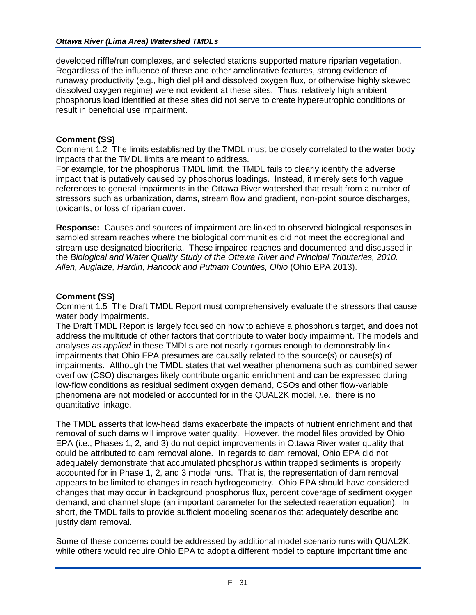developed riffle/run complexes, and selected stations supported mature riparian vegetation. Regardless of the influence of these and other ameliorative features, strong evidence of runaway productivity (e.g., high diel pH and dissolved oxygen flux, or otherwise highly skewed dissolved oxygen regime) were not evident at these sites. Thus, relatively high ambient phosphorus load identified at these sites did not serve to create hypereutrophic conditions or result in beneficial use impairment.

## **Comment (SS)**

Comment 1.2 The limits established by the TMDL must be closely correlated to the water body impacts that the TMDL limits are meant to address.

For example, for the phosphorus TMDL limit, the TMDL fails to clearly identify the adverse impact that is putatively caused by phosphorus loadings. Instead, it merely sets forth vague references to general impairments in the Ottawa River watershed that result from a number of stressors such as urbanization, dams, stream flow and gradient, non-point source discharges, toxicants, or loss of riparian cover.

**Response:** Causes and sources of impairment are linked to observed biological responses in sampled stream reaches where the biological communities did not meet the ecoregional and stream use designated biocriteria. These impaired reaches and documented and discussed in the *Biological and Water Quality Study of the Ottawa River and Principal Tributaries, 2010. Allen, Auglaize, Hardin, Hancock and Putnam Counties, Ohio* (Ohio EPA 2013).

#### **Comment (SS)**

Comment 1.5 The Draft TMDL Report must comprehensively evaluate the stressors that cause water body impairments.

The Draft TMDL Report is largely focused on how to achieve a phosphorus target, and does not address the multitude of other factors that contribute to water body impairment. The models and analyses *as applied* in these TMDLs are not nearly rigorous enough to demonstrably link impairments that Ohio EPA presumes are causally related to the source(s) or cause(s) of impairments. Although the TMDL states that wet weather phenomena such as combined sewer overflow (CSO) discharges likely contribute organic enrichment and can be expressed during low-flow conditions as residual sediment oxygen demand, CSOs and other flow-variable phenomena are not modeled or accounted for in the QUAL2K model, *i.*e., there is no quantitative linkage.

The TMDL asserts that low-head dams exacerbate the impacts of nutrient enrichment and that removal of such dams will improve water quality. However, the model files provided by Ohio EPA (i.e., Phases 1, 2, and 3) do not depict improvements in Ottawa River water quality that could be attributed to dam removal alone. In regards to dam removal, Ohio EPA did not adequately demonstrate that accumulated phosphorus within trapped sediments is properly accounted for in Phase 1, 2, and 3 model runs. That is, the representation of dam removal appears to be limited to changes in reach hydrogeometry. Ohio EPA should have considered changes that may occur in background phosphorus flux, percent coverage of sediment oxygen demand, and channel slope (an important parameter for the selected reaeration equation). In short, the TMDL fails to provide sufficient modeling scenarios that adequately describe and justify dam removal.

Some of these concerns could be addressed by additional model scenario runs with QUAL2K, while others would require Ohio EPA to adopt a different model to capture important time and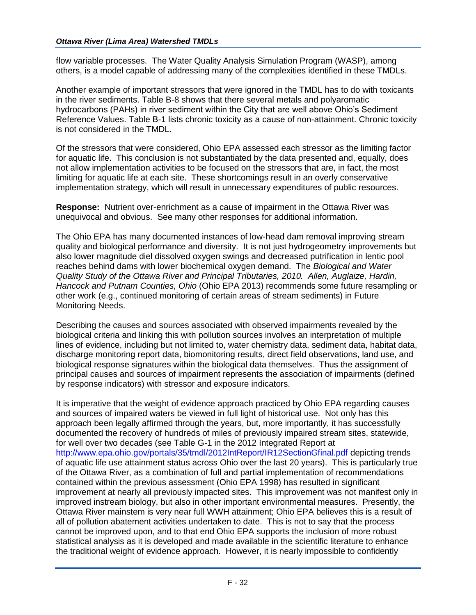flow variable processes. The Water Quality Analysis Simulation Program (WASP), among others, is a model capable of addressing many of the complexities identified in these TMDLs.

Another example of important stressors that were ignored in the TMDL has to do with toxicants in the river sediments. Table B-8 shows that there several metals and polyaromatic hydrocarbons (PAHs) in river sediment within the City that are well above Ohio's Sediment Reference Values. Table B-1 lists chronic toxicity as a cause of non-attainment. Chronic toxicity is not considered in the TMDL.

Of the stressors that were considered, Ohio EPA assessed each stressor as the limiting factor for aquatic life. This conclusion is not substantiated by the data presented and, equally, does not allow implementation activities to be focused on the stressors that are, in fact, the most limiting for aquatic life at each site. These shortcomings result in an overly conservative implementation strategy, which will result in unnecessary expenditures of public resources.

**Response:** Nutrient over-enrichment as a cause of impairment in the Ottawa River was unequivocal and obvious. See many other responses for additional information.

The Ohio EPA has many documented instances of low-head dam removal improving stream quality and biological performance and diversity. It is not just hydrogeometry improvements but also lower magnitude diel dissolved oxygen swings and decreased putrification in lentic pool reaches behind dams with lower biochemical oxygen demand. The *Biological and Water Quality Study of the Ottawa River and Principal Tributaries, 2010. Allen, Auglaize, Hardin, Hancock and Putnam Counties, Ohio* (Ohio EPA 2013) recommends some future resampling or other work (e.g., continued monitoring of certain areas of stream sediments) in Future Monitoring Needs.

Describing the causes and sources associated with observed impairments revealed by the biological criteria and linking this with pollution sources involves an interpretation of multiple lines of evidence, including but not limited to, water chemistry data, sediment data, habitat data, discharge monitoring report data, biomonitoring results, direct field observations, land use, and biological response signatures within the biological data themselves. Thus the assignment of principal causes and sources of impairment represents the association of impairments (defined by response indicators) with stressor and exposure indicators.

It is imperative that the weight of evidence approach practiced by Ohio EPA regarding causes and sources of impaired waters be viewed in full light of historical use. Not only has this approach been legally affirmed through the years, but, more importantly, it has successfully documented the recovery of hundreds of miles of previously impaired stream sites, statewide, for well over two decades (see Table G-1 in the 2012 Integrated Report at <http://www.epa.ohio.gov/portals/35/tmdl/2012IntReport/IR12SectionGfinal.pdf> depicting trends of aquatic life use attainment status across Ohio over the last 20 years). This is particularly true of the Ottawa River, as a combination of full and partial implementation of recommendations contained within the previous assessment (Ohio EPA 1998) has resulted in significant improvement at nearly all previously impacted sites. This improvement was not manifest only in improved instream biology, but also in other important environmental measures. Presently, the Ottawa River mainstem is very near full WWH attainment; Ohio EPA believes this is a result of all of pollution abatement activities undertaken to date. This is not to say that the process cannot be improved upon, and to that end Ohio EPA supports the inclusion of more robust statistical analysis as it is developed and made available in the scientific literature to enhance the traditional weight of evidence approach. However, it is nearly impossible to confidently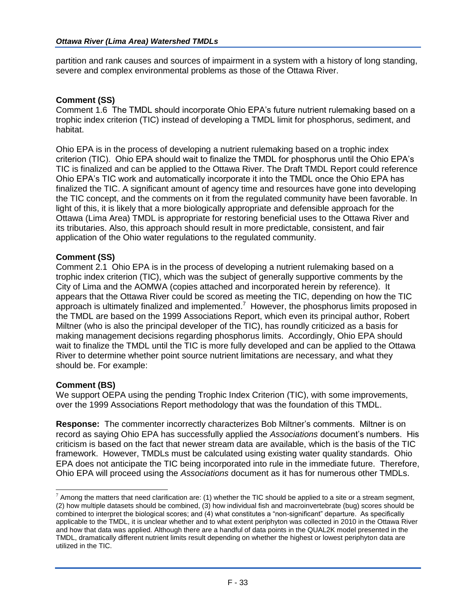partition and rank causes and sources of impairment in a system with a history of long standing, severe and complex environmental problems as those of the Ottawa River.

#### **Comment (SS)**

Comment 1.6 The TMDL should incorporate Ohio EPA's future nutrient rulemaking based on a trophic index criterion (TIC) instead of developing a TMDL limit for phosphorus, sediment, and habitat.

Ohio EPA is in the process of developing a nutrient rulemaking based on a trophic index criterion (TIC). Ohio EPA should wait to finalize the TMDL for phosphorus until the Ohio EPA's TIC is finalized and can be applied to the Ottawa River. The Draft TMDL Report could reference Ohio EPA's TIC work and automatically incorporate it into the TMDL once the Ohio EPA has finalized the TIC. A significant amount of agency time and resources have gone into developing the TIC concept, and the comments on it from the regulated community have been favorable. In light of this, it is likely that a more biologically appropriate and defensible approach for the Ottawa (Lima Area) TMDL is appropriate for restoring beneficial uses to the Ottawa River and its tributaries. Also, this approach should result in more predictable, consistent, and fair application of the Ohio water regulations to the regulated community.

#### **Comment (SS)**

Comment 2.1 Ohio EPA is in the process of developing a nutrient rulemaking based on a trophic index criterion (TIC), which was the subject of generally supportive comments by the City of Lima and the AOMWA (copies attached and incorporated herein by reference). It appears that the Ottawa River could be scored as meeting the TIC, depending on how the TIC approach is ultimately finalized and implemented.<sup>7</sup> However, the phosphorus limits proposed in the TMDL are based on the 1999 Associations Report, which even its principal author, Robert Miltner (who is also the principal developer of the TIC), has roundly criticized as a basis for making management decisions regarding phosphorus limits. Accordingly, Ohio EPA should wait to finalize the TMDL until the TIC is more fully developed and can be applied to the Ottawa River to determine whether point source nutrient limitations are necessary, and what they should be. For example:

#### **Comment (BS)**

 $\overline{a}$ 

We support OEPA using the pending Trophic Index Criterion (TIC), with some improvements, over the 1999 Associations Report methodology that was the foundation of this TMDL.

**Response:** The commenter incorrectly characterizes Bob Miltner's comments. Miltner is on record as saying Ohio EPA has successfully applied the *Associations* document's numbers. His criticism is based on the fact that newer stream data are available, which is the basis of the TIC framework. However, TMDLs must be calculated using existing water quality standards. Ohio EPA does not anticipate the TIC being incorporated into rule in the immediate future. Therefore, Ohio EPA will proceed using the *Associations* document as it has for numerous other TMDLs.

 $^7$  Among the matters that need clarification are: (1) whether the TIC should be applied to a site or a stream segment, (2) how multiple datasets should be combined, (3) how individual fish and macroinvertebrate (bug) scores should be combined to interpret the biological scores; and (4) what constitutes a "non-significant" departure. As specifically applicable to the TMDL, it is unclear whether and to what extent periphyton was collected in 2010 in the Ottawa River and how that data was applied. Although there are a handful of data points in the QUAL2K model presented in the TMDL, dramatically different nutrient limits result depending on whether the highest or lowest periphyton data are utilized in the TIC.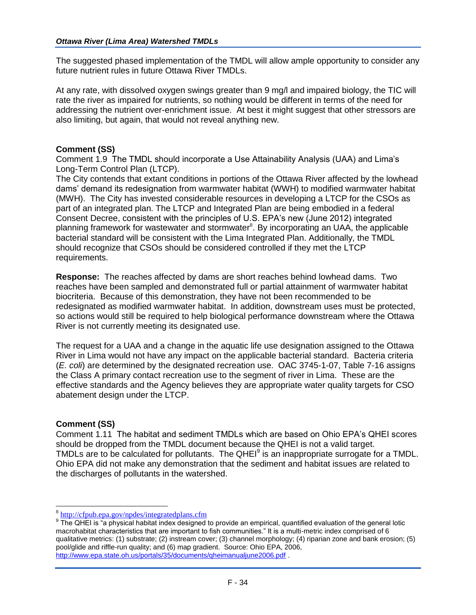The suggested phased implementation of the TMDL will allow ample opportunity to consider any future nutrient rules in future Ottawa River TMDLs.

At any rate, with dissolved oxygen swings greater than 9 mg/l and impaired biology, the TIC will rate the river as impaired for nutrients, so nothing would be different in terms of the need for addressing the nutrient over-enrichment issue. At best it might suggest that other stressors are also limiting, but again, that would not reveal anything new.

#### **Comment (SS)**

Comment 1.9 The TMDL should incorporate a Use Attainability Analysis (UAA) and Lima's Long-Term Control Plan (LTCP).

The City contends that extant conditions in portions of the Ottawa River affected by the lowhead dams' demand its redesignation from warmwater habitat (WWH) to modified warmwater habitat (MWH). The City has invested considerable resources in developing a LTCP for the CSOs as part of an integrated plan. The LTCP and Integrated Plan are being embodied in a federal Consent Decree, consistent with the principles of U.S. EPA's new (June 2012) integrated planning framework for wastewater and stormwater<sup>8</sup>. By incorporating an UAA, the applicable bacterial standard will be consistent with the Lima Integrated Plan. Additionally, the TMDL should recognize that CSOs should be considered controlled if they met the LTCP requirements.

**Response:** The reaches affected by dams are short reaches behind lowhead dams. Two reaches have been sampled and demonstrated full or partial attainment of warmwater habitat biocriteria. Because of this demonstration, they have not been recommended to be redesignated as modified warmwater habitat. In addition, downstream uses must be protected, so actions would still be required to help biological performance downstream where the Ottawa River is not currently meeting its designated use.

The request for a UAA and a change in the aquatic life use designation assigned to the Ottawa River in Lima would not have any impact on the applicable bacterial standard. Bacteria criteria (*E. coli*) are determined by the designated recreation use. OAC 3745-1-07, Table 7-16 assigns the Class A primary contact recreation use to the segment of river in Lima. These are the effective standards and the Agency believes they are appropriate water quality targets for CSO abatement design under the LTCP.

#### **Comment (SS)**

Comment 1.11 The habitat and sediment TMDLs which are based on Ohio EPA's QHEI scores should be dropped from the TMDL document because the QHEI is not a valid target. TMDLs are to be calculated for pollutants. The QHEI $<sup>9</sup>$  is an inappropriate surrogate for a TMDL.</sup> Ohio EPA did not make any demonstration that the sediment and habitat issues are related to the discharges of pollutants in the watershed.

<sup>&</sup>lt;sup>8</sup> <http://cfpub.epa.gov/npdes/integratedplans.cfm>

<sup>&</sup>lt;sup>9</sup> The QHEI is "a physical habitat index designed to provide an empirical, quantified evaluation of the general lotic macrohabitat characteristics that are important to fish communities." It is a multi-metric index comprised of 6 qualitative metrics: (1) substrate; (2) instream cover; (3) channel morphology; (4) riparian zone and bank erosion; (5) pool/glide and riffle-run quality; and (6) map gradient. Source: Ohio EPA, 2006, <http://www.epa.state.oh.us/portals/35/documents/qheimanualjune2006.pdf>.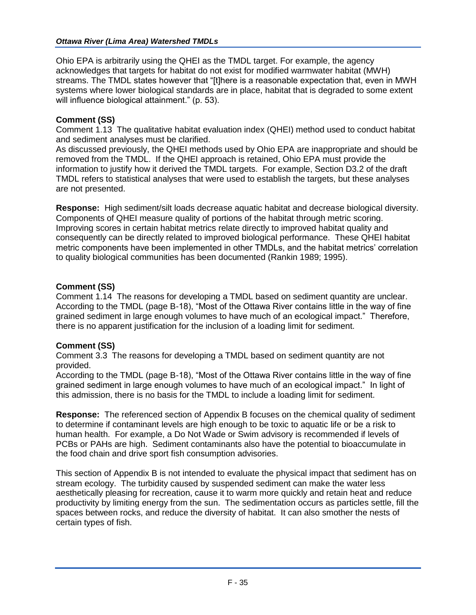Ohio EPA is arbitrarily using the QHEI as the TMDL target. For example, the agency acknowledges that targets for habitat do not exist for modified warmwater habitat (MWH) streams. The TMDL states however that "[t]here is a reasonable expectation that, even in MWH systems where lower biological standards are in place, habitat that is degraded to some extent will influence biological attainment." (p. 53).

## **Comment (SS)**

Comment 1.13 The qualitative habitat evaluation index (QHEI) method used to conduct habitat and sediment analyses must be clarified.

As discussed previously, the QHEI methods used by Ohio EPA are inappropriate and should be removed from the TMDL. If the QHEI approach is retained, Ohio EPA must provide the information to justify how it derived the TMDL targets. For example, Section D3.2 of the draft TMDL refers to statistical analyses that were used to establish the targets, but these analyses are not presented.

**Response:** High sediment/silt loads decrease aquatic habitat and decrease biological diversity. Components of QHEI measure quality of portions of the habitat through metric scoring. Improving scores in certain habitat metrics relate directly to improved habitat quality and consequently can be directly related to improved biological performance. These QHEI habitat metric components have been implemented in other TMDLs, and the habitat metrics' correlation to quality biological communities has been documented (Rankin 1989; 1995).

## **Comment (SS)**

Comment 1.14 The reasons for developing a TMDL based on sediment quantity are unclear. According to the TMDL (page B-18), "Most of the Ottawa River contains little in the way of fine grained sediment in large enough volumes to have much of an ecological impact." Therefore, there is no apparent justification for the inclusion of a loading limit for sediment.

# **Comment (SS)**

Comment 3.3 The reasons for developing a TMDL based on sediment quantity are not provided.

According to the TMDL (page B-18), "Most of the Ottawa River contains little in the way of fine grained sediment in large enough volumes to have much of an ecological impact." In light of this admission, there is no basis for the TMDL to include a loading limit for sediment.

**Response:** The referenced section of Appendix B focuses on the chemical quality of sediment to determine if contaminant levels are high enough to be toxic to aquatic life or be a risk to human health. For example, a Do Not Wade or Swim advisory is recommended if levels of PCBs or PAHs are high. Sediment contaminants also have the potential to bioaccumulate in the food chain and drive sport fish consumption advisories.

This section of Appendix B is not intended to evaluate the physical impact that sediment has on stream ecology. The turbidity caused by suspended sediment can make the water less aesthetically pleasing for recreation, cause it to warm more quickly and retain heat and reduce productivity by limiting energy from the sun. The sedimentation occurs as particles settle, fill the spaces between rocks, and reduce the diversity of habitat. It can also smother the nests of certain types of fish.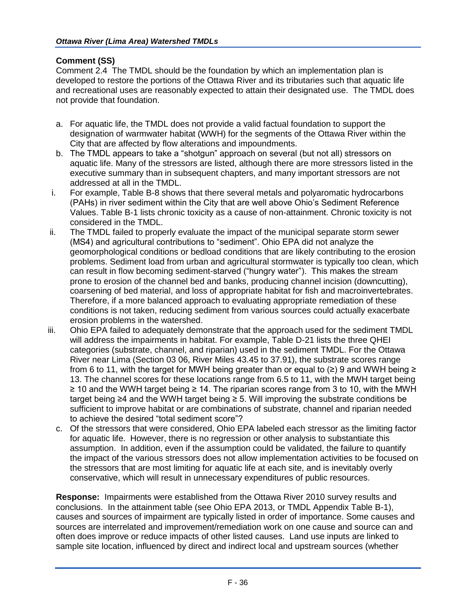## **Comment (SS)**

Comment 2.4 The TMDL should be the foundation by which an implementation plan is developed to restore the portions of the Ottawa River and its tributaries such that aquatic life and recreational uses are reasonably expected to attain their designated use. The TMDL does not provide that foundation.

- a. For aquatic life, the TMDL does not provide a valid factual foundation to support the designation of warmwater habitat (WWH) for the segments of the Ottawa River within the City that are affected by flow alterations and impoundments.
- b. The TMDL appears to take a "shotgun" approach on several (but not all) stressors on aquatic life. Many of the stressors are listed, although there are more stressors listed in the executive summary than in subsequent chapters, and many important stressors are not addressed at all in the TMDL.
- i. For example, Table B-8 shows that there several metals and polyaromatic hydrocarbons (PAHs) in river sediment within the City that are well above Ohio's Sediment Reference Values. Table B-1 lists chronic toxicity as a cause of non-attainment. Chronic toxicity is not considered in the TMDL.
- ii. The TMDL failed to properly evaluate the impact of the municipal separate storm sewer (MS4) and agricultural contributions to "sediment". Ohio EPA did not analyze the geomorphological conditions or bedload conditions that are likely contributing to the erosion problems. Sediment load from urban and agricultural stormwater is typically too clean, which can result in flow becoming sediment-starved ("hungry water"). This makes the stream prone to erosion of the channel bed and banks, producing channel incision (downcutting), coarsening of bed material, and loss of appropriate habitat for fish and macroinvertebrates. Therefore, if a more balanced approach to evaluating appropriate remediation of these conditions is not taken, reducing sediment from various sources could actually exacerbate erosion problems in the watershed.
- iii. Ohio EPA failed to adequately demonstrate that the approach used for the sediment TMDL will address the impairments in habitat. For example, Table D-21 lists the three QHEI categories (substrate, channel, and riparian) used in the sediment TMDL. For the Ottawa River near Lima (Section 03 06, River Miles 43.45 to 37.91), the substrate scores range from 6 to 11, with the target for MWH being greater than or equal to (≥) 9 and WWH being ≥ 13. The channel scores for these locations range from 6.5 to 11, with the MWH target being ≥ 10 and the WWH target being ≥ 14. The riparian scores range from 3 to 10, with the MWH target being ≥4 and the WWH target being ≥ 5. Will improving the substrate conditions be sufficient to improve habitat or are combinations of substrate, channel and riparian needed to achieve the desired "total sediment score"?
	- c. Of the stressors that were considered, Ohio EPA labeled each stressor as the limiting factor for aquatic life. However, there is no regression or other analysis to substantiate this assumption. In addition, even if the assumption could be validated, the failure to quantify the impact of the various stressors does not allow implementation activities to be focused on the stressors that are most limiting for aquatic life at each site, and is inevitably overly conservative, which will result in unnecessary expenditures of public resources.

**Response:** Impairments were established from the Ottawa River 2010 survey results and conclusions. In the attainment table (see Ohio EPA 2013, or TMDL Appendix Table B-1), causes and sources of impairment are typically listed in order of importance. Some causes and sources are interrelated and improvement/remediation work on one cause and source can and often does improve or reduce impacts of other listed causes. Land use inputs are linked to sample site location, influenced by direct and indirect local and upstream sources (whether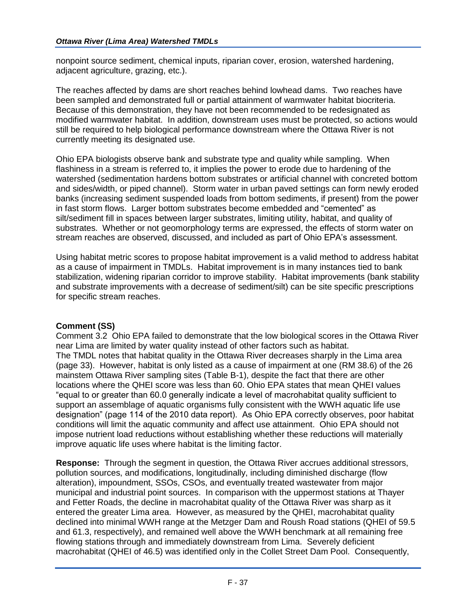nonpoint source sediment, chemical inputs, riparian cover, erosion, watershed hardening, adjacent agriculture, grazing, etc.).

The reaches affected by dams are short reaches behind lowhead dams. Two reaches have been sampled and demonstrated full or partial attainment of warmwater habitat biocriteria. Because of this demonstration, they have not been recommended to be redesignated as modified warmwater habitat. In addition, downstream uses must be protected, so actions would still be required to help biological performance downstream where the Ottawa River is not currently meeting its designated use.

Ohio EPA biologists observe bank and substrate type and quality while sampling. When flashiness in a stream is referred to, it implies the power to erode due to hardening of the watershed (sedimentation hardens bottom substrates or artificial channel with concreted bottom and sides/width, or piped channel). Storm water in urban paved settings can form newly eroded banks (increasing sediment suspended loads from bottom sediments, if present) from the power in fast storm flows. Larger bottom substrates become embedded and "cemented" as silt/sediment fill in spaces between larger substrates, limiting utility, habitat, and quality of substrates. Whether or not geomorphology terms are expressed, the effects of storm water on stream reaches are observed, discussed, and included as part of Ohio EPA's assessment.

Using habitat metric scores to propose habitat improvement is a valid method to address habitat as a cause of impairment in TMDLs. Habitat improvement is in many instances tied to bank stabilization, widening riparian corridor to improve stability. Habitat improvements (bank stability and substrate improvements with a decrease of sediment/silt) can be site specific prescriptions for specific stream reaches.

## **Comment (SS)**

Comment 3.2 Ohio EPA failed to demonstrate that the low biological scores in the Ottawa River near Lima are limited by water quality instead of other factors such as habitat. The TMDL notes that habitat quality in the Ottawa River decreases sharply in the Lima area (page 33). However, habitat is only listed as a cause of impairment at one (RM 38.6) of the 26 mainstem Ottawa River sampling sites (Table B-1), despite the fact that there are other locations where the QHEI score was less than 60. Ohio EPA states that mean QHEI values "equal to or greater than 60.0 generally indicate a level of macrohabitat quality sufficient to support an assemblage of aquatic organisms fully consistent with the WWH aquatic life use designation" (page 114 of the 2010 data report). As Ohio EPA correctly observes, poor habitat conditions will limit the aquatic community and affect use attainment. Ohio EPA should not impose nutrient load reductions without establishing whether these reductions will materially improve aquatic life uses where habitat is the limiting factor.

**Response:** Through the segment in question, the Ottawa River accrues additional stressors, pollution sources, and modifications, longitudinally, including diminished discharge (flow alteration), impoundment, SSOs, CSOs, and eventually treated wastewater from major municipal and industrial point sources. In comparison with the uppermost stations at Thayer and Fetter Roads, the decline in macrohabitat quality of the Ottawa River was sharp as it entered the greater Lima area. However, as measured by the QHEI, macrohabitat quality declined into minimal WWH range at the Metzger Dam and Roush Road stations (QHEI of 59.5 and 61.3, respectively), and remained well above the WWH benchmark at all remaining free flowing stations through and immediately downstream from Lima. Severely deficient macrohabitat (QHEI of 46.5) was identified only in the Collet Street Dam Pool. Consequently,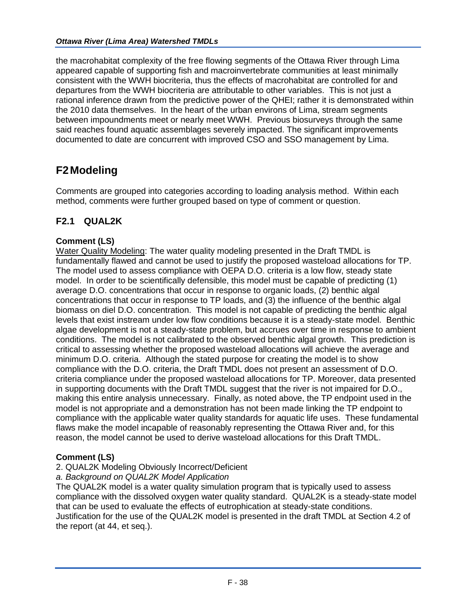the macrohabitat complexity of the free flowing segments of the Ottawa River through Lima appeared capable of supporting fish and macroinvertebrate communities at least minimally consistent with the WWH biocriteria, thus the effects of macrohabitat are controlled for and departures from the WWH biocriteria are attributable to other variables. This is not just a rational inference drawn from the predictive power of the QHEI; rather it is demonstrated within the 2010 data themselves. In the heart of the urban environs of Lima, stream segments between impoundments meet or nearly meet WWH. Previous biosurveys through the same said reaches found aquatic assemblages severely impacted. The significant improvements documented to date are concurrent with improved CSO and SSO management by Lima.

# **F2Modeling**

Comments are grouped into categories according to loading analysis method. Within each method, comments were further grouped based on type of comment or question.

# **F2.1 QUAL2K**

## **Comment (LS)**

Water Quality Modeling: The water quality modeling presented in the Draft TMDL is fundamentally flawed and cannot be used to justify the proposed wasteload allocations for TP. The model used to assess compliance with OEPA D.O. criteria is a low flow, steady state model. In order to be scientifically defensible, this model must be capable of predicting (1) average D.O. concentrations that occur in response to organic loads, (2) benthic algal concentrations that occur in response to TP loads, and (3) the influence of the benthic algal biomass on diel D.O. concentration. This model is not capable of predicting the benthic algal levels that exist instream under low flow conditions because it is a steady-state model. Benthic algae development is not a steady-state problem, but accrues over time in response to ambient conditions. The model is not calibrated to the observed benthic algal growth. This prediction is critical to assessing whether the proposed wasteload allocations will achieve the average and minimum D.O. criteria. Although the stated purpose for creating the model is to show compliance with the D.O. criteria, the Draft TMDL does not present an assessment of D.O. criteria compliance under the proposed wasteload allocations for TP. Moreover, data presented in supporting documents with the Draft TMDL suggest that the river is not impaired for D.O., making this entire analysis unnecessary. Finally, as noted above, the TP endpoint used in the model is not appropriate and a demonstration has not been made linking the TP endpoint to compliance with the applicable water quality standards for aquatic life uses. These fundamental flaws make the model incapable of reasonably representing the Ottawa River and, for this reason, the model cannot be used to derive wasteload allocations for this Draft TMDL.

## **Comment (LS)**

## 2. QUAL2K Modeling Obviously Incorrect/Deficient

## *a. Background on QUAL2K Model Application*

The QUAL2K model is a water quality simulation program that is typically used to assess compliance with the dissolved oxygen water quality standard. QUAL2K is a steady-state model that can be used to evaluate the effects of eutrophication at steady-state conditions. Justification for the use of the QUAL2K model is presented in the draft TMDL at Section 4.2 of the report (at 44, et seq.).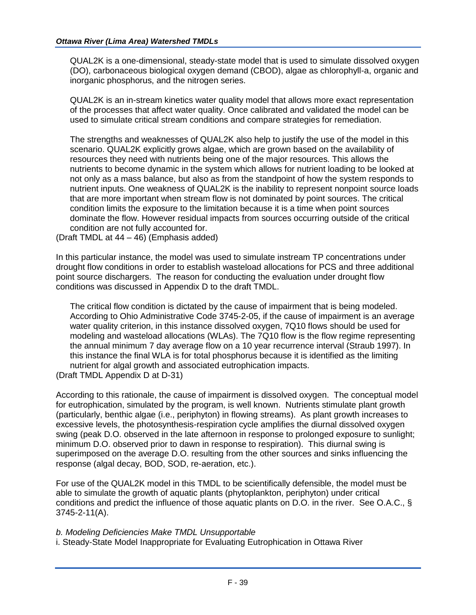QUAL2K is a one-dimensional, steady-state model that is used to simulate dissolved oxygen (DO), carbonaceous biological oxygen demand (CBOD), algae as chlorophyll-a, organic and inorganic phosphorus, and the nitrogen series.

QUAL2K is an in-stream kinetics water quality model that allows more exact representation of the processes that affect water quality. Once calibrated and validated the model can be used to simulate critical stream conditions and compare strategies for remediation.

The strengths and weaknesses of QUAL2K also help to justify the use of the model in this scenario. QUAL2K explicitly grows algae, which are grown based on the availability of resources they need with nutrients being one of the major resources. This allows the nutrients to become dynamic in the system which allows for nutrient loading to be looked at not only as a mass balance, but also as from the standpoint of how the system responds to nutrient inputs. One weakness of QUAL2K is the inability to represent nonpoint source loads that are more important when stream flow is not dominated by point sources. The critical condition limits the exposure to the limitation because it is a time when point sources dominate the flow. However residual impacts from sources occurring outside of the critical condition are not fully accounted for.

(Draft TMDL at 44 – 46) (Emphasis added)

In this particular instance, the model was used to simulate instream TP concentrations under drought flow conditions in order to establish wasteload allocations for PCS and three additional point source dischargers. The reason for conducting the evaluation under drought flow conditions was discussed in Appendix D to the draft TMDL.

The critical flow condition is dictated by the cause of impairment that is being modeled. According to Ohio Administrative Code 3745-2-05, if the cause of impairment is an average water quality criterion, in this instance dissolved oxygen, 7Q10 flows should be used for modeling and wasteload allocations (WLAs). The 7Q10 flow is the flow regime representing the annual minimum 7 day average flow on a 10 year recurrence interval (Straub 1997). In this instance the final WLA is for total phosphorus because it is identified as the limiting nutrient for algal growth and associated eutrophication impacts.

(Draft TMDL Appendix D at D-31)

According to this rationale, the cause of impairment is dissolved oxygen. The conceptual model for eutrophication, simulated by the program, is well known. Nutrients stimulate plant growth (particularly, benthic algae (i.e., periphyton) in flowing streams). As plant growth increases to excessive levels, the photosynthesis-respiration cycle amplifies the diurnal dissolved oxygen swing (peak D.O. observed in the late afternoon in response to prolonged exposure to sunlight; minimum D.O. observed prior to dawn in response to respiration). This diurnal swing is superimposed on the average D.O. resulting from the other sources and sinks influencing the response (algal decay, BOD, SOD, re-aeration, etc.).

For use of the QUAL2K model in this TMDL to be scientifically defensible, the model must be able to simulate the growth of aquatic plants (phytoplankton, periphyton) under critical conditions and predict the influence of those aquatic plants on D.O. in the river. See O.A.C., § 3745-2-11(A).

*b. Modeling Deficiencies Make TMDL Unsupportable*

i. Steady-State Model Inappropriate for Evaluating Eutrophication in Ottawa River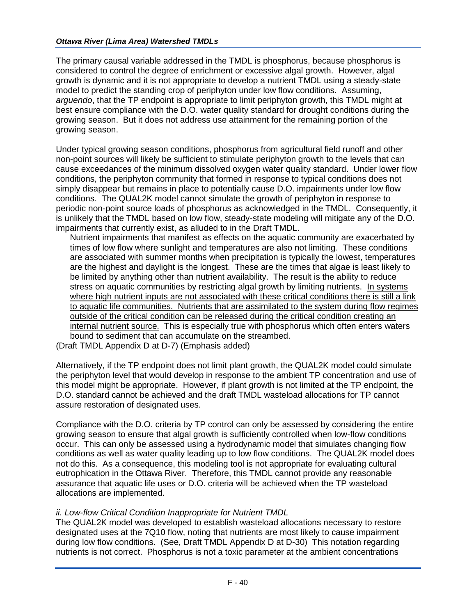The primary causal variable addressed in the TMDL is phosphorus, because phosphorus is considered to control the degree of enrichment or excessive algal growth. However, algal growth is dynamic and it is not appropriate to develop a nutrient TMDL using a steady-state model to predict the standing crop of periphyton under low flow conditions. Assuming, *arguendo*, that the TP endpoint is appropriate to limit periphyton growth, this TMDL might at best ensure compliance with the D.O. water quality standard for drought conditions during the growing season. But it does not address use attainment for the remaining portion of the growing season.

Under typical growing season conditions, phosphorus from agricultural field runoff and other non-point sources will likely be sufficient to stimulate periphyton growth to the levels that can cause exceedances of the minimum dissolved oxygen water quality standard. Under lower flow conditions, the periphyton community that formed in response to typical conditions does not simply disappear but remains in place to potentially cause D.O. impairments under low flow conditions. The QUAL2K model cannot simulate the growth of periphyton in response to periodic non-point source loads of phosphorus as acknowledged in the TMDL. Consequently, it is unlikely that the TMDL based on low flow, steady-state modeling will mitigate any of the D.O. impairments that currently exist, as alluded to in the Draft TMDL.

Nutrient impairments that manifest as effects on the aquatic community are exacerbated by times of low flow where sunlight and temperatures are also not limiting. These conditions are associated with summer months when precipitation is typically the lowest, temperatures are the highest and daylight is the longest. These are the times that algae is least likely to be limited by anything other than nutrient availability. The result is the ability to reduce stress on aquatic communities by restricting algal growth by limiting nutrients. In systems where high nutrient inputs are not associated with these critical conditions there is still a link to aquatic life communities. Nutrients that are assimilated to the system during flow regimes outside of the critical condition can be released during the critical condition creating an internal nutrient source. This is especially true with phosphorus which often enters waters bound to sediment that can accumulate on the streambed.

(Draft TMDL Appendix D at D-7) (Emphasis added)

Alternatively, if the TP endpoint does not limit plant growth, the QUAL2K model could simulate the periphyton level that would develop in response to the ambient TP concentration and use of this model might be appropriate. However, if plant growth is not limited at the TP endpoint, the D.O. standard cannot be achieved and the draft TMDL wasteload allocations for TP cannot assure restoration of designated uses.

Compliance with the D.O. criteria by TP control can only be assessed by considering the entire growing season to ensure that algal growth is sufficiently controlled when low-flow conditions occur. This can only be assessed using a hydrodynamic model that simulates changing flow conditions as well as water quality leading up to low flow conditions. The QUAL2K model does not do this. As a consequence, this modeling tool is not appropriate for evaluating cultural eutrophication in the Ottawa River. Therefore, this TMDL cannot provide any reasonable assurance that aquatic life uses or D.O. criteria will be achieved when the TP wasteload allocations are implemented.

# *ii. Low-flow Critical Condition Inappropriate for Nutrient TMDL*

The QUAL2K model was developed to establish wasteload allocations necessary to restore designated uses at the 7Q10 flow, noting that nutrients are most likely to cause impairment during low flow conditions. (See, Draft TMDL Appendix D at D-30) This notation regarding nutrients is not correct. Phosphorus is not a toxic parameter at the ambient concentrations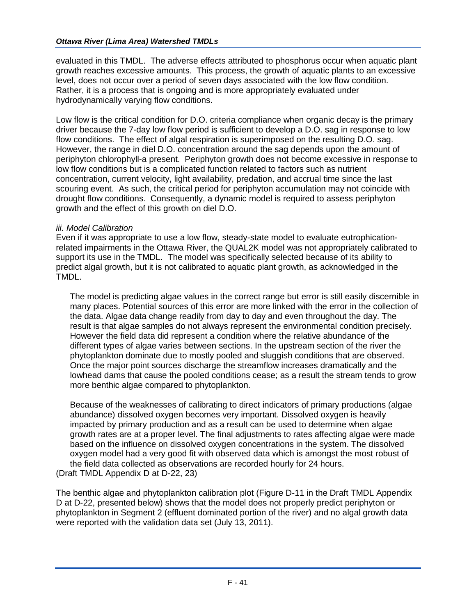evaluated in this TMDL. The adverse effects attributed to phosphorus occur when aquatic plant growth reaches excessive amounts. This process, the growth of aquatic plants to an excessive level, does not occur over a period of seven days associated with the low flow condition. Rather, it is a process that is ongoing and is more appropriately evaluated under hydrodynamically varying flow conditions.

Low flow is the critical condition for D.O. criteria compliance when organic decay is the primary driver because the 7-day low flow period is sufficient to develop a D.O. sag in response to low flow conditions. The effect of algal respiration is superimposed on the resulting D.O. sag. However, the range in diel D.O. concentration around the sag depends upon the amount of periphyton chlorophyll-a present. Periphyton growth does not become excessive in response to low flow conditions but is a complicated function related to factors such as nutrient concentration, current velocity, light availability, predation, and accrual time since the last scouring event. As such, the critical period for periphyton accumulation may not coincide with drought flow conditions. Consequently, a dynamic model is required to assess periphyton growth and the effect of this growth on diel D.O.

## *iii. Model Calibration*

Even if it was appropriate to use a low flow, steady-state model to evaluate eutrophicationrelated impairments in the Ottawa River, the QUAL2K model was not appropriately calibrated to support its use in the TMDL. The model was specifically selected because of its ability to predict algal growth, but it is not calibrated to aquatic plant growth, as acknowledged in the TMDL.

The model is predicting algae values in the correct range but error is still easily discernible in many places. Potential sources of this error are more linked with the error in the collection of the data. Algae data change readily from day to day and even throughout the day. The result is that algae samples do not always represent the environmental condition precisely. However the field data did represent a condition where the relative abundance of the different types of algae varies between sections. In the upstream section of the river the phytoplankton dominate due to mostly pooled and sluggish conditions that are observed. Once the major point sources discharge the streamflow increases dramatically and the lowhead dams that cause the pooled conditions cease; as a result the stream tends to grow more benthic algae compared to phytoplankton.

Because of the weaknesses of calibrating to direct indicators of primary productions (algae abundance) dissolved oxygen becomes very important. Dissolved oxygen is heavily impacted by primary production and as a result can be used to determine when algae growth rates are at a proper level. The final adjustments to rates affecting algae were made based on the influence on dissolved oxygen concentrations in the system. The dissolved oxygen model had a very good fit with observed data which is amongst the most robust of the field data collected as observations are recorded hourly for 24 hours. (Draft TMDL Appendix D at D-22, 23)

The benthic algae and phytoplankton calibration plot (Figure D-11 in the Draft TMDL Appendix D at D-22, presented below) shows that the model does not properly predict periphyton or phytoplankton in Segment 2 (effluent dominated portion of the river) and no algal growth data were reported with the validation data set (July 13, 2011).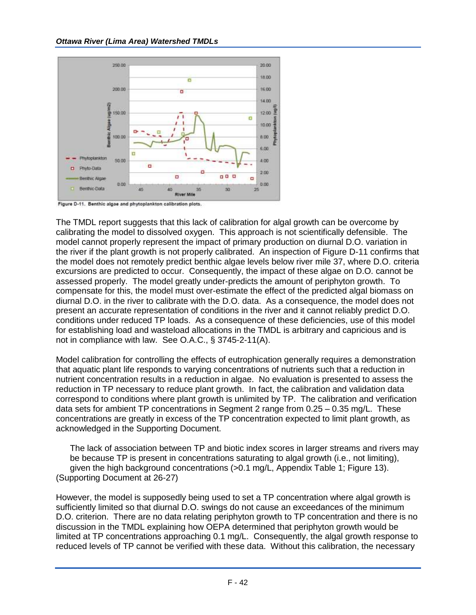

The TMDL report suggests that this lack of calibration for algal growth can be overcome by calibrating the model to dissolved oxygen. This approach is not scientifically defensible. The model cannot properly represent the impact of primary production on diurnal D.O. variation in the river if the plant growth is not properly calibrated. An inspection of Figure D-11 confirms that the model does not remotely predict benthic algae levels below river mile 37, where D.O. criteria excursions are predicted to occur. Consequently, the impact of these algae on D.O. cannot be assessed properly. The model greatly under-predicts the amount of periphyton growth. To compensate for this, the model must over-estimate the effect of the predicted algal biomass on diurnal D.O. in the river to calibrate with the D.O. data. As a consequence, the model does not present an accurate representation of conditions in the river and it cannot reliably predict D.O. conditions under reduced TP loads. As a consequence of these deficiencies, use of this model for establishing load and wasteload allocations in the TMDL is arbitrary and capricious and is not in compliance with law. See O.A.C., § 3745-2-11(A).

Model calibration for controlling the effects of eutrophication generally requires a demonstration that aquatic plant life responds to varying concentrations of nutrients such that a reduction in nutrient concentration results in a reduction in algae. No evaluation is presented to assess the reduction in TP necessary to reduce plant growth. In fact, the calibration and validation data correspond to conditions where plant growth is unlimited by TP. The calibration and verification data sets for ambient TP concentrations in Segment 2 range from 0.25 – 0.35 mg/L. These concentrations are greatly in excess of the TP concentration expected to limit plant growth, as acknowledged in the Supporting Document.

The lack of association between TP and biotic index scores in larger streams and rivers may be because TP is present in concentrations saturating to algal growth (i.e., not limiting), given the high background concentrations (>0.1 mg/L, Appendix Table 1; Figure 13). (Supporting Document at 26-27)

However, the model is supposedly being used to set a TP concentration where algal growth is sufficiently limited so that diurnal D.O. swings do not cause an exceedances of the minimum D.O. criterion. There are no data relating periphyton growth to TP concentration and there is no discussion in the TMDL explaining how OEPA determined that periphyton growth would be limited at TP concentrations approaching 0.1 mg/L. Consequently, the algal growth response to reduced levels of TP cannot be verified with these data. Without this calibration, the necessary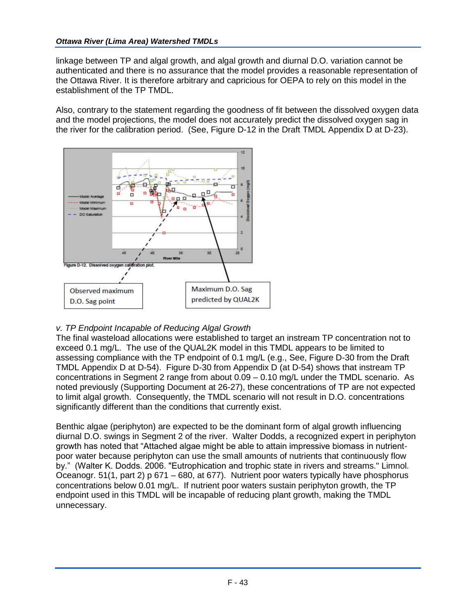linkage between TP and algal growth, and algal growth and diurnal D.O. variation cannot be authenticated and there is no assurance that the model provides a reasonable representation of the Ottawa River. It is therefore arbitrary and capricious for OEPA to rely on this model in the establishment of the TP TMDL.

Also, contrary to the statement regarding the goodness of fit between the dissolved oxygen data and the model projections, the model does not accurately predict the dissolved oxygen sag in the river for the calibration period. (See, Figure D-12 in the Draft TMDL Appendix D at D-23).



# *v. TP Endpoint Incapable of Reducing Algal Growth*

The final wasteload allocations were established to target an instream TP concentration not to exceed 0.1 mg/L. The use of the QUAL2K model in this TMDL appears to be limited to assessing compliance with the TP endpoint of 0.1 mg/L (e.g., See, Figure D-30 from the Draft TMDL Appendix D at D-54). Figure D-30 from Appendix D (at D-54) shows that instream TP concentrations in Segment 2 range from about 0.09 – 0.10 mg/L under the TMDL scenario. As noted previously (Supporting Document at 26-27), these concentrations of TP are not expected to limit algal growth. Consequently, the TMDL scenario will not result in D.O. concentrations significantly different than the conditions that currently exist.

Benthic algae (periphyton) are expected to be the dominant form of algal growth influencing diurnal D.O. swings in Segment 2 of the river. Walter Dodds, a recognized expert in periphyton growth has noted that "Attached algae might be able to attain impressive biomass in nutrientpoor water because periphyton can use the small amounts of nutrients that continuously flow by." (Walter K. Dodds. 2006. "Eutrophication and trophic state in rivers and streams." Limnol. Oceanogr. 51(1, part 2) p 671 – 680, at 677). Nutrient poor waters typically have phosphorus concentrations below 0.01 mg/L. If nutrient poor waters sustain periphyton growth, the TP endpoint used in this TMDL will be incapable of reducing plant growth, making the TMDL unnecessary.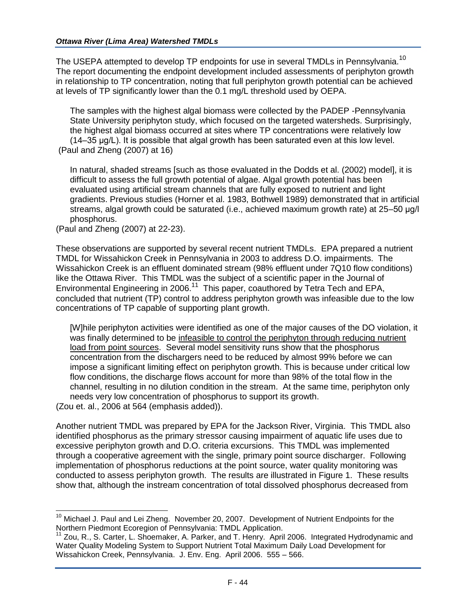The USEPA attempted to develop TP endpoints for use in several TMDLs in Pennsylvania.<sup>10</sup> The report documenting the endpoint development included assessments of periphyton growth in relationship to TP concentration, noting that full periphyton growth potential can be achieved at levels of TP significantly lower than the 0.1 mg/L threshold used by OEPA.

The samples with the highest algal biomass were collected by the PADEP -Pennsylvania State University periphyton study, which focused on the targeted watersheds. Surprisingly, the highest algal biomass occurred at sites where TP concentrations were relatively low (14–35 μg/L). It is possible that algal growth has been saturated even at this low level. (Paul and Zheng (2007) at 16)

In natural, shaded streams [such as those evaluated in the Dodds et al. (2002) model], it is difficult to assess the full growth potential of algae. Algal growth potential has been evaluated using artificial stream channels that are fully exposed to nutrient and light gradients. Previous studies (Horner et al. 1983, Bothwell 1989) demonstrated that in artificial streams, algal growth could be saturated (i.e., achieved maximum growth rate) at 25–50 μg/l phosphorus.

(Paul and Zheng (2007) at 22-23).

These observations are supported by several recent nutrient TMDLs. EPA prepared a nutrient TMDL for Wissahickon Creek in Pennsylvania in 2003 to address D.O. impairments. The Wissahickon Creek is an effluent dominated stream (98% effluent under 7Q10 flow conditions) like the Ottawa River. This TMDL was the subject of a scientific paper in the Journal of Environmental Engineering in 2006.<sup>11</sup> This paper, coauthored by Tetra Tech and EPA, concluded that nutrient (TP) control to address periphyton growth was infeasible due to the low concentrations of TP capable of supporting plant growth.

[W]hile periphyton activities were identified as one of the major causes of the DO violation, it was finally determined to be infeasible to control the periphyton through reducing nutrient load from point sources. Several model sensitivity runs show that the phosphorus concentration from the dischargers need to be reduced by almost 99% before we can impose a significant limiting effect on periphyton growth. This is because under critical low flow conditions, the discharge flows account for more than 98% of the total flow in the channel, resulting in no dilution condition in the stream. At the same time, periphyton only needs very low concentration of phosphorus to support its growth.

(Zou et. al., 2006 at 564 (emphasis added)).

Another nutrient TMDL was prepared by EPA for the Jackson River, Virginia. This TMDL also identified phosphorus as the primary stressor causing impairment of aquatic life uses due to excessive periphyton growth and D.O. criteria excursions. This TMDL was implemented through a cooperative agreement with the single, primary point source discharger. Following implementation of phosphorus reductions at the point source, water quality monitoring was conducted to assess periphyton growth. The results are illustrated in Figure 1. These results show that, although the instream concentration of total dissolved phosphorus decreased from

 $10$  Michael J. Paul and Lei Zheng. November 20, 2007. Development of Nutrient Endpoints for the Northern Piedmont Ecoregion of Pennsylvania: TMDL Application.

<sup>&</sup>lt;sup>11</sup> Zou, R., S. Carter, L. Shoemaker, A. Parker, and T. Henry. April 2006. Integrated Hydrodynamic and Water Quality Modeling System to Support Nutrient Total Maximum Daily Load Development for Wissahickon Creek, Pennsylvania. J. Env. Eng. April 2006. 555 – 566.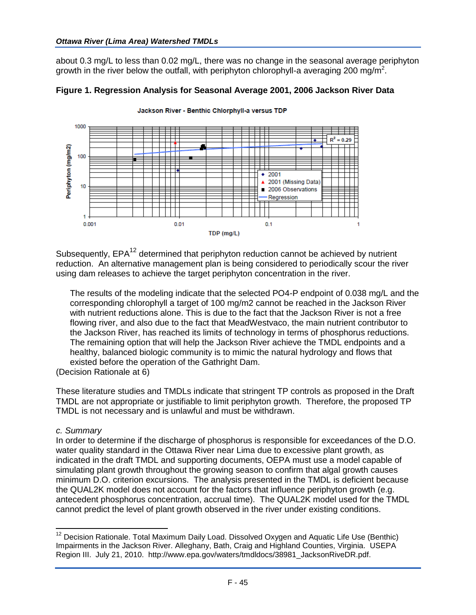about 0.3 mg/L to less than 0.02 mg/L, there was no change in the seasonal average periphyton growth in the river below the outfall, with periphyton chlorophyll-a averaging 200 mg/m<sup>2</sup>.



#### **Figure 1. Regression Analysis for Seasonal Average 2001, 2006 Jackson River Data**

Subsequently, EPA<sup>12</sup> determined that periphyton reduction cannot be achieved by nutrient reduction. An alternative management plan is being considered to periodically scour the river using dam releases to achieve the target periphyton concentration in the river.

The results of the modeling indicate that the selected PO4-P endpoint of 0.038 mg/L and the corresponding chlorophyll a target of 100 mg/m2 cannot be reached in the Jackson River with nutrient reductions alone. This is due to the fact that the Jackson River is not a free flowing river, and also due to the fact that MeadWestvaco, the main nutrient contributor to the Jackson River, has reached its limits of technology in terms of phosphorus reductions. The remaining option that will help the Jackson River achieve the TMDL endpoints and a healthy, balanced biologic community is to mimic the natural hydrology and flows that existed before the operation of the Gathright Dam.

(Decision Rationale at 6)

These literature studies and TMDLs indicate that stringent TP controls as proposed in the Draft TMDL are not appropriate or justifiable to limit periphyton growth. Therefore, the proposed TP TMDL is not necessary and is unlawful and must be withdrawn.

## *c. Summary*

 $\overline{a}$ 

In order to determine if the discharge of phosphorus is responsible for exceedances of the D.O. water quality standard in the Ottawa River near Lima due to excessive plant growth, as indicated in the draft TMDL and supporting documents, OEPA must use a model capable of simulating plant growth throughout the growing season to confirm that algal growth causes minimum D.O. criterion excursions. The analysis presented in the TMDL is deficient because the QUAL2K model does not account for the factors that influence periphyton growth (e.g. antecedent phosphorus concentration, accrual time). The QUAL2K model used for the TMDL cannot predict the level of plant growth observed in the river under existing conditions.

 $12$  Decision Rationale. Total Maximum Daily Load. Dissolved Oxygen and Aquatic Life Use (Benthic) Impairments in the Jackson River. Alleghany, Bath, Craig and Highland Counties, Virginia. USEPA Region III. July 21, 2010. http://www.epa.gov/waters/tmdldocs/38981\_JacksonRiveDR.pdf.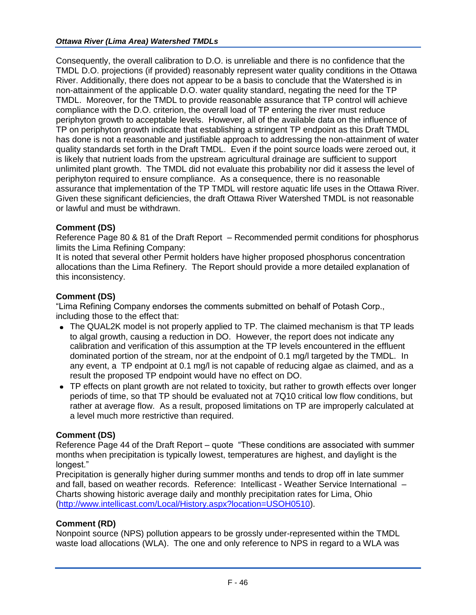Consequently, the overall calibration to D.O. is unreliable and there is no confidence that the TMDL D.O. projections (if provided) reasonably represent water quality conditions in the Ottawa River. Additionally, there does not appear to be a basis to conclude that the Watershed is in non-attainment of the applicable D.O. water quality standard, negating the need for the TP TMDL. Moreover, for the TMDL to provide reasonable assurance that TP control will achieve compliance with the D.O. criterion, the overall load of TP entering the river must reduce periphyton growth to acceptable levels. However, all of the available data on the influence of TP on periphyton growth indicate that establishing a stringent TP endpoint as this Draft TMDL has done is not a reasonable and justifiable approach to addressing the non-attainment of water quality standards set forth in the Draft TMDL. Even if the point source loads were zeroed out, it is likely that nutrient loads from the upstream agricultural drainage are sufficient to support unlimited plant growth. The TMDL did not evaluate this probability nor did it assess the level of periphyton required to ensure compliance. As a consequence, there is no reasonable assurance that implementation of the TP TMDL will restore aquatic life uses in the Ottawa River. Given these significant deficiencies, the draft Ottawa River Watershed TMDL is not reasonable or lawful and must be withdrawn.

## **Comment (DS)**

Reference Page 80 & 81 of the Draft Report – Recommended permit conditions for phosphorus limits the Lima Refining Company:

It is noted that several other Permit holders have higher proposed phosphorus concentration allocations than the Lima Refinery. The Report should provide a more detailed explanation of this inconsistency.

## **Comment (DS)**

"Lima Refining Company endorses the comments submitted on behalf of Potash Corp., including those to the effect that:

- The QUAL2K model is not properly applied to TP. The claimed mechanism is that TP leads to algal growth, causing a reduction in DO. However, the report does not indicate any calibration and verification of this assumption at the TP levels encountered in the effluent dominated portion of the stream, nor at the endpoint of 0.1 mg/l targeted by the TMDL. In any event, a TP endpoint at 0.1 mg/l is not capable of reducing algae as claimed, and as a result the proposed TP endpoint would have no effect on DO.
- TP effects on plant growth are not related to toxicity, but rather to growth effects over longer periods of time, so that TP should be evaluated not at 7Q10 critical low flow conditions, but rather at average flow. As a result, proposed limitations on TP are improperly calculated at a level much more restrictive than required.

# **Comment (DS)**

Reference Page 44 of the Draft Report – quote "These conditions are associated with summer months when precipitation is typically lowest, temperatures are highest, and daylight is the longest."

Precipitation is generally higher during summer months and tends to drop off in late summer and fall, based on weather records. Reference: Intellicast - Weather Service International – Charts showing historic average daily and monthly precipitation rates for Lima, Ohio [\(http://www.intellicast.com/Local/History.aspx?location=USOH0510\)](http://www.intellicast.com/Local/History.aspx?location=USOH0510).

## **Comment (RD)**

Nonpoint source (NPS) pollution appears to be grossly under-represented within the TMDL waste load allocations (WLA). The one and only reference to NPS in regard to a WLA was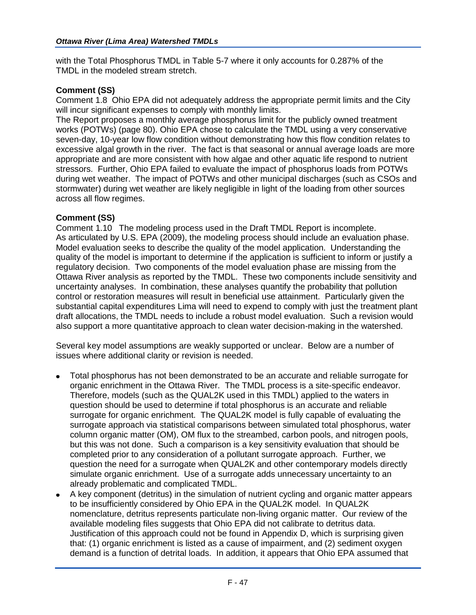with the Total Phosphorus TMDL in Table 5-7 where it only accounts for 0.287% of the TMDL in the modeled stream stretch.

#### **Comment (SS)**

Comment 1.8 Ohio EPA did not adequately address the appropriate permit limits and the City will incur significant expenses to comply with monthly limits.

The Report proposes a monthly average phosphorus limit for the publicly owned treatment works (POTWs) (page 80). Ohio EPA chose to calculate the TMDL using a very conservative seven-day, 10-year low flow condition without demonstrating how this flow condition relates to excessive algal growth in the river. The fact is that seasonal or annual average loads are more appropriate and are more consistent with how algae and other aquatic life respond to nutrient stressors. Further, Ohio EPA failed to evaluate the impact of phosphorus loads from POTWs during wet weather. The impact of POTWs and other municipal discharges (such as CSOs and stormwater) during wet weather are likely negligible in light of the loading from other sources across all flow regimes.

#### **Comment (SS)**

Comment 1.10 The modeling process used in the Draft TMDL Report is incomplete. As articulated by U.S. EPA (2009), the modeling process should include an evaluation phase. Model evaluation seeks to describe the quality of the model application. Understanding the quality of the model is important to determine if the application is sufficient to inform or justify a regulatory decision. Two components of the model evaluation phase are missing from the Ottawa River analysis as reported by the TMDL. These two components include sensitivity and uncertainty analyses. In combination, these analyses quantify the probability that pollution control or restoration measures will result in beneficial use attainment. Particularly given the substantial capital expenditures Lima will need to expend to comply with just the treatment plant draft allocations, the TMDL needs to include a robust model evaluation. Such a revision would also support a more quantitative approach to clean water decision-making in the watershed.

Several key model assumptions are weakly supported or unclear. Below are a number of issues where additional clarity or revision is needed.

- Total phosphorus has not been demonstrated to be an accurate and reliable surrogate for organic enrichment in the Ottawa River. The TMDL process is a site-specific endeavor. Therefore, models (such as the QUAL2K used in this TMDL) applied to the waters in question should be used to determine if total phosphorus is an accurate and reliable surrogate for organic enrichment. The QUAL2K model is fully capable of evaluating the surrogate approach via statistical comparisons between simulated total phosphorus, water column organic matter (OM), OM flux to the streambed, carbon pools, and nitrogen pools, but this was not done. Such a comparison is a key sensitivity evaluation that should be completed prior to any consideration of a pollutant surrogate approach. Further, we question the need for a surrogate when QUAL2K and other contemporary models directly simulate organic enrichment. Use of a surrogate adds unnecessary uncertainty to an already problematic and complicated TMDL.
- A key component (detritus) in the simulation of nutrient cycling and organic matter appears to be insufficiently considered by Ohio EPA in the QUAL2K model. In QUAL2K nomenclature, detritus represents particulate non-living organic matter. Our review of the available modeling files suggests that Ohio EPA did not calibrate to detritus data. Justification of this approach could not be found in Appendix D, which is surprising given that: (1) organic enrichment is listed as a cause of impairment, and (2) sediment oxygen demand is a function of detrital loads. In addition, it appears that Ohio EPA assumed that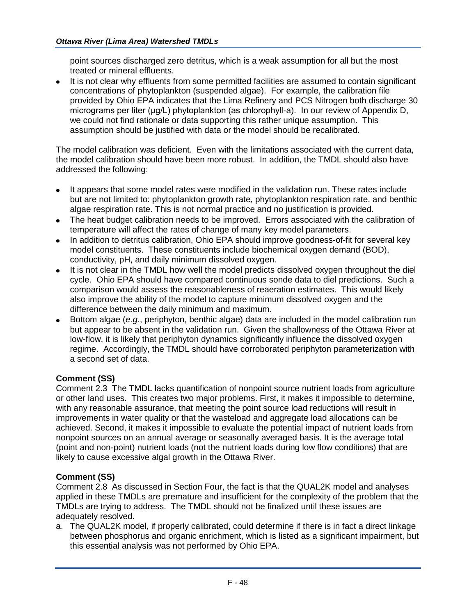point sources discharged zero detritus, which is a weak assumption for all but the most treated or mineral effluents.

It is not clear why effluents from some permitted facilities are assumed to contain significant concentrations of phytoplankton (suspended algae). For example, the calibration file provided by Ohio EPA indicates that the Lima Refinery and PCS Nitrogen both discharge 30 micrograms per liter (μg/L) phytoplankton (as chlorophyll-a). In our review of Appendix D, we could not find rationale or data supporting this rather unique assumption. This assumption should be justified with data or the model should be recalibrated.

The model calibration was deficient. Even with the limitations associated with the current data, the model calibration should have been more robust. In addition, the TMDL should also have addressed the following:

- It appears that some model rates were modified in the validation run. These rates include but are not limited to: phytoplankton growth rate, phytoplankton respiration rate, and benthic algae respiration rate. This is not normal practice and no justification is provided.
- The heat budget calibration needs to be improved. Errors associated with the calibration of temperature will affect the rates of change of many key model parameters.
- In addition to detritus calibration, Ohio EPA should improve goodness-of-fit for several key model constituents. These constituents include biochemical oxygen demand (BOD), conductivity, pH, and daily minimum dissolved oxygen.
- It is not clear in the TMDL how well the model predicts dissolved oxygen throughout the diel cycle. Ohio EPA should have compared continuous sonde data to diel predictions. Such a comparison would assess the reasonableness of reaeration estimates. This would likely also improve the ability of the model to capture minimum dissolved oxygen and the difference between the daily minimum and maximum.
- Bottom algae (*e.g*., periphyton, benthic algae) data are included in the model calibration run but appear to be absent in the validation run. Given the shallowness of the Ottawa River at low-flow, it is likely that periphyton dynamics significantly influence the dissolved oxygen regime. Accordingly, the TMDL should have corroborated periphyton parameterization with a second set of data.

# **Comment (SS)**

Comment 2.3 The TMDL lacks quantification of nonpoint source nutrient loads from agriculture or other land uses. This creates two major problems. First, it makes it impossible to determine, with any reasonable assurance, that meeting the point source load reductions will result in improvements in water quality or that the wasteload and aggregate load allocations can be achieved. Second, it makes it impossible to evaluate the potential impact of nutrient loads from nonpoint sources on an annual average or seasonally averaged basis. It is the average total (point and non-point) nutrient loads (not the nutrient loads during low flow conditions) that are likely to cause excessive algal growth in the Ottawa River.

## **Comment (SS)**

Comment 2.8 As discussed in Section Four, the fact is that the QUAL2K model and analyses applied in these TMDLs are premature and insufficient for the complexity of the problem that the TMDLs are trying to address. The TMDL should not be finalized until these issues are adequately resolved.

a. The QUAL2K model, if properly calibrated, could determine if there is in fact a direct linkage between phosphorus and organic enrichment, which is listed as a significant impairment, but this essential analysis was not performed by Ohio EPA.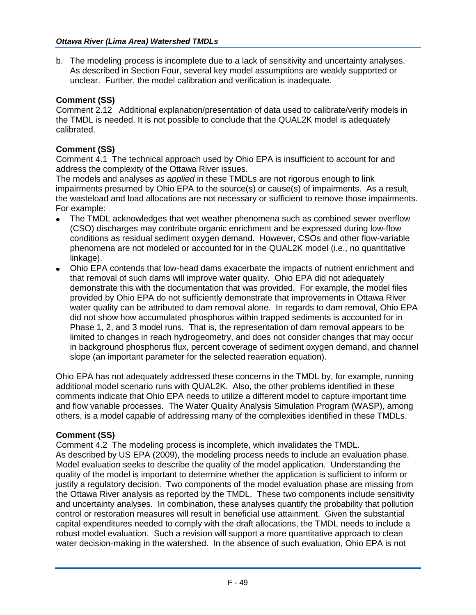b. The modeling process is incomplete due to a lack of sensitivity and uncertainty analyses. As described in Section Four, several key model assumptions are weakly supported or unclear. Further, the model calibration and verification is inadequate.

# **Comment (SS)**

Comment 2.12 Additional explanation/presentation of data used to calibrate/verify models in the TMDL is needed. It is not possible to conclude that the QUAL2K model is adequately calibrated.

# **Comment (SS)**

Comment 4.1 The technical approach used by Ohio EPA is insufficient to account for and address the complexity of the Ottawa River issues.

The models and analyses *as applied* in these TMDLs are not rigorous enough to link impairments presumed by Ohio EPA to the source(s) or cause(s) of impairments. As a result, the wasteload and load allocations are not necessary or sufficient to remove those impairments. For example:

- The TMDL acknowledges that wet weather phenomena such as combined sewer overflow (CSO) discharges may contribute organic enrichment and be expressed during low-flow conditions as residual sediment oxygen demand. However, CSOs and other flow-variable phenomena are not modeled or accounted for in the QUAL2K model (i.e., no quantitative linkage).
- Ohio EPA contends that low-head dams exacerbate the impacts of nutrient enrichment and that removal of such dams will improve water quality. Ohio EPA did not adequately demonstrate this with the documentation that was provided. For example, the model files provided by Ohio EPA do not sufficiently demonstrate that improvements in Ottawa River water quality can be attributed to dam removal alone. In regards to dam removal, Ohio EPA did not show how accumulated phosphorus within trapped sediments is accounted for in Phase 1, 2, and 3 model runs. That is, the representation of dam removal appears to be limited to changes in reach hydrogeometry, and does not consider changes that may occur in background phosphorus flux, percent coverage of sediment oxygen demand, and channel slope (an important parameter for the selected reaeration equation).

Ohio EPA has not adequately addressed these concerns in the TMDL by, for example, running additional model scenario runs with QUAL2K. Also, the other problems identified in these comments indicate that Ohio EPA needs to utilize a different model to capture important time and flow variable processes. The Water Quality Analysis Simulation Program (WASP), among others, is a model capable of addressing many of the complexities identified in these TMDLs.

# **Comment (SS)**

Comment 4.2 The modeling process is incomplete, which invalidates the TMDL. As described by US EPA (2009), the modeling process needs to include an evaluation phase. Model evaluation seeks to describe the quality of the model application. Understanding the quality of the model is important to determine whether the application is sufficient to inform or justify a regulatory decision. Two components of the model evaluation phase are missing from the Ottawa River analysis as reported by the TMDL. These two components include sensitivity and uncertainty analyses. In combination, these analyses quantify the probability that pollution control or restoration measures will result in beneficial use attainment. Given the substantial capital expenditures needed to comply with the draft allocations, the TMDL needs to include a robust model evaluation. Such a revision will support a more quantitative approach to clean water decision-making in the watershed. In the absence of such evaluation, Ohio EPA is not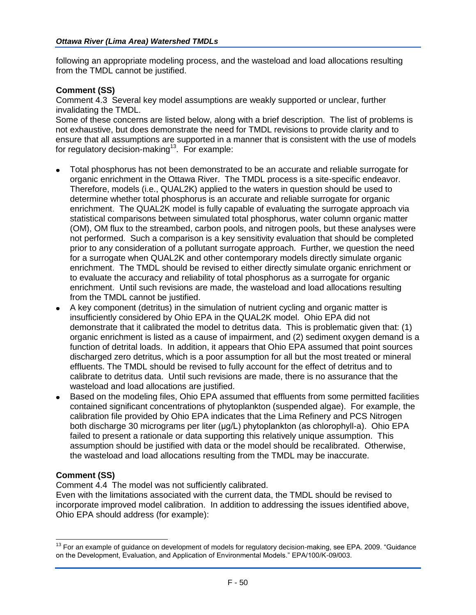following an appropriate modeling process, and the wasteload and load allocations resulting from the TMDL cannot be justified.

#### **Comment (SS)**

Comment 4.3 Several key model assumptions are weakly supported or unclear, further invalidating the TMDL.

Some of these concerns are listed below, along with a brief description. The list of problems is not exhaustive, but does demonstrate the need for TMDL revisions to provide clarity and to ensure that all assumptions are supported in a manner that is consistent with the use of models for regulatory decision-making<sup>13</sup>. For example:

- Total phosphorus has not been demonstrated to be an accurate and reliable surrogate for organic enrichment in the Ottawa River. The TMDL process is a site-specific endeavor. Therefore, models (i.e., QUAL2K) applied to the waters in question should be used to determine whether total phosphorus is an accurate and reliable surrogate for organic enrichment. The QUAL2K model is fully capable of evaluating the surrogate approach via statistical comparisons between simulated total phosphorus, water column organic matter (OM), OM flux to the streambed, carbon pools, and nitrogen pools, but these analyses were not performed. Such a comparison is a key sensitivity evaluation that should be completed prior to any consideration of a pollutant surrogate approach. Further, we question the need for a surrogate when QUAL2K and other contemporary models directly simulate organic enrichment. The TMDL should be revised to either directly simulate organic enrichment or to evaluate the accuracy and reliability of total phosphorus as a surrogate for organic enrichment. Until such revisions are made, the wasteload and load allocations resulting from the TMDL cannot be justified.
- A key component (detritus) in the simulation of nutrient cycling and organic matter is insufficiently considered by Ohio EPA in the QUAL2K model. Ohio EPA did not demonstrate that it calibrated the model to detritus data. This is problematic given that: (1) organic enrichment is listed as a cause of impairment, and (2) sediment oxygen demand is a function of detrital loads. In addition, it appears that Ohio EPA assumed that point sources discharged zero detritus, which is a poor assumption for all but the most treated or mineral effluents. The TMDL should be revised to fully account for the effect of detritus and to calibrate to detritus data. Until such revisions are made, there is no assurance that the wasteload and load allocations are justified.
- Based on the modeling files, Ohio EPA assumed that effluents from some permitted facilities contained significant concentrations of phytoplankton (suspended algae). For example, the calibration file provided by Ohio EPA indicates that the Lima Refinery and PCS Nitrogen both discharge 30 micrograms per liter (μg/L) phytoplankton (as chlorophyll-a). Ohio EPA failed to present a rationale or data supporting this relatively unique assumption. This assumption should be justified with data or the model should be recalibrated. Otherwise, the wasteload and load allocations resulting from the TMDL may be inaccurate.

#### **Comment (SS)**

 $\overline{a}$ 

Comment 4.4 The model was not sufficiently calibrated.

Even with the limitations associated with the current data, the TMDL should be revised to incorporate improved model calibration. In addition to addressing the issues identified above, Ohio EPA should address (for example):

 $13$  For an example of guidance on development of models for regulatory decision-making, see EPA. 2009. "Guidance on the Development, Evaluation, and Application of Environmental Models." EPA/100/K-09/003.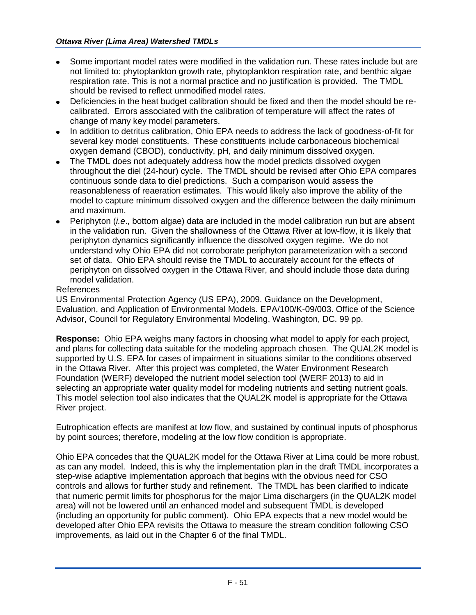- Some important model rates were modified in the validation run. These rates include but are not limited to: phytoplankton growth rate, phytoplankton respiration rate, and benthic algae respiration rate. This is not a normal practice and no justification is provided. The TMDL should be revised to reflect unmodified model rates.
- Deficiencies in the heat budget calibration should be fixed and then the model should be recalibrated. Errors associated with the calibration of temperature will affect the rates of change of many key model parameters.
- In addition to detritus calibration, Ohio EPA needs to address the lack of goodness-of-fit for several key model constituents. These constituents include carbonaceous biochemical oxygen demand (CBOD), conductivity, pH, and daily minimum dissolved oxygen.
- The TMDL does not adequately address how the model predicts dissolved oxygen throughout the diel (24-hour) cycle. The TMDL should be revised after Ohio EPA compares continuous sonde data to diel predictions. Such a comparison would assess the reasonableness of reaeration estimates. This would likely also improve the ability of the model to capture minimum dissolved oxygen and the difference between the daily minimum and maximum.
- Periphyton (*i.e*., bottom algae) data are included in the model calibration run but are absent in the validation run. Given the shallowness of the Ottawa River at low-flow, it is likely that periphyton dynamics significantly influence the dissolved oxygen regime. We do not understand why Ohio EPA did not corroborate periphyton parameterization with a second set of data. Ohio EPA should revise the TMDL to accurately account for the effects of periphyton on dissolved oxygen in the Ottawa River, and should include those data during model validation.

## References

US Environmental Protection Agency (US EPA), 2009. Guidance on the Development, Evaluation, and Application of Environmental Models. EPA/100/K-09/003. Office of the Science Advisor, Council for Regulatory Environmental Modeling, Washington, DC. 99 pp.

**Response:** Ohio EPA weighs many factors in choosing what model to apply for each project, and plans for collecting data suitable for the modeling approach chosen. The QUAL2K model is supported by U.S. EPA for cases of impairment in situations similar to the conditions observed in the Ottawa River. After this project was completed, the Water Environment Research Foundation (WERF) developed the nutrient model selection tool (WERF 2013) to aid in selecting an appropriate water quality model for modeling nutrients and setting nutrient goals. This model selection tool also indicates that the QUAL2K model is appropriate for the Ottawa River project.

Eutrophication effects are manifest at low flow, and sustained by continual inputs of phosphorus by point sources; therefore, modeling at the low flow condition is appropriate.

Ohio EPA concedes that the QUAL2K model for the Ottawa River at Lima could be more robust, as can any model. Indeed, this is why the implementation plan in the draft TMDL incorporates a step-wise adaptive implementation approach that begins with the obvious need for CSO controls and allows for further study and refinement. The TMDL has been clarified to indicate that numeric permit limits for phosphorus for the major Lima dischargers (in the QUAL2K model area) will not be lowered until an enhanced model and subsequent TMDL is developed (including an opportunity for public comment). Ohio EPA expects that a new model would be developed after Ohio EPA revisits the Ottawa to measure the stream condition following CSO improvements, as laid out in the Chapter 6 of the final TMDL.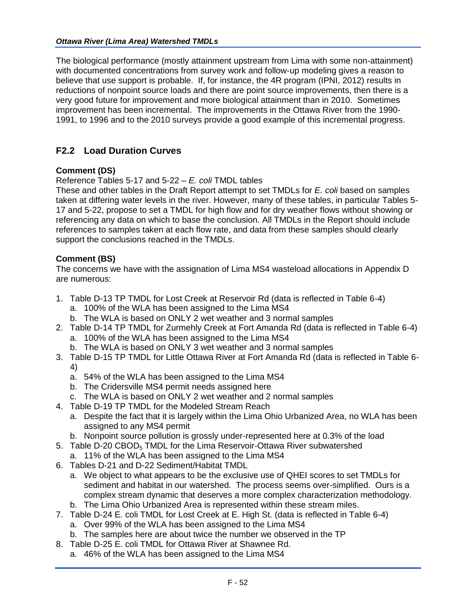The biological performance (mostly attainment upstream from Lima with some non-attainment) with documented concentrations from survey work and follow-up modeling gives a reason to believe that use support is probable. If, for instance, the 4R program (IPNI, 2012) results in reductions of nonpoint source loads and there are point source improvements, then there is a very good future for improvement and more biological attainment than in 2010. Sometimes improvement has been incremental. The improvements in the Ottawa River from the 1990- 1991, to 1996 and to the 2010 surveys provide a good example of this incremental progress.

# **F2.2 Load Duration Curves**

## **Comment (DS)**

Reference Tables 5-17 and 5-22 – *E. coli* TMDL tables

These and other tables in the Draft Report attempt to set TMDLs for *E. coli* based on samples taken at differing water levels in the river. However, many of these tables, in particular Tables 5- 17 and 5-22, propose to set a TMDL for high flow and for dry weather flows without showing or referencing any data on which to base the conclusion. All TMDLs in the Report should include references to samples taken at each flow rate, and data from these samples should clearly support the conclusions reached in the TMDLs.

## **Comment (BS)**

The concerns we have with the assignation of Lima MS4 wasteload allocations in Appendix D are numerous:

- 1. Table D-13 TP TMDL for Lost Creek at Reservoir Rd (data is reflected in Table 6-4)
	- a. 100% of the WLA has been assigned to the Lima MS4
	- b. The WLA is based on ONLY 2 wet weather and 3 normal samples
- 2. Table D-14 TP TMDL for Zurmehly Creek at Fort Amanda Rd (data is reflected in Table 6-4)
	- a. 100% of the WLA has been assigned to the Lima MS4
	- b. The WLA is based on ONLY 3 wet weather and 3 normal samples
- 3. Table D-15 TP TMDL for Little Ottawa River at Fort Amanda Rd (data is reflected in Table 6- 4)
	- a. 54% of the WLA has been assigned to the Lima MS4
	- b. The Cridersville MS4 permit needs assigned here
	- c. The WLA is based on ONLY 2 wet weather and 2 normal samples
- 4. Table D-19 TP TMDL for the Modeled Stream Reach
	- a. Despite the fact that it is largely within the Lima Ohio Urbanized Area, no WLA has been assigned to any MS4 permit
	- b. Nonpoint source pollution is grossly under-represented here at 0.3% of the load
- 5. Table D-20 CBOD<sub>5</sub> TMDL for the Lima Reservoir-Ottawa River subwatershed
	- a. 11% of the WLA has been assigned to the Lima MS4
- 6. Tables D-21 and D-22 Sediment/Habitat TMDL
	- a. We object to what appears to be the exclusive use of QHEI scores to set TMDLs for sediment and habitat in our watershed. The process seems over-simplified. Ours is a complex stream dynamic that deserves a more complex characterization methodology.
	- b. The Lima Ohio Urbanized Area is represented within these stream miles.
- 7. Table D-24 E. coli TMDL for Lost Creek at E. High St. (data is reflected in Table 6-4)
	- a. Over 99% of the WLA has been assigned to the Lima MS4
	- b. The samples here are about twice the number we observed in the TP
- 8. Table D-25 E. coli TMDL for Ottawa River at Shawnee Rd.
	- a. 46% of the WLA has been assigned to the Lima MS4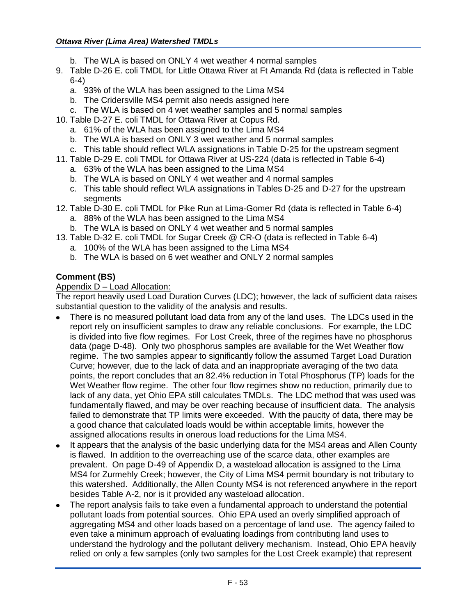- b. The WLA is based on ONLY 4 wet weather 4 normal samples
- 9. Table D-26 E. coli TMDL for Little Ottawa River at Ft Amanda Rd (data is reflected in Table 6-4)
	- a. 93% of the WLA has been assigned to the Lima MS4
	- b. The Cridersville MS4 permit also needs assigned here
	- c. The WLA is based on 4 wet weather samples and 5 normal samples
- 10. Table D-27 E. coli TMDL for Ottawa River at Copus Rd.
	- a. 61% of the WLA has been assigned to the Lima MS4
	- b. The WLA is based on ONLY 3 wet weather and 5 normal samples
	- c. This table should reflect WLA assignations in Table D-25 for the upstream segment
- 11. Table D-29 E. coli TMDL for Ottawa River at US-224 (data is reflected in Table 6-4)
	- a. 63% of the WLA has been assigned to the Lima MS4
	- b. The WLA is based on ONLY 4 wet weather and 4 normal samples
	- c. This table should reflect WLA assignations in Tables D-25 and D-27 for the upstream segments
- 12. Table D-30 E. coli TMDL for Pike Run at Lima-Gomer Rd (data is reflected in Table 6-4)
	- a. 88% of the WLA has been assigned to the Lima MS4
	- b. The WLA is based on ONLY 4 wet weather and 5 normal samples
- 13. Table D-32 E. coli TMDL for Sugar Creek @ CR-O (data is reflected in Table 6-4)
	- a. 100% of the WLA has been assigned to the Lima MS4
	- b. The WLA is based on 6 wet weather and ONLY 2 normal samples

# **Comment (BS)**

## Appendix D – Load Allocation:

The report heavily used Load Duration Curves (LDC); however, the lack of sufficient data raises substantial question to the validity of the analysis and results.

- There is no measured pollutant load data from any of the land uses. The LDCs used in the report rely on insufficient samples to draw any reliable conclusions. For example, the LDC is divided into five flow regimes. For Lost Creek, three of the regimes have no phosphorus data (page D-48). Only two phosphorus samples are available for the Wet Weather flow regime. The two samples appear to significantly follow the assumed Target Load Duration Curve; however, due to the lack of data and an inappropriate averaging of the two data points, the report concludes that an 82.4% reduction in Total Phosphorus (TP) loads for the Wet Weather flow regime. The other four flow regimes show no reduction, primarily due to lack of any data, yet Ohio EPA still calculates TMDLs. The LDC method that was used was fundamentally flawed, and may be over reaching because of insufficient data. The analysis failed to demonstrate that TP limits were exceeded. With the paucity of data, there may be a good chance that calculated loads would be within acceptable limits, however the assigned allocations results in onerous load reductions for the Lima MS4.
- It appears that the analysis of the basic underlying data for the MS4 areas and Allen County is flawed. In addition to the overreaching use of the scarce data, other examples are prevalent. On page D-49 of Appendix D, a wasteload allocation is assigned to the Lima MS4 for Zurmehly Creek; however, the City of Lima MS4 permit boundary is not tributary to this watershed. Additionally, the Allen County MS4 is not referenced anywhere in the report besides Table A-2, nor is it provided any wasteload allocation.
- The report analysis fails to take even a fundamental approach to understand the potential  $\bullet$ pollutant loads from potential sources. Ohio EPA used an overly simplified approach of aggregating MS4 and other loads based on a percentage of land use. The agency failed to even take a minimum approach of evaluating loadings from contributing land uses to understand the hydrology and the pollutant delivery mechanism. Instead, Ohio EPA heavily relied on only a few samples (only two samples for the Lost Creek example) that represent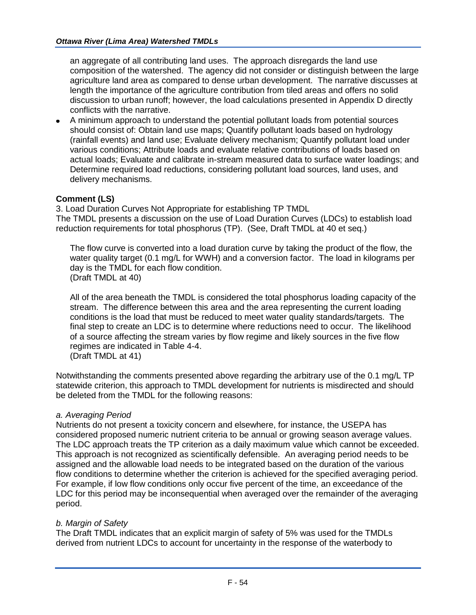an aggregate of all contributing land uses. The approach disregards the land use composition of the watershed. The agency did not consider or distinguish between the large agriculture land area as compared to dense urban development. The narrative discusses at length the importance of the agriculture contribution from tiled areas and offers no solid discussion to urban runoff; however, the load calculations presented in Appendix D directly conflicts with the narrative.

A minimum approach to understand the potential pollutant loads from potential sources should consist of: Obtain land use maps; Quantify pollutant loads based on hydrology (rainfall events) and land use; Evaluate delivery mechanism; Quantify pollutant load under various conditions; Attribute loads and evaluate relative contributions of loads based on actual loads; Evaluate and calibrate in-stream measured data to surface water loadings; and Determine required load reductions, considering pollutant load sources, land uses, and delivery mechanisms.

# **Comment (LS)**

3. Load Duration Curves Not Appropriate for establishing TP TMDL The TMDL presents a discussion on the use of Load Duration Curves (LDCs) to establish load reduction requirements for total phosphorus (TP). (See, Draft TMDL at 40 et seq.)

The flow curve is converted into a load duration curve by taking the product of the flow, the water quality target (0.1 mg/L for WWH) and a conversion factor. The load in kilograms per day is the TMDL for each flow condition. (Draft TMDL at 40)

All of the area beneath the TMDL is considered the total phosphorus loading capacity of the stream. The difference between this area and the area representing the current loading conditions is the load that must be reduced to meet water quality standards/targets. The final step to create an LDC is to determine where reductions need to occur. The likelihood of a source affecting the stream varies by flow regime and likely sources in the five flow regimes are indicated in Table 4-4. (Draft TMDL at 41)

Notwithstanding the comments presented above regarding the arbitrary use of the 0.1 mg/L TP statewide criterion, this approach to TMDL development for nutrients is misdirected and should be deleted from the TMDL for the following reasons:

## *a. Averaging Period*

Nutrients do not present a toxicity concern and elsewhere, for instance, the USEPA has considered proposed numeric nutrient criteria to be annual or growing season average values. The LDC approach treats the TP criterion as a daily maximum value which cannot be exceeded. This approach is not recognized as scientifically defensible. An averaging period needs to be assigned and the allowable load needs to be integrated based on the duration of the various flow conditions to determine whether the criterion is achieved for the specified averaging period. For example, if low flow conditions only occur five percent of the time, an exceedance of the LDC for this period may be inconsequential when averaged over the remainder of the averaging period.

## *b. Margin of Safety*

The Draft TMDL indicates that an explicit margin of safety of 5% was used for the TMDLs derived from nutrient LDCs to account for uncertainty in the response of the waterbody to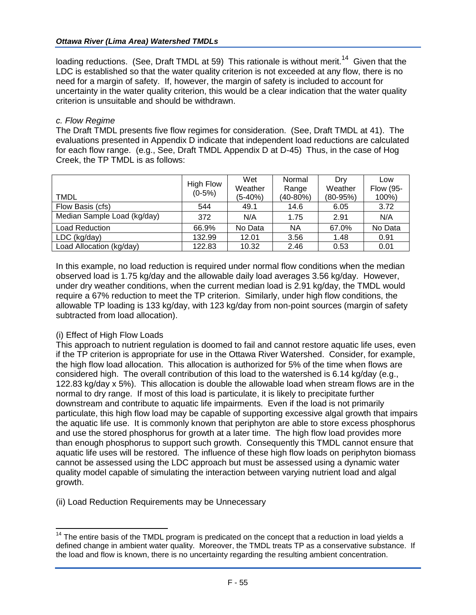loading reductions. (See, Draft TMDL at 59) This rationale is without merit.<sup>14</sup> Given that the LDC is established so that the water quality criterion is not exceeded at any flow, there is no need for a margin of safety. If, however, the margin of safety is included to account for uncertainty in the water quality criterion, this would be a clear indication that the water quality criterion is unsuitable and should be withdrawn.

#### *c. Flow Regime*

The Draft TMDL presents five flow regimes for consideration. (See, Draft TMDL at 41). The evaluations presented in Appendix D indicate that independent load reductions are calculated for each flow range. (e.g., See, Draft TMDL Appendix D at D-45) Thus, in the case of Hog Creek, the TP TMDL is as follows:

| <b>TMDL</b>                 | <b>High Flow</b><br>$(0-5%)$ | Wet<br>Weather<br>$(5-40%)$ | Normal<br>Range<br>(40-80%) | Drv<br>Weather<br>$(80-95%)$ | Low<br>Flow (95-<br>100%) |
|-----------------------------|------------------------------|-----------------------------|-----------------------------|------------------------------|---------------------------|
| Flow Basis (cfs)            | 544                          | 49.1                        | 14.6                        | 6.05                         | 3.72                      |
| Median Sample Load (kg/day) | 372                          | N/A                         | 1.75                        | 2.91                         | N/A                       |
| <b>Load Reduction</b>       | 66.9%                        | No Data                     | <b>NA</b>                   | 67.0%                        | No Data                   |
| LDC (kg/day)                | 132.99                       | 12.01                       | 3.56                        | 1.48                         | 0.91                      |
| Load Allocation (kg/day)    | 122.83                       | 10.32                       | 2.46                        | 0.53                         | 0.01                      |

In this example, no load reduction is required under normal flow conditions when the median observed load is 1.75 kg/day and the allowable daily load averages 3.56 kg/day. However, under dry weather conditions, when the current median load is 2.91 kg/day, the TMDL would require a 67% reduction to meet the TP criterion. Similarly, under high flow conditions, the allowable TP loading is 133 kg/day, with 123 kg/day from non-point sources (margin of safety subtracted from load allocation).

## (i) Effect of High Flow Loads

 $\overline{a}$ 

This approach to nutrient regulation is doomed to fail and cannot restore aquatic life uses, even if the TP criterion is appropriate for use in the Ottawa River Watershed. Consider, for example, the high flow load allocation. This allocation is authorized for 5% of the time when flows are considered high. The overall contribution of this load to the watershed is 6.14 kg/day (e.g., 122.83 kg/day x 5%). This allocation is double the allowable load when stream flows are in the normal to dry range. If most of this load is particulate, it is likely to precipitate further downstream and contribute to aquatic life impairments. Even if the load is not primarily particulate, this high flow load may be capable of supporting excessive algal growth that impairs the aquatic life use. It is commonly known that periphyton are able to store excess phosphorus and use the stored phosphorus for growth at a later time. The high flow load provides more than enough phosphorus to support such growth. Consequently this TMDL cannot ensure that aquatic life uses will be restored. The influence of these high flow loads on periphyton biomass cannot be assessed using the LDC approach but must be assessed using a dynamic water quality model capable of simulating the interaction between varying nutrient load and algal growth.

(ii) Load Reduction Requirements may be Unnecessary

 $14$  The entire basis of the TMDL program is predicated on the concept that a reduction in load yields a defined change in ambient water quality. Moreover, the TMDL treats TP as a conservative substance. If the load and flow is known, there is no uncertainty regarding the resulting ambient concentration.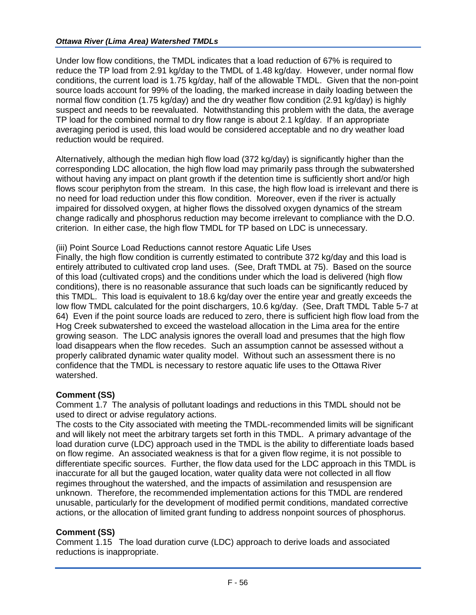Under low flow conditions, the TMDL indicates that a load reduction of 67% is required to reduce the TP load from 2.91 kg/day to the TMDL of 1.48 kg/day. However, under normal flow conditions, the current load is 1.75 kg/day, half of the allowable TMDL. Given that the non-point source loads account for 99% of the loading, the marked increase in daily loading between the normal flow condition (1.75 kg/day) and the dry weather flow condition (2.91 kg/day) is highly suspect and needs to be reevaluated. Notwithstanding this problem with the data, the average TP load for the combined normal to dry flow range is about 2.1 kg/day. If an appropriate averaging period is used, this load would be considered acceptable and no dry weather load reduction would be required.

Alternatively, although the median high flow load (372 kg/day) is significantly higher than the corresponding LDC allocation, the high flow load may primarily pass through the subwatershed without having any impact on plant growth if the detention time is sufficiently short and/or high flows scour periphyton from the stream. In this case, the high flow load is irrelevant and there is no need for load reduction under this flow condition. Moreover, even if the river is actually impaired for dissolved oxygen, at higher flows the dissolved oxygen dynamics of the stream change radically and phosphorus reduction may become irrelevant to compliance with the D.O. criterion. In either case, the high flow TMDL for TP based on LDC is unnecessary.

(iii) Point Source Load Reductions cannot restore Aquatic Life Uses

Finally, the high flow condition is currently estimated to contribute 372 kg/day and this load is entirely attributed to cultivated crop land uses. (See, Draft TMDL at 75). Based on the source of this load (cultivated crops) and the conditions under which the load is delivered (high flow conditions), there is no reasonable assurance that such loads can be significantly reduced by this TMDL. This load is equivalent to 18.6 kg/day over the entire year and greatly exceeds the low flow TMDL calculated for the point dischargers, 10.6 kg/day. (See, Draft TMDL Table 5-7 at 64) Even if the point source loads are reduced to zero, there is sufficient high flow load from the Hog Creek subwatershed to exceed the wasteload allocation in the Lima area for the entire growing season. The LDC analysis ignores the overall load and presumes that the high flow load disappears when the flow recedes. Such an assumption cannot be assessed without a properly calibrated dynamic water quality model. Without such an assessment there is no confidence that the TMDL is necessary to restore aquatic life uses to the Ottawa River watershed.

## **Comment (SS)**

Comment 1.7 The analysis of pollutant loadings and reductions in this TMDL should not be used to direct or advise regulatory actions.

The costs to the City associated with meeting the TMDL-recommended limits will be significant and will likely not meet the arbitrary targets set forth in this TMDL. A primary advantage of the load duration curve (LDC) approach used in the TMDL is the ability to differentiate loads based on flow regime. An associated weakness is that for a given flow regime, it is not possible to differentiate specific sources. Further, the flow data used for the LDC approach in this TMDL is inaccurate for all but the gauged location, water quality data were not collected in all flow regimes throughout the watershed, and the impacts of assimilation and resuspension are unknown. Therefore, the recommended implementation actions for this TMDL are rendered unusable, particularly for the development of modified permit conditions, mandated corrective actions, or the allocation of limited grant funding to address nonpoint sources of phosphorus.

## **Comment (SS)**

Comment 1.15 The load duration curve (LDC) approach to derive loads and associated reductions is inappropriate.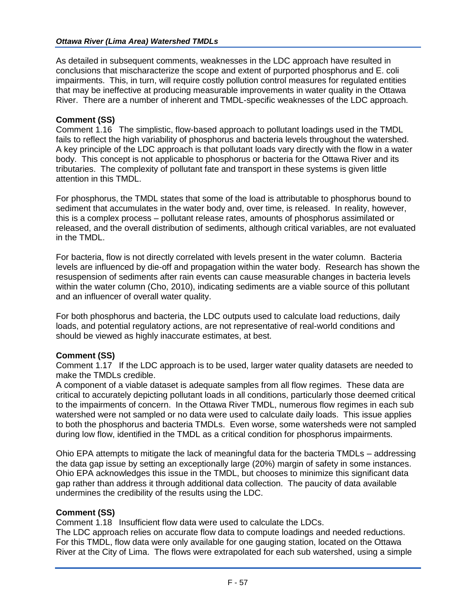#### *Ottawa River (Lima Area) Watershed TMDLs*

As detailed in subsequent comments, weaknesses in the LDC approach have resulted in conclusions that mischaracterize the scope and extent of purported phosphorus and E. coli impairments. This, in turn, will require costly pollution control measures for regulated entities that may be ineffective at producing measurable improvements in water quality in the Ottawa River. There are a number of inherent and TMDL-specific weaknesses of the LDC approach.

#### **Comment (SS)**

Comment 1.16 The simplistic, flow-based approach to pollutant loadings used in the TMDL fails to reflect the high variability of phosphorus and bacteria levels throughout the watershed. A key principle of the LDC approach is that pollutant loads vary directly with the flow in a water body. This concept is not applicable to phosphorus or bacteria for the Ottawa River and its tributaries. The complexity of pollutant fate and transport in these systems is given little attention in this TMDL.

For phosphorus, the TMDL states that some of the load is attributable to phosphorus bound to sediment that accumulates in the water body and, over time, is released. In reality, however, this is a complex process – pollutant release rates, amounts of phosphorus assimilated or released, and the overall distribution of sediments, although critical variables, are not evaluated in the TMDL.

For bacteria, flow is not directly correlated with levels present in the water column. Bacteria levels are influenced by die-off and propagation within the water body. Research has shown the resuspension of sediments after rain events can cause measurable changes in bacteria levels within the water column (Cho, 2010), indicating sediments are a viable source of this pollutant and an influencer of overall water quality.

For both phosphorus and bacteria, the LDC outputs used to calculate load reductions, daily loads, and potential regulatory actions, are not representative of real-world conditions and should be viewed as highly inaccurate estimates, at best.

## **Comment (SS)**

Comment 1.17 If the LDC approach is to be used, larger water quality datasets are needed to make the TMDLs credible.

A component of a viable dataset is adequate samples from all flow regimes. These data are critical to accurately depicting pollutant loads in all conditions, particularly those deemed critical to the impairments of concern. In the Ottawa River TMDL, numerous flow regimes in each sub watershed were not sampled or no data were used to calculate daily loads. This issue applies to both the phosphorus and bacteria TMDLs. Even worse, some watersheds were not sampled during low flow, identified in the TMDL as a critical condition for phosphorus impairments.

Ohio EPA attempts to mitigate the lack of meaningful data for the bacteria TMDLs – addressing the data gap issue by setting an exceptionally large (20%) margin of safety in some instances. Ohio EPA acknowledges this issue in the TMDL, but chooses to minimize this significant data gap rather than address it through additional data collection. The paucity of data available undermines the credibility of the results using the LDC.

#### **Comment (SS)**

Comment 1.18 Insufficient flow data were used to calculate the LDCs.

The LDC approach relies on accurate flow data to compute loadings and needed reductions. For this TMDL, flow data were only available for one gauging station, located on the Ottawa River at the City of Lima. The flows were extrapolated for each sub watershed, using a simple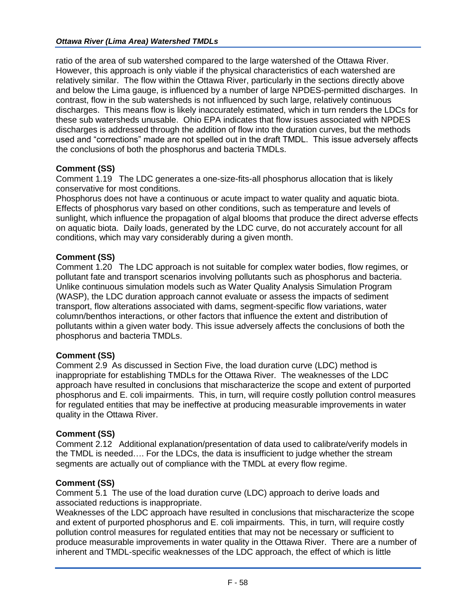ratio of the area of sub watershed compared to the large watershed of the Ottawa River. However, this approach is only viable if the physical characteristics of each watershed are relatively similar. The flow within the Ottawa River, particularly in the sections directly above and below the Lima gauge, is influenced by a number of large NPDES-permitted discharges. In contrast, flow in the sub watersheds is not influenced by such large, relatively continuous discharges. This means flow is likely inaccurately estimated, which in turn renders the LDCs for these sub watersheds unusable. Ohio EPA indicates that flow issues associated with NPDES discharges is addressed through the addition of flow into the duration curves, but the methods used and "corrections" made are not spelled out in the draft TMDL. This issue adversely affects the conclusions of both the phosphorus and bacteria TMDLs.

# **Comment (SS)**

Comment 1.19 The LDC generates a one-size-fits-all phosphorus allocation that is likely conservative for most conditions.

Phosphorus does not have a continuous or acute impact to water quality and aquatic biota. Effects of phosphorus vary based on other conditions, such as temperature and levels of sunlight, which influence the propagation of algal blooms that produce the direct adverse effects on aquatic biota. Daily loads, generated by the LDC curve, do not accurately account for all conditions, which may vary considerably during a given month.

## **Comment (SS)**

Comment 1.20 The LDC approach is not suitable for complex water bodies, flow regimes, or pollutant fate and transport scenarios involving pollutants such as phosphorus and bacteria. Unlike continuous simulation models such as Water Quality Analysis Simulation Program (WASP), the LDC duration approach cannot evaluate or assess the impacts of sediment transport, flow alterations associated with dams, segment-specific flow variations, water column/benthos interactions, or other factors that influence the extent and distribution of pollutants within a given water body. This issue adversely affects the conclusions of both the phosphorus and bacteria TMDLs.

## **Comment (SS)**

Comment 2.9 As discussed in Section Five, the load duration curve (LDC) method is inappropriate for establishing TMDLs for the Ottawa River. The weaknesses of the LDC approach have resulted in conclusions that mischaracterize the scope and extent of purported phosphorus and E. coli impairments. This, in turn, will require costly pollution control measures for regulated entities that may be ineffective at producing measurable improvements in water quality in the Ottawa River.

## **Comment (SS)**

Comment 2.12 Additional explanation/presentation of data used to calibrate/verify models in the TMDL is needed…. For the LDCs, the data is insufficient to judge whether the stream segments are actually out of compliance with the TMDL at every flow regime.

## **Comment (SS)**

Comment 5.1 The use of the load duration curve (LDC) approach to derive loads and associated reductions is inappropriate.

Weaknesses of the LDC approach have resulted in conclusions that mischaracterize the scope and extent of purported phosphorus and E. coli impairments. This, in turn, will require costly pollution control measures for regulated entities that may not be necessary or sufficient to produce measurable improvements in water quality in the Ottawa River. There are a number of inherent and TMDL-specific weaknesses of the LDC approach, the effect of which is little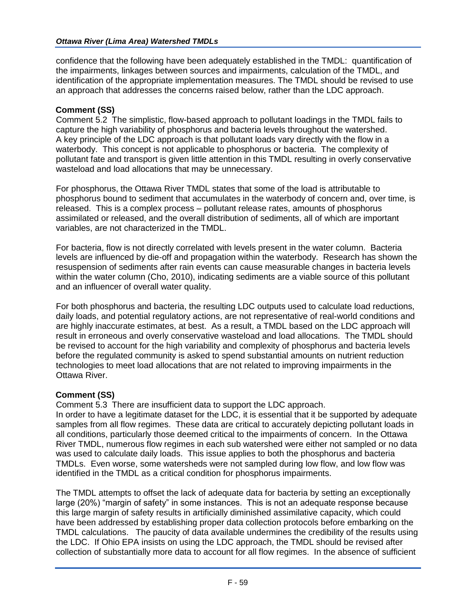#### *Ottawa River (Lima Area) Watershed TMDLs*

confidence that the following have been adequately established in the TMDL: quantification of the impairments, linkages between sources and impairments, calculation of the TMDL, and identification of the appropriate implementation measures. The TMDL should be revised to use an approach that addresses the concerns raised below, rather than the LDC approach.

#### **Comment (SS)**

Comment 5.2 The simplistic, flow-based approach to pollutant loadings in the TMDL fails to capture the high variability of phosphorus and bacteria levels throughout the watershed. A key principle of the LDC approach is that pollutant loads vary directly with the flow in a waterbody. This concept is not applicable to phosphorus or bacteria. The complexity of pollutant fate and transport is given little attention in this TMDL resulting in overly conservative wasteload and load allocations that may be unnecessary.

For phosphorus, the Ottawa River TMDL states that some of the load is attributable to phosphorus bound to sediment that accumulates in the waterbody of concern and, over time, is released. This is a complex process – pollutant release rates, amounts of phosphorus assimilated or released, and the overall distribution of sediments, all of which are important variables, are not characterized in the TMDL.

For bacteria, flow is not directly correlated with levels present in the water column. Bacteria levels are influenced by die-off and propagation within the waterbody. Research has shown the resuspension of sediments after rain events can cause measurable changes in bacteria levels within the water column (Cho, 2010), indicating sediments are a viable source of this pollutant and an influencer of overall water quality.

For both phosphorus and bacteria, the resulting LDC outputs used to calculate load reductions, daily loads, and potential regulatory actions, are not representative of real-world conditions and are highly inaccurate estimates, at best. As a result, a TMDL based on the LDC approach will result in erroneous and overly conservative wasteload and load allocations. The TMDL should be revised to account for the high variability and complexity of phosphorus and bacteria levels before the regulated community is asked to spend substantial amounts on nutrient reduction technologies to meet load allocations that are not related to improving impairments in the Ottawa River.

## **Comment (SS)**

Comment 5.3 There are insufficient data to support the LDC approach.

In order to have a legitimate dataset for the LDC, it is essential that it be supported by adequate samples from all flow regimes. These data are critical to accurately depicting pollutant loads in all conditions, particularly those deemed critical to the impairments of concern. In the Ottawa River TMDL, numerous flow regimes in each sub watershed were either not sampled or no data was used to calculate daily loads. This issue applies to both the phosphorus and bacteria TMDLs. Even worse, some watersheds were not sampled during low flow, and low flow was identified in the TMDL as a critical condition for phosphorus impairments.

The TMDL attempts to offset the lack of adequate data for bacteria by setting an exceptionally large (20%) "margin of safety" in some instances. This is not an adequate response because this large margin of safety results in artificially diminished assimilative capacity, which could have been addressed by establishing proper data collection protocols before embarking on the TMDL calculations. The paucity of data available undermines the credibility of the results using the LDC. If Ohio EPA insists on using the LDC approach, the TMDL should be revised after collection of substantially more data to account for all flow regimes. In the absence of sufficient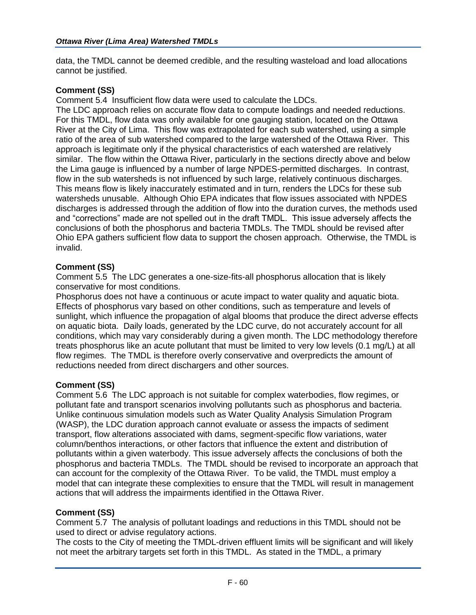data, the TMDL cannot be deemed credible, and the resulting wasteload and load allocations cannot be justified.

#### **Comment (SS)**

Comment 5.4 Insufficient flow data were used to calculate the LDCs.

The LDC approach relies on accurate flow data to compute loadings and needed reductions. For this TMDL, flow data was only available for one gauging station, located on the Ottawa River at the City of Lima. This flow was extrapolated for each sub watershed, using a simple ratio of the area of sub watershed compared to the large watershed of the Ottawa River. This approach is legitimate only if the physical characteristics of each watershed are relatively similar. The flow within the Ottawa River, particularly in the sections directly above and below the Lima gauge is influenced by a number of large NPDES-permitted discharges. In contrast, flow in the sub watersheds is not influenced by such large, relatively continuous discharges. This means flow is likely inaccurately estimated and in turn, renders the LDCs for these sub watersheds unusable. Although Ohio EPA indicates that flow issues associated with NPDES discharges is addressed through the addition of flow into the duration curves, the methods used and "corrections" made are not spelled out in the draft TMDL. This issue adversely affects the conclusions of both the phosphorus and bacteria TMDLs. The TMDL should be revised after Ohio EPA gathers sufficient flow data to support the chosen approach. Otherwise, the TMDL is invalid.

#### **Comment (SS)**

Comment 5.5 The LDC generates a one-size-fits-all phosphorus allocation that is likely conservative for most conditions.

Phosphorus does not have a continuous or acute impact to water quality and aquatic biota. Effects of phosphorus vary based on other conditions, such as temperature and levels of sunlight, which influence the propagation of algal blooms that produce the direct adverse effects on aquatic biota. Daily loads, generated by the LDC curve, do not accurately account for all conditions, which may vary considerably during a given month. The LDC methodology therefore treats phosphorus like an acute pollutant that must be limited to very low levels (0.1 mg/L) at all flow regimes. The TMDL is therefore overly conservative and overpredicts the amount of reductions needed from direct dischargers and other sources.

## **Comment (SS)**

Comment 5.6 The LDC approach is not suitable for complex waterbodies, flow regimes, or pollutant fate and transport scenarios involving pollutants such as phosphorus and bacteria. Unlike continuous simulation models such as Water Quality Analysis Simulation Program (WASP), the LDC duration approach cannot evaluate or assess the impacts of sediment transport, flow alterations associated with dams, segment-specific flow variations, water column/benthos interactions, or other factors that influence the extent and distribution of pollutants within a given waterbody. This issue adversely affects the conclusions of both the phosphorus and bacteria TMDLs. The TMDL should be revised to incorporate an approach that can account for the complexity of the Ottawa River. To be valid, the TMDL must employ a model that can integrate these complexities to ensure that the TMDL will result in management actions that will address the impairments identified in the Ottawa River.

#### **Comment (SS)**

Comment 5.7 The analysis of pollutant loadings and reductions in this TMDL should not be used to direct or advise regulatory actions.

The costs to the City of meeting the TMDL-driven effluent limits will be significant and will likely not meet the arbitrary targets set forth in this TMDL. As stated in the TMDL, a primary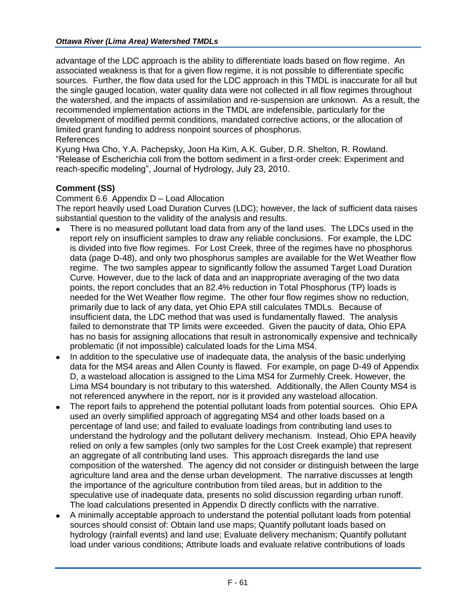advantage of the LDC approach is the ability to differentiate loads based on flow regime. An associated weakness is that for a given flow regime, it is not possible to differentiate specific sources. Further, the flow data used for the LDC approach in this TMDL is inaccurate for all but the single gauged location, water quality data were not collected in all flow regimes throughout the watershed, and the impacts of assimilation and re-suspension are unknown. As a result, the recommended implementation actions in the TMDL are indefensible, particularly for the development of modified permit conditions, mandated corrective actions, or the allocation of limited grant funding to address nonpoint sources of phosphorus. References

Kyung Hwa Cho, Y.A. Pachepsky, Joon Ha Kim, A.K. Guber, D.R. Shelton, R. Rowland. "Release of Escherichia coli from the bottom sediment in a first-order creek: Experiment and reach-specific modeling", Journal of Hydrology, July 23, 2010.

# **Comment (SS)**

Comment 6.6 Appendix D – Load Allocation

The report heavily used Load Duration Curves (LDC); however, the lack of sufficient data raises substantial question to the validity of the analysis and results.

- There is no measured pollutant load data from any of the land uses. The LDCs used in the report rely on insufficient samples to draw any reliable conclusions. For example, the LDC is divided into five flow regimes. For Lost Creek, three of the regimes have no phosphorus data (page D-48), and only two phosphorus samples are available for the Wet Weather flow regime. The two samples appear to significantly follow the assumed Target Load Duration Curve. However, due to the lack of data and an inappropriate averaging of the two data points, the report concludes that an 82.4% reduction in Total Phosphorus (TP) loads is needed for the Wet Weather flow regime. The other four flow regimes show no reduction, primarily due to lack of any data, yet Ohio EPA still calculates TMDLs. Because of insufficient data, the LDC method that was used is fundamentally flawed. The analysis failed to demonstrate that TP limits were exceeded. Given the paucity of data, Ohio EPA has no basis for assigning allocations that result in astronomically expensive and technically problematic (if not impossible) calculated loads for the Lima MS4.
- In addition to the speculative use of inadequate data, the analysis of the basic underlying  $\bullet$ data for the MS4 areas and Allen County is flawed. For example, on page D-49 of Appendix D, a wasteload allocation is assigned to the Lima MS4 for Zurmehly Creek. However, the Lima MS4 boundary is not tributary to this watershed. Additionally, the Allen County MS4 is not referenced anywhere in the report, nor is it provided any wasteload allocation.
- The report fails to apprehend the potential pollutant loads from potential sources. Ohio EPA used an overly simplified approach of aggregating MS4 and other loads based on a percentage of land use; and failed to evaluate loadings from contributing land uses to understand the hydrology and the pollutant delivery mechanism. Instead, Ohio EPA heavily relied on only a few samples (only two samples for the Lost Creek example) that represent an aggregate of all contributing land uses. This approach disregards the land use composition of the watershed. The agency did not consider or distinguish between the large agriculture land area and the dense urban development. The narrative discusses at length the importance of the agriculture contribution from tiled areas, but in addition to the speculative use of inadequate data, presents no solid discussion regarding urban runoff. The load calculations presented in Appendix D directly conflicts with the narrative.
- A minimally acceptable approach to understand the potential pollutant loads from potential sources should consist of: Obtain land use maps; Quantify pollutant loads based on hydrology (rainfall events) and land use; Evaluate delivery mechanism; Quantify pollutant load under various conditions; Attribute loads and evaluate relative contributions of loads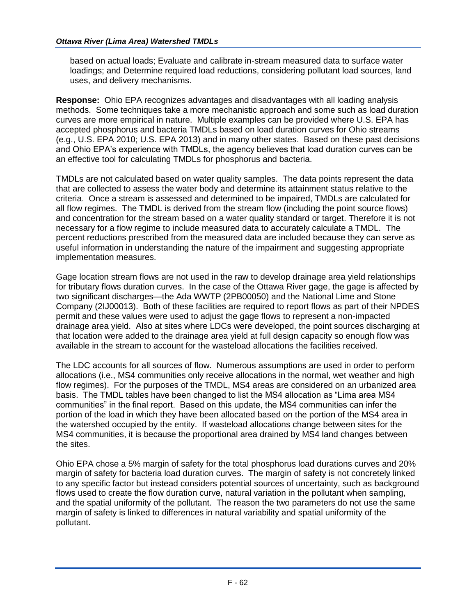based on actual loads; Evaluate and calibrate in-stream measured data to surface water loadings; and Determine required load reductions, considering pollutant load sources, land uses, and delivery mechanisms.

**Response:** Ohio EPA recognizes advantages and disadvantages with all loading analysis methods. Some techniques take a more mechanistic approach and some such as load duration curves are more empirical in nature. Multiple examples can be provided where U.S. EPA has accepted phosphorus and bacteria TMDLs based on load duration curves for Ohio streams (e.g., U.S. EPA 2010; U.S. EPA 2013) and in many other states. Based on these past decisions and Ohio EPA's experience with TMDLs, the agency believes that load duration curves can be an effective tool for calculating TMDLs for phosphorus and bacteria.

TMDLs are not calculated based on water quality samples. The data points represent the data that are collected to assess the water body and determine its attainment status relative to the criteria. Once a stream is assessed and determined to be impaired, TMDLs are calculated for all flow regimes. The TMDL is derived from the stream flow (including the point source flows) and concentration for the stream based on a water quality standard or target. Therefore it is not necessary for a flow regime to include measured data to accurately calculate a TMDL. The percent reductions prescribed from the measured data are included because they can serve as useful information in understanding the nature of the impairment and suggesting appropriate implementation measures.

Gage location stream flows are not used in the raw to develop drainage area yield relationships for tributary flows duration curves. In the case of the Ottawa River gage, the gage is affected by two significant discharges—the Ada WWTP (2PB00050) and the National Lime and Stone Company (2IJ00013). Both of these facilities are required to report flows as part of their NPDES permit and these values were used to adjust the gage flows to represent a non-impacted drainage area yield. Also at sites where LDCs were developed, the point sources discharging at that location were added to the drainage area yield at full design capacity so enough flow was available in the stream to account for the wasteload allocations the facilities received.

The LDC accounts for all sources of flow. Numerous assumptions are used in order to perform allocations (i.e., MS4 communities only receive allocations in the normal, wet weather and high flow regimes). For the purposes of the TMDL, MS4 areas are considered on an urbanized area basis. The TMDL tables have been changed to list the MS4 allocation as "Lima area MS4 communities" in the final report. Based on this update, the MS4 communities can infer the portion of the load in which they have been allocated based on the portion of the MS4 area in the watershed occupied by the entity. If wasteload allocations change between sites for the MS4 communities, it is because the proportional area drained by MS4 land changes between the sites.

Ohio EPA chose a 5% margin of safety for the total phosphorus load durations curves and 20% margin of safety for bacteria load duration curves. The margin of safety is not concretely linked to any specific factor but instead considers potential sources of uncertainty, such as background flows used to create the flow duration curve, natural variation in the pollutant when sampling, and the spatial uniformity of the pollutant. The reason the two parameters do not use the same margin of safety is linked to differences in natural variability and spatial uniformity of the pollutant.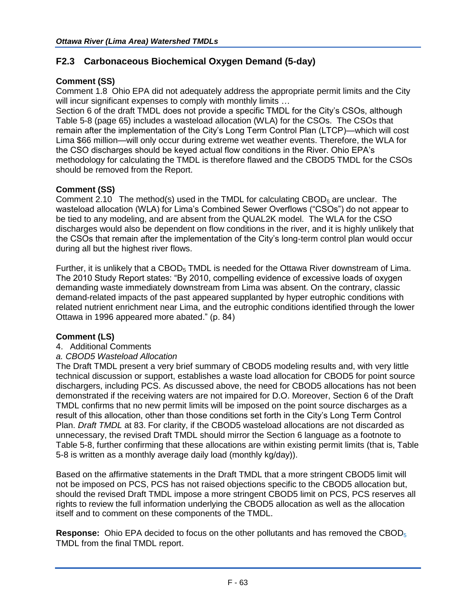# **F2.3 Carbonaceous Biochemical Oxygen Demand (5-day)**

# **Comment (SS)**

Comment 1.8 Ohio EPA did not adequately address the appropriate permit limits and the City will incur significant expenses to comply with monthly limits ...

Section 6 of the draft TMDL does not provide a specific TMDL for the City's CSOs, although Table 5-8 (page 65) includes a wasteload allocation (WLA) for the CSOs. The CSOs that remain after the implementation of the City's Long Term Control Plan (LTCP)—which will cost Lima \$66 million—will only occur during extreme wet weather events. Therefore, the WLA for the CSO discharges should be keyed actual flow conditions in the River. Ohio EPA's methodology for calculating the TMDL is therefore flawed and the CBOD5 TMDL for the CSOs should be removed from the Report.

# **Comment (SS)**

Comment 2.10 The method(s) used in the TMDL for calculating CBOD $_5$  are unclear. The wasteload allocation (WLA) for Lima's Combined Sewer Overflows ("CSOs") do not appear to be tied to any modeling, and are absent from the QUAL2K model. The WLA for the CSO discharges would also be dependent on flow conditions in the river, and it is highly unlikely that the CSOs that remain after the implementation of the City's long-term control plan would occur during all but the highest river flows.

Further, it is unlikely that a CBOD<sub>5</sub> TMDL is needed for the Ottawa River downstream of Lima. The 2010 Study Report states: "By 2010, compelling evidence of excessive loads of oxygen demanding waste immediately downstream from Lima was absent. On the contrary, classic demand-related impacts of the past appeared supplanted by hyper eutrophic conditions with related nutrient enrichment near Lima, and the eutrophic conditions identified through the lower Ottawa in 1996 appeared more abated." (p. 84)

## **Comment (LS)**

4. Additional Comments

## *a. CBOD5 Wasteload Allocation*

The Draft TMDL present a very brief summary of CBOD5 modeling results and, with very little technical discussion or support, establishes a waste load allocation for CBOD5 for point source dischargers, including PCS. As discussed above, the need for CBOD5 allocations has not been demonstrated if the receiving waters are not impaired for D.O. Moreover, Section 6 of the Draft TMDL confirms that no new permit limits will be imposed on the point source discharges as a result of this allocation, other than those conditions set forth in the City's Long Term Control Plan. *Draft TMDL* at 83. For clarity, if the CBOD5 wasteload allocations are not discarded as unnecessary, the revised Draft TMDL should mirror the Section 6 language as a footnote to Table 5-8, further confirming that these allocations are within existing permit limits (that is, Table 5-8 is written as a monthly average daily load (monthly kg/day)).

Based on the affirmative statements in the Draft TMDL that a more stringent CBOD5 limit will not be imposed on PCS, PCS has not raised objections specific to the CBOD5 allocation but, should the revised Draft TMDL impose a more stringent CBOD5 limit on PCS, PCS reserves all rights to review the full information underlying the CBOD5 allocation as well as the allocation itself and to comment on these components of the TMDL.

**Response:** Ohio EPA decided to focus on the other pollutants and has removed the CBOD<sub>5</sub> TMDL from the final TMDL report.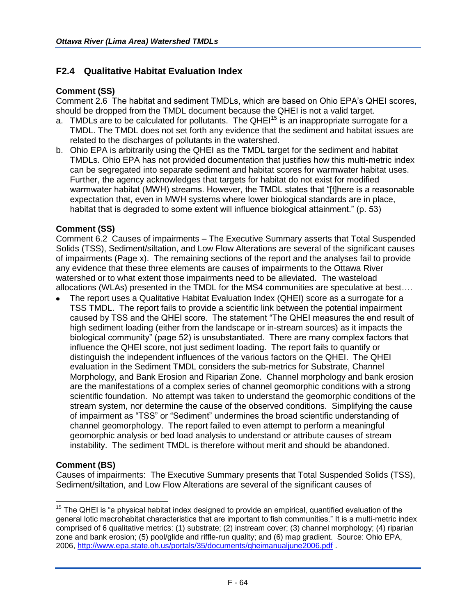# **F2.4 Qualitative Habitat Evaluation Index**

#### **Comment (SS)**

Comment 2.6 The habitat and sediment TMDLs, which are based on Ohio EPA's QHEI scores, should be dropped from the TMDL document because the QHEI is not a valid target.

- a. TMDLs are to be calculated for pollutants. The QHE $1<sup>15</sup>$  is an inappropriate surrogate for a TMDL. The TMDL does not set forth any evidence that the sediment and habitat issues are related to the discharges of pollutants in the watershed.
- b. Ohio EPA is arbitrarily using the QHEI as the TMDL target for the sediment and habitat TMDLs. Ohio EPA has not provided documentation that justifies how this multi-metric index can be segregated into separate sediment and habitat scores for warmwater habitat uses. Further, the agency acknowledges that targets for habitat do not exist for modified warmwater habitat (MWH) streams. However, the TMDL states that "[t]here is a reasonable expectation that, even in MWH systems where lower biological standards are in place, habitat that is degraded to some extent will influence biological attainment." (p. 53)

#### **Comment (SS)**

Comment 6.2 Causes of impairments – The Executive Summary asserts that Total Suspended Solids (TSS), Sediment/siltation, and Low Flow Alterations are several of the significant causes of impairments (Page x). The remaining sections of the report and the analyses fail to provide any evidence that these three elements are causes of impairments to the Ottawa River watershed or to what extent those impairments need to be alleviated. The wasteload allocations (WLAs) presented in the TMDL for the MS4 communities are speculative at best….

The report uses a Qualitative Habitat Evaluation Index (QHEI) score as a surrogate for a TSS TMDL. The report fails to provide a scientific link between the potential impairment caused by TSS and the QHEI score. The statement "The QHEI measures the end result of high sediment loading (either from the landscape or in-stream sources) as it impacts the biological community" (page 52) is unsubstantiated. There are many complex factors that influence the QHEI score, not just sediment loading. The report fails to quantify or distinguish the independent influences of the various factors on the QHEI. The QHEI evaluation in the Sediment TMDL considers the sub-metrics for Substrate, Channel Morphology, and Bank Erosion and Riparian Zone. Channel morphology and bank erosion are the manifestations of a complex series of channel geomorphic conditions with a strong scientific foundation. No attempt was taken to understand the geomorphic conditions of the stream system, nor determine the cause of the observed conditions. Simplifying the cause of impairment as "TSS" or "Sediment" undermines the broad scientific understanding of channel geomorphology. The report failed to even attempt to perform a meaningful geomorphic analysis or bed load analysis to understand or attribute causes of stream instability. The sediment TMDL is therefore without merit and should be abandoned.

#### **Comment (BS)**

Causes of impairments: The Executive Summary presents that Total Suspended Solids (TSS), Sediment/siltation, and Low Flow Alterations are several of the significant causes of

 $\overline{\phantom{a}}$  $15$  The QHEI is "a physical habitat index designed to provide an empirical, quantified evaluation of the general lotic macrohabitat characteristics that are important to fish communities." It is a multi-metric index comprised of 6 qualitative metrics: (1) substrate; (2) instream cover; (3) channel morphology; (4) riparian zone and bank erosion; (5) pool/glide and riffle-run quality; and (6) map gradient. Source: Ohio EPA, 2006,<http://www.epa.state.oh.us/portals/35/documents/qheimanualjune2006.pdf> .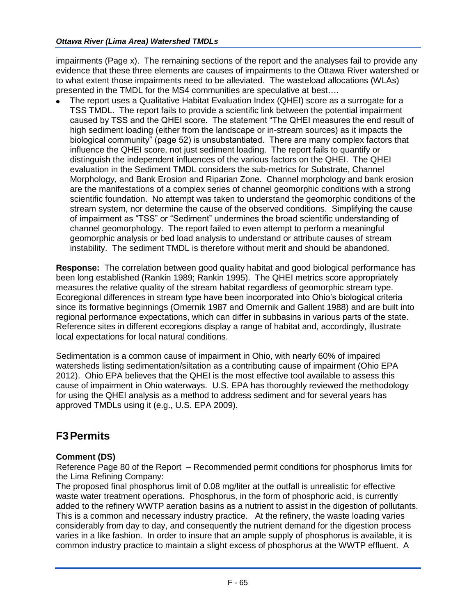impairments (Page x). The remaining sections of the report and the analyses fail to provide any evidence that these three elements are causes of impairments to the Ottawa River watershed or to what extent those impairments need to be alleviated. The wasteload allocations (WLAs) presented in the TMDL for the MS4 communities are speculative at best….

The report uses a Qualitative Habitat Evaluation Index (QHEI) score as a surrogate for a TSS TMDL. The report fails to provide a scientific link between the potential impairment caused by TSS and the QHEI score. The statement "The QHEI measures the end result of high sediment loading (either from the landscape or in-stream sources) as it impacts the biological community" (page 52) is unsubstantiated. There are many complex factors that influence the QHEI score, not just sediment loading. The report fails to quantify or distinguish the independent influences of the various factors on the QHEI. The QHEI evaluation in the Sediment TMDL considers the sub-metrics for Substrate, Channel Morphology, and Bank Erosion and Riparian Zone. Channel morphology and bank erosion are the manifestations of a complex series of channel geomorphic conditions with a strong scientific foundation. No attempt was taken to understand the geomorphic conditions of the stream system, nor determine the cause of the observed conditions. Simplifying the cause of impairment as "TSS" or "Sediment" undermines the broad scientific understanding of channel geomorphology. The report failed to even attempt to perform a meaningful geomorphic analysis or bed load analysis to understand or attribute causes of stream instability. The sediment TMDL is therefore without merit and should be abandoned.

**Response:** The correlation between good quality habitat and good biological performance has been long established (Rankin 1989; Rankin 1995). The QHEI metrics score appropriately measures the relative quality of the stream habitat regardless of geomorphic stream type. Ecoregional differences in stream type have been incorporated into Ohio's biological criteria since its formative beginnings (Omernik 1987 and Omernik and Gallent 1988) and are built into regional performance expectations, which can differ in subbasins in various parts of the state. Reference sites in different ecoregions display a range of habitat and, accordingly, illustrate local expectations for local natural conditions.

Sedimentation is a common cause of impairment in Ohio, with nearly 60% of impaired watersheds listing sedimentation/siltation as a contributing cause of impairment (Ohio EPA 2012). Ohio EPA believes that the QHEI is the most effective tool available to assess this cause of impairment in Ohio waterways. U.S. EPA has thoroughly reviewed the methodology for using the QHEI analysis as a method to address sediment and for several years has approved TMDLs using it (e.g., U.S. EPA 2009).

# **F3Permits**

# **Comment (DS)**

Reference Page 80 of the Report – Recommended permit conditions for phosphorus limits for the Lima Refining Company:

The proposed final phosphorus limit of 0.08 mg/liter at the outfall is unrealistic for effective waste water treatment operations. Phosphorus, in the form of phosphoric acid, is currently added to the refinery WWTP aeration basins as a nutrient to assist in the digestion of pollutants. This is a common and necessary industry practice. At the refinery, the waste loading varies considerably from day to day, and consequently the nutrient demand for the digestion process varies in a like fashion. In order to insure that an ample supply of phosphorus is available, it is common industry practice to maintain a slight excess of phosphorus at the WWTP effluent. A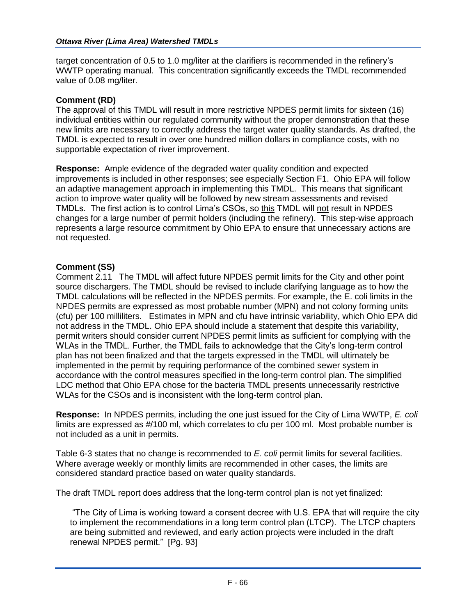target concentration of 0.5 to 1.0 mg/liter at the clarifiers is recommended in the refinery's WWTP operating manual. This concentration significantly exceeds the TMDL recommended value of 0.08 mg/liter.

## **Comment (RD)**

The approval of this TMDL will result in more restrictive NPDES permit limits for sixteen (16) individual entities within our regulated community without the proper demonstration that these new limits are necessary to correctly address the target water quality standards. As drafted, the TMDL is expected to result in over one hundred million dollars in compliance costs, with no supportable expectation of river improvement.

**Response:** Ample evidence of the degraded water quality condition and expected improvements is included in other responses; see especially Section F1. Ohio EPA will follow an adaptive management approach in implementing this TMDL. This means that significant action to improve water quality will be followed by new stream assessments and revised TMDLs. The first action is to control Lima's CSOs, so this TMDL will not result in NPDES changes for a large number of permit holders (including the refinery). This step-wise approach represents a large resource commitment by Ohio EPA to ensure that unnecessary actions are not requested.

## **Comment (SS)**

Comment 2.11 The TMDL will affect future NPDES permit limits for the City and other point source dischargers. The TMDL should be revised to include clarifying language as to how the TMDL calculations will be reflected in the NPDES permits. For example, the E. coli limits in the NPDES permits are expressed as most probable number (MPN) and not colony forming units (cfu) per 100 milliliters. Estimates in MPN and cfu have intrinsic variability, which Ohio EPA did not address in the TMDL. Ohio EPA should include a statement that despite this variability, permit writers should consider current NPDES permit limits as sufficient for complying with the WLAs in the TMDL. Further, the TMDL fails to acknowledge that the City's long-term control plan has not been finalized and that the targets expressed in the TMDL will ultimately be implemented in the permit by requiring performance of the combined sewer system in accordance with the control measures specified in the long-term control plan. The simplified LDC method that Ohio EPA chose for the bacteria TMDL presents unnecessarily restrictive WLAs for the CSOs and is inconsistent with the long-term control plan.

**Response:** In NPDES permits, including the one just issued for the City of Lima WWTP, *E. coli* limits are expressed as #/100 ml, which correlates to cfu per 100 ml. Most probable number is not included as a unit in permits.

Table 6-3 states that no change is recommended to *E. coli* permit limits for several facilities. Where average weekly or monthly limits are recommended in other cases, the limits are considered standard practice based on water quality standards.

The draft TMDL report does address that the long-term control plan is not yet finalized:

"The City of Lima is working toward a consent decree with U.S. EPA that will require the city to implement the recommendations in a long term control plan (LTCP). The LTCP chapters are being submitted and reviewed, and early action projects were included in the draft renewal NPDES permit." [Pg. 93]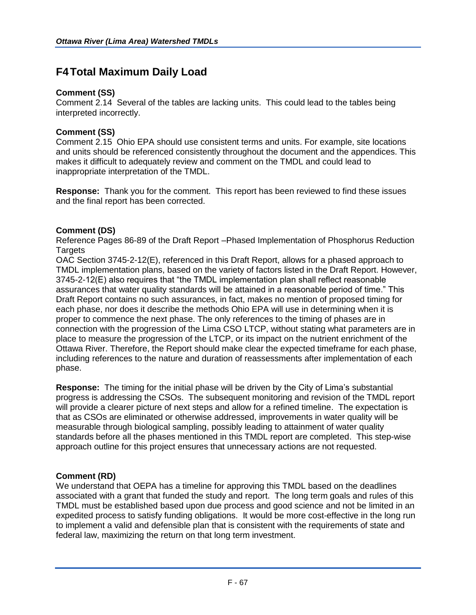# **F4Total Maximum Daily Load**

## **Comment (SS)**

Comment 2.14 Several of the tables are lacking units. This could lead to the tables being interpreted incorrectly.

# **Comment (SS)**

Comment 2.15 Ohio EPA should use consistent terms and units. For example, site locations and units should be referenced consistently throughout the document and the appendices. This makes it difficult to adequately review and comment on the TMDL and could lead to inappropriate interpretation of the TMDL.

**Response:** Thank you for the comment. This report has been reviewed to find these issues and the final report has been corrected.

# **Comment (DS)**

Reference Pages 86-89 of the Draft Report –Phased Implementation of Phosphorus Reduction **Targets** 

OAC Section 3745-2-12(E), referenced in this Draft Report, allows for a phased approach to TMDL implementation plans, based on the variety of factors listed in the Draft Report. However, 3745-2-12(E) also requires that "the TMDL implementation plan shall reflect reasonable assurances that water quality standards will be attained in a reasonable period of time." This Draft Report contains no such assurances, in fact, makes no mention of proposed timing for each phase, nor does it describe the methods Ohio EPA will use in determining when it is proper to commence the next phase. The only references to the timing of phases are in connection with the progression of the Lima CSO LTCP, without stating what parameters are in place to measure the progression of the LTCP, or its impact on the nutrient enrichment of the Ottawa River. Therefore, the Report should make clear the expected timeframe for each phase, including references to the nature and duration of reassessments after implementation of each phase.

**Response:** The timing for the initial phase will be driven by the City of Lima's substantial progress is addressing the CSOs. The subsequent monitoring and revision of the TMDL report will provide a clearer picture of next steps and allow for a refined timeline. The expectation is that as CSOs are eliminated or otherwise addressed, improvements in water quality will be measurable through biological sampling, possibly leading to attainment of water quality standards before all the phases mentioned in this TMDL report are completed. This step-wise approach outline for this project ensures that unnecessary actions are not requested.

## **Comment (RD)**

We understand that OEPA has a timeline for approving this TMDL based on the deadlines associated with a grant that funded the study and report. The long term goals and rules of this TMDL must be established based upon due process and good science and not be limited in an expedited process to satisfy funding obligations. It would be more cost-effective in the long run to implement a valid and defensible plan that is consistent with the requirements of state and federal law, maximizing the return on that long term investment.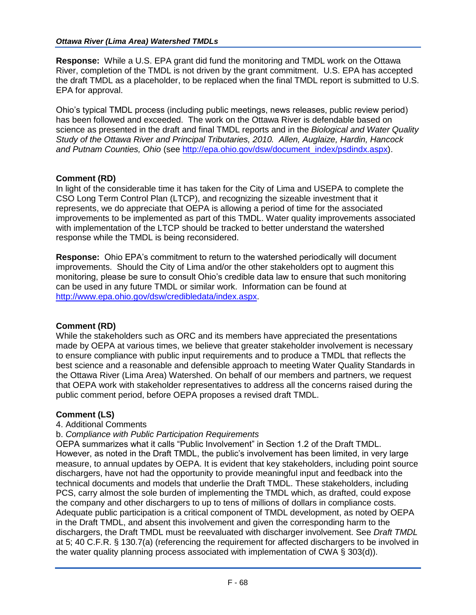**Response:** While a U.S. EPA grant did fund the monitoring and TMDL work on the Ottawa River, completion of the TMDL is not driven by the grant commitment. U.S. EPA has accepted the draft TMDL as a placeholder, to be replaced when the final TMDL report is submitted to U.S. EPA for approval.

Ohio's typical TMDL process (including public meetings, news releases, public review period) has been followed and exceeded. The work on the Ottawa River is defendable based on science as presented in the draft and final TMDL reports and in the *Biological and Water Quality Study of the Ottawa River and Principal Tributaries, 2010. Allen, Auglaize, Hardin, Hancock and Putnam Counties, Ohio* (see [http://epa.ohio.gov/dsw/document\\_index/psdindx.aspx\)](http://epa.ohio.gov/dsw/document_index/psdindx.aspx).

# **Comment (RD)**

In light of the considerable time it has taken for the City of Lima and USEPA to complete the CSO Long Term Control Plan (LTCP), and recognizing the sizeable investment that it represents, we do appreciate that OEPA is allowing a period of time for the associated improvements to be implemented as part of this TMDL. Water quality improvements associated with implementation of the LTCP should be tracked to better understand the watershed response while the TMDL is being reconsidered.

**Response:** Ohio EPA's commitment to return to the watershed periodically will document improvements. Should the City of Lima and/or the other stakeholders opt to augment this monitoring, please be sure to consult Ohio's credible data law to ensure that such monitoring can be used in any future TMDL or similar work. Information can be found at [http://www.epa.ohio.gov/dsw/credibledata/index.aspx.](http://www.epa.ohio.gov/dsw/credibledata/index.aspx)

## **Comment (RD)**

While the stakeholders such as ORC and its members have appreciated the presentations made by OEPA at various times, we believe that greater stakeholder involvement is necessary to ensure compliance with public input requirements and to produce a TMDL that reflects the best science and a reasonable and defensible approach to meeting Water Quality Standards in the Ottawa River (Lima Area) Watershed. On behalf of our members and partners, we request that OEPA work with stakeholder representatives to address all the concerns raised during the public comment period, before OEPA proposes a revised draft TMDL.

## **Comment (LS)**

4. Additional Comments

## b. *Compliance with Public Participation Requirements*

OEPA summarizes what it calls "Public Involvement" in Section 1.2 of the Draft TMDL. However, as noted in the Draft TMDL, the public's involvement has been limited, in very large measure, to annual updates by OEPA. It is evident that key stakeholders, including point source dischargers, have not had the opportunity to provide meaningful input and feedback into the technical documents and models that underlie the Draft TMDL. These stakeholders, including PCS, carry almost the sole burden of implementing the TMDL which, as drafted, could expose the company and other dischargers to up to tens of millions of dollars in compliance costs. Adequate public participation is a critical component of TMDL development, as noted by OEPA in the Draft TMDL, and absent this involvement and given the corresponding harm to the dischargers, the Draft TMDL must be reevaluated with discharger involvement. See *Draft TMDL* at 5; 40 C.F.R. § 130.7(a) (referencing the requirement for affected dischargers to be involved in the water quality planning process associated with implementation of CWA § 303(d)).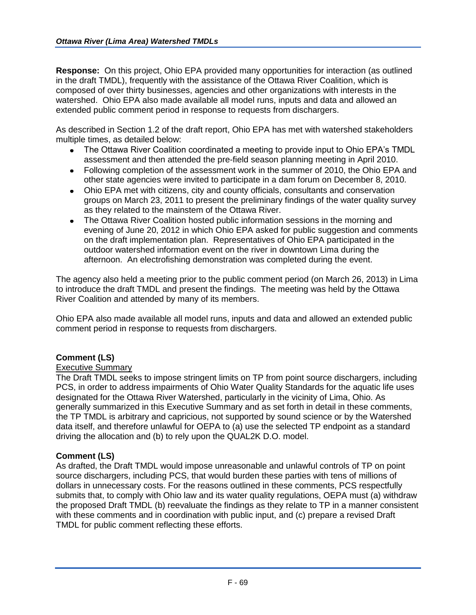**Response:** On this project, Ohio EPA provided many opportunities for interaction (as outlined in the draft TMDL), frequently with the assistance of the Ottawa River Coalition, which is composed of over thirty businesses, agencies and other organizations with interests in the watershed. Ohio EPA also made available all model runs, inputs and data and allowed an extended public comment period in response to requests from dischargers.

As described in Section 1.2 of the draft report, Ohio EPA has met with watershed stakeholders multiple times, as detailed below:

- The Ottawa River Coalition coordinated a meeting to provide input to Ohio EPA's TMDL assessment and then attended the pre-field season planning meeting in April 2010.
- Following completion of the assessment work in the summer of 2010, the Ohio EPA and other state agencies were invited to participate in a dam forum on December 8, 2010.
- Ohio EPA met with citizens, city and county officials, consultants and conservation groups on March 23, 2011 to present the preliminary findings of the water quality survey as they related to the mainstem of the Ottawa River.
- The Ottawa River Coalition hosted public information sessions in the morning and evening of June 20, 2012 in which Ohio EPA asked for public suggestion and comments on the draft implementation plan. Representatives of Ohio EPA participated in the outdoor watershed information event on the river in downtown Lima during the afternoon. An electrofishing demonstration was completed during the event.

The agency also held a meeting prior to the public comment period (on March 26, 2013) in Lima to introduce the draft TMDL and present the findings. The meeting was held by the Ottawa River Coalition and attended by many of its members.

Ohio EPA also made available all model runs, inputs and data and allowed an extended public comment period in response to requests from dischargers.

## **Comment (LS)**

#### Executive Summary

The Draft TMDL seeks to impose stringent limits on TP from point source dischargers, including PCS, in order to address impairments of Ohio Water Quality Standards for the aquatic life uses designated for the Ottawa River Watershed, particularly in the vicinity of Lima, Ohio. As generally summarized in this Executive Summary and as set forth in detail in these comments, the TP TMDL is arbitrary and capricious, not supported by sound science or by the Watershed data itself, and therefore unlawful for OEPA to (a) use the selected TP endpoint as a standard driving the allocation and (b) to rely upon the QUAL2K D.O. model.

#### **Comment (LS)**

As drafted, the Draft TMDL would impose unreasonable and unlawful controls of TP on point source dischargers, including PCS, that would burden these parties with tens of millions of dollars in unnecessary costs. For the reasons outlined in these comments, PCS respectfully submits that, to comply with Ohio law and its water quality regulations, OEPA must (a) withdraw the proposed Draft TMDL (b) reevaluate the findings as they relate to TP in a manner consistent with these comments and in coordination with public input, and (c) prepare a revised Draft TMDL for public comment reflecting these efforts.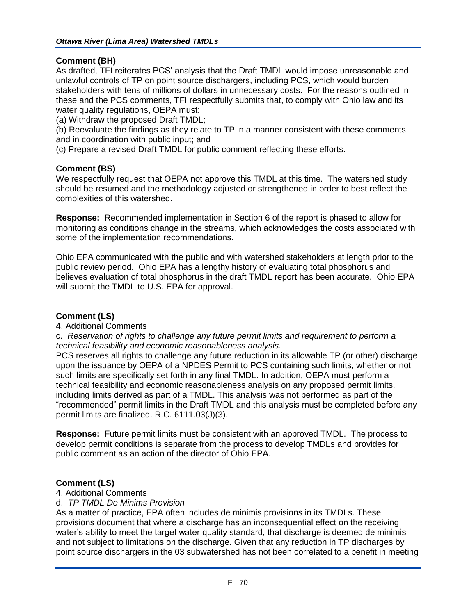## **Comment (BH)**

As drafted, TFI reiterates PCS' analysis that the Draft TMDL would impose unreasonable and unlawful controls of TP on point source dischargers, including PCS, which would burden stakeholders with tens of millions of dollars in unnecessary costs. For the reasons outlined in these and the PCS comments, TFI respectfully submits that, to comply with Ohio law and its water quality regulations, OEPA must:

(a) Withdraw the proposed Draft TMDL;

(b) Reevaluate the findings as they relate to TP in a manner consistent with these comments and in coordination with public input; and

(c) Prepare a revised Draft TMDL for public comment reflecting these efforts.

# **Comment (BS)**

We respectfully request that OEPA not approve this TMDL at this time. The watershed study should be resumed and the methodology adjusted or strengthened in order to best reflect the complexities of this watershed.

**Response:** Recommended implementation in Section 6 of the report is phased to allow for monitoring as conditions change in the streams, which acknowledges the costs associated with some of the implementation recommendations.

Ohio EPA communicated with the public and with watershed stakeholders at length prior to the public review period. Ohio EPA has a lengthy history of evaluating total phosphorus and believes evaluation of total phosphorus in the draft TMDL report has been accurate. Ohio EPA will submit the TMDL to U.S. EPA for approval.

## **Comment (LS)**

4. Additional Comments

c. *Reservation of rights to challenge any future permit limits and requirement to perform a technical feasibility and economic reasonableness analysis.*

PCS reserves all rights to challenge any future reduction in its allowable TP (or other) discharge upon the issuance by OEPA of a NPDES Permit to PCS containing such limits, whether or not such limits are specifically set forth in any final TMDL. In addition, OEPA must perform a technical feasibility and economic reasonableness analysis on any proposed permit limits, including limits derived as part of a TMDL. This analysis was not performed as part of the "recommended" permit limits in the Draft TMDL and this analysis must be completed before any permit limits are finalized. R.C. 6111.03(J)(3).

**Response:** Future permit limits must be consistent with an approved TMDL. The process to develop permit conditions is separate from the process to develop TMDLs and provides for public comment as an action of the director of Ohio EPA.

## **Comment (LS)**

4. Additional Comments

## d. *TP TMDL De Minims Provision*

As a matter of practice, EPA often includes de minimis provisions in its TMDLs. These provisions document that where a discharge has an inconsequential effect on the receiving water's ability to meet the target water quality standard, that discharge is deemed de minimis and not subject to limitations on the discharge. Given that any reduction in TP discharges by point source dischargers in the 03 subwatershed has not been correlated to a benefit in meeting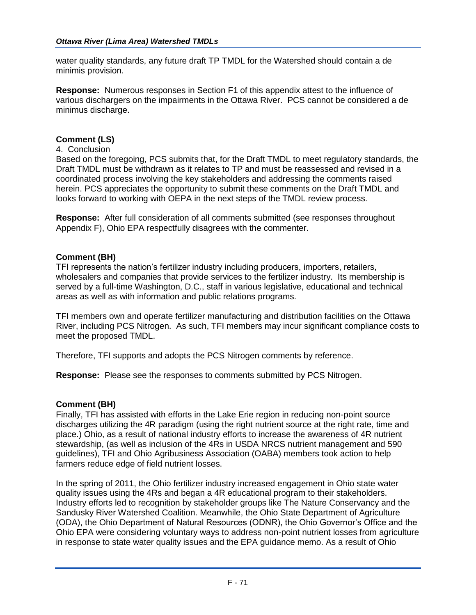water quality standards, any future draft TP TMDL for the Watershed should contain a de minimis provision.

**Response:** Numerous responses in Section F1 of this appendix attest to the influence of various dischargers on the impairments in the Ottawa River. PCS cannot be considered a de minimus discharge.

#### **Comment (LS)**

#### 4. Conclusion

Based on the foregoing, PCS submits that, for the Draft TMDL to meet regulatory standards, the Draft TMDL must be withdrawn as it relates to TP and must be reassessed and revised in a coordinated process involving the key stakeholders and addressing the comments raised herein. PCS appreciates the opportunity to submit these comments on the Draft TMDL and looks forward to working with OEPA in the next steps of the TMDL review process.

**Response:** After full consideration of all comments submitted (see responses throughout Appendix F), Ohio EPA respectfully disagrees with the commenter.

#### **Comment (BH)**

TFI represents the nation's fertilizer industry including producers, importers, retailers, wholesalers and companies that provide services to the fertilizer industry. Its membership is served by a full-time Washington, D.C., staff in various legislative, educational and technical areas as well as with information and public relations programs.

TFI members own and operate fertilizer manufacturing and distribution facilities on the Ottawa River, including PCS Nitrogen. As such, TFI members may incur significant compliance costs to meet the proposed TMDL.

Therefore, TFI supports and adopts the PCS Nitrogen comments by reference.

**Response:** Please see the responses to comments submitted by PCS Nitrogen.

#### **Comment (BH)**

Finally, TFI has assisted with efforts in the Lake Erie region in reducing non-point source discharges utilizing the 4R paradigm (using the right nutrient source at the right rate, time and place.) Ohio, as a result of national industry efforts to increase the awareness of 4R nutrient stewardship, (as well as inclusion of the 4Rs in USDA NRCS nutrient management and 590 guidelines), TFI and Ohio Agribusiness Association (OABA) members took action to help farmers reduce edge of field nutrient losses.

In the spring of 2011, the Ohio fertilizer industry increased engagement in Ohio state water quality issues using the 4Rs and began a 4R educational program to their stakeholders. Industry efforts led to recognition by stakeholder groups like The Nature Conservancy and the Sandusky River Watershed Coalition. Meanwhile, the Ohio State Department of Agriculture (ODA), the Ohio Department of Natural Resources (ODNR), the Ohio Governor's Office and the Ohio EPA were considering voluntary ways to address non-point nutrient losses from agriculture in response to state water quality issues and the EPA guidance memo. As a result of Ohio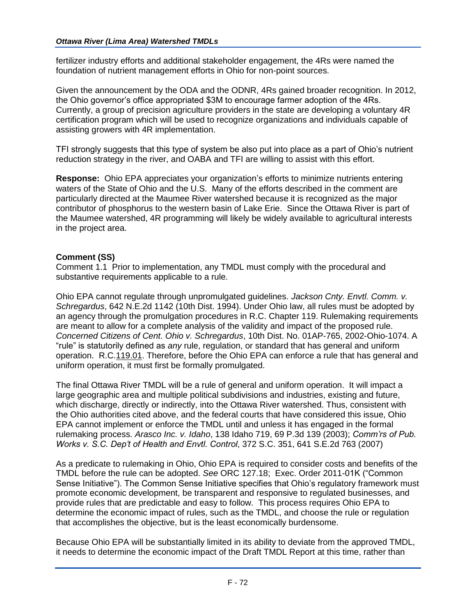fertilizer industry efforts and additional stakeholder engagement, the 4Rs were named the foundation of nutrient management efforts in Ohio for non-point sources.

Given the announcement by the ODA and the ODNR, 4Rs gained broader recognition. In 2012, the Ohio governor's office appropriated \$3M to encourage farmer adoption of the 4Rs. Currently, a group of precision agriculture providers in the state are developing a voluntary 4R certification program which will be used to recognize organizations and individuals capable of assisting growers with 4R implementation.

TFI strongly suggests that this type of system be also put into place as a part of Ohio's nutrient reduction strategy in the river, and OABA and TFI are willing to assist with this effort.

**Response:** Ohio EPA appreciates your organization's efforts to minimize nutrients entering waters of the State of Ohio and the U.S. Many of the efforts described in the comment are particularly directed at the Maumee River watershed because it is recognized as the major contributor of phosphorus to the western basin of Lake Erie. Since the Ottawa River is part of the Maumee watershed, 4R programming will likely be widely available to agricultural interests in the project area.

# **Comment (SS)**

Comment 1.1 Prior to implementation, any TMDL must comply with the procedural and substantive requirements applicable to a rule.

Ohio EPA cannot regulate through unpromulgated guidelines. *Jackson Cnty. Envtl. Comm. v. Schregardus*, 642 N.E.2d 1142 (10th Dist. 1994). Under Ohio law, all rules must be adopted by an agency through the promulgation procedures in R.C. Chapter 119. Rulemaking requirements are meant to allow for a complete analysis of the validity and impact of the proposed rule. *Concerned Citizens of Cent. Ohio v. Schregardus*, 10th Dist. No. 01AP-765, 2002-Ohio-1074. A "rule" is statutorily defined as *any* rule, regulation, or standard that has general and uniform operation. R.C.119.01. Therefore, before the Ohio EPA can enforce a rule that has general and uniform operation, it must first be formally promulgated.

The final Ottawa River TMDL will be a rule of general and uniform operation. It will impact a large geographic area and multiple political subdivisions and industries, existing and future, which discharge, directly or indirectly, into the Ottawa River watershed. Thus, consistent with the Ohio authorities cited above, and the federal courts that have considered this issue, Ohio EPA cannot implement or enforce the TMDL until and unless it has engaged in the formal rulemaking process. *Arasco Inc. v. Idaho*, 138 Idaho 719, 69 P.3d 139 (2003); *Comm'rs of Pub. Works v. S.C. Dep't of Health and Envtl. Control*, 372 S.C. 351, 641 S.E.2d 763 (2007)

As a predicate to rulemaking in Ohio, Ohio EPA is required to consider costs and benefits of the TMDL before the rule can be adopted. *See* ORC 127.18; Exec. Order 2011-01K ("Common Sense Initiative"). The Common Sense Initiative specifies that Ohio's regulatory framework must promote economic development, be transparent and responsive to regulated businesses, and provide rules that are predictable and easy to follow. This process requires Ohio EPA to determine the economic impact of rules, such as the TMDL, and choose the rule or regulation that accomplishes the objective, but is the least economically burdensome.

Because Ohio EPA will be substantially limited in its ability to deviate from the approved TMDL, it needs to determine the economic impact of the Draft TMDL Report at this time, rather than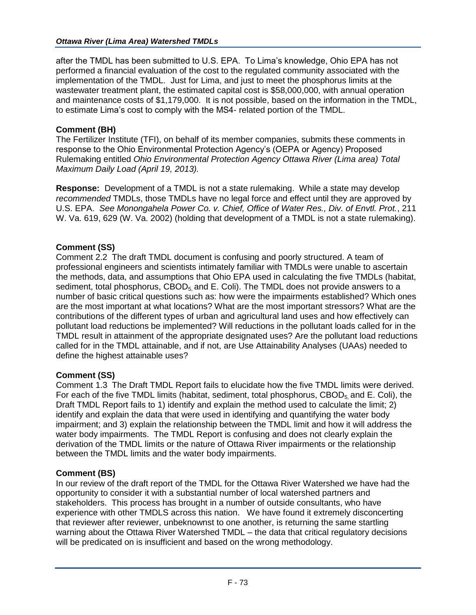after the TMDL has been submitted to U.S. EPA. To Lima's knowledge, Ohio EPA has not performed a financial evaluation of the cost to the regulated community associated with the implementation of the TMDL. Just for Lima, and just to meet the phosphorus limits at the wastewater treatment plant, the estimated capital cost is \$58,000,000, with annual operation and maintenance costs of \$1,179,000. It is not possible, based on the information in the TMDL, to estimate Lima's cost to comply with the MS4- related portion of the TMDL.

# **Comment (BH)**

The Fertilizer Institute (TFI), on behalf of its member companies, submits these comments in response to the Ohio Environmental Protection Agency's (OEPA or Agency) Proposed Rulemaking entitled *Ohio Environmental Protection Agency Ottawa River (Lima area) Total Maximum Daily Load (April 19, 2013).*

**Response:** Development of a TMDL is not a state rulemaking. While a state may develop *recommended* TMDLs, those TMDLs have no legal force and effect until they are approved by U.S. EPA. *See Monongahela Power Co. v. Chief, Office of Water Res., Div. of Envtl. Prot.*, 211 W. Va. 619, 629 (W. Va. 2002) (holding that development of a TMDL is not a state rulemaking).

# **Comment (SS)**

Comment 2.2 The draft TMDL document is confusing and poorly structured. A team of professional engineers and scientists intimately familiar with TMDLs were unable to ascertain the methods, data, and assumptions that Ohio EPA used in calculating the five TMDLs (habitat, sediment, total phosphorus,  $CBOD<sub>5</sub>$  and E. Coli). The TMDL does not provide answers to a number of basic critical questions such as: how were the impairments established? Which ones are the most important at what locations? What are the most important stressors? What are the contributions of the different types of urban and agricultural land uses and how effectively can pollutant load reductions be implemented? Will reductions in the pollutant loads called for in the TMDL result in attainment of the appropriate designated uses? Are the pollutant load reductions called for in the TMDL attainable, and if not, are Use Attainability Analyses (UAAs) needed to define the highest attainable uses?

## **Comment (SS)**

Comment 1.3 The Draft TMDL Report fails to elucidate how the five TMDL limits were derived. For each of the five TMDL limits (habitat, sediment, total phosphorus, CBOD $<sub>5</sub>$  and E. Coli), the</sub> Draft TMDL Report fails to 1) identify and explain the method used to calculate the limit; 2) identify and explain the data that were used in identifying and quantifying the water body impairment; and 3) explain the relationship between the TMDL limit and how it will address the water body impairments. The TMDL Report is confusing and does not clearly explain the derivation of the TMDL limits or the nature of Ottawa River impairments or the relationship between the TMDL limits and the water body impairments.

## **Comment (BS)**

In our review of the draft report of the TMDL for the Ottawa River Watershed we have had the opportunity to consider it with a substantial number of local watershed partners and stakeholders. This process has brought in a number of outside consultants, who have experience with other TMDLS across this nation. We have found it extremely disconcerting that reviewer after reviewer, unbeknownst to one another, is returning the same startling warning about the Ottawa River Watershed TMDL – the data that critical regulatory decisions will be predicated on is insufficient and based on the wrong methodology.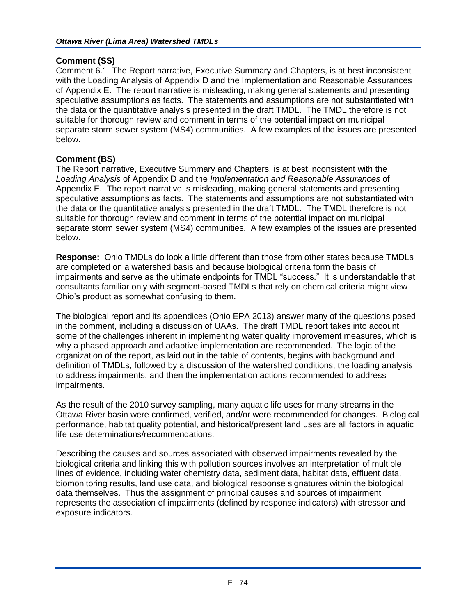# **Comment (SS)**

Comment 6.1 The Report narrative, Executive Summary and Chapters, is at best inconsistent with the Loading Analysis of Appendix D and the Implementation and Reasonable Assurances of Appendix E. The report narrative is misleading, making general statements and presenting speculative assumptions as facts. The statements and assumptions are not substantiated with the data or the quantitative analysis presented in the draft TMDL. The TMDL therefore is not suitable for thorough review and comment in terms of the potential impact on municipal separate storm sewer system (MS4) communities. A few examples of the issues are presented below.

# **Comment (BS)**

The Report narrative, Executive Summary and Chapters, is at best inconsistent with the *Loading Analysis* of Appendix D and the *Implementation and Reasonable Assurances* of Appendix E. The report narrative is misleading, making general statements and presenting speculative assumptions as facts. The statements and assumptions are not substantiated with the data or the quantitative analysis presented in the draft TMDL. The TMDL therefore is not suitable for thorough review and comment in terms of the potential impact on municipal separate storm sewer system (MS4) communities. A few examples of the issues are presented below.

**Response:** Ohio TMDLs do look a little different than those from other states because TMDLs are completed on a watershed basis and because biological criteria form the basis of impairments and serve as the ultimate endpoints for TMDL "success." It is understandable that consultants familiar only with segment-based TMDLs that rely on chemical criteria might view Ohio's product as somewhat confusing to them.

The biological report and its appendices (Ohio EPA 2013) answer many of the questions posed in the comment, including a discussion of UAAs. The draft TMDL report takes into account some of the challenges inherent in implementing water quality improvement measures, which is why a phased approach and adaptive implementation are recommended. The logic of the organization of the report, as laid out in the table of contents, begins with background and definition of TMDLs, followed by a discussion of the watershed conditions, the loading analysis to address impairments, and then the implementation actions recommended to address impairments.

As the result of the 2010 survey sampling, many aquatic life uses for many streams in the Ottawa River basin were confirmed, verified, and/or were recommended for changes. Biological performance, habitat quality potential, and historical/present land uses are all factors in aquatic life use determinations/recommendations.

Describing the causes and sources associated with observed impairments revealed by the biological criteria and linking this with pollution sources involves an interpretation of multiple lines of evidence, including water chemistry data, sediment data, habitat data, effluent data, biomonitoring results, land use data, and biological response signatures within the biological data themselves. Thus the assignment of principal causes and sources of impairment represents the association of impairments (defined by response indicators) with stressor and exposure indicators.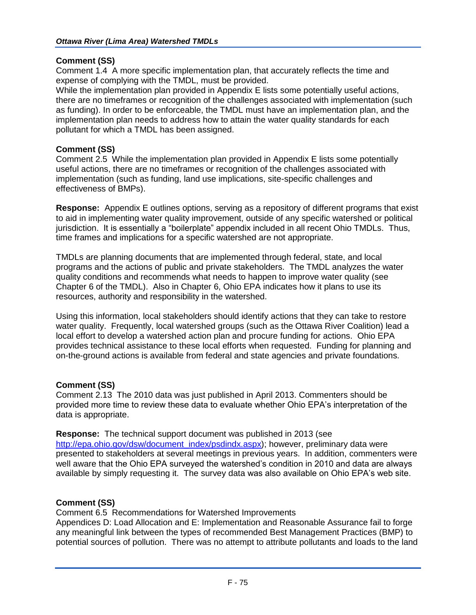# **Comment (SS)**

Comment 1.4 A more specific implementation plan, that accurately reflects the time and expense of complying with the TMDL, must be provided.

While the implementation plan provided in Appendix E lists some potentially useful actions, there are no timeframes or recognition of the challenges associated with implementation (such as funding). In order to be enforceable, the TMDL must have an implementation plan, and the implementation plan needs to address how to attain the water quality standards for each pollutant for which a TMDL has been assigned.

## **Comment (SS)**

Comment 2.5 While the implementation plan provided in Appendix E lists some potentially useful actions, there are no timeframes or recognition of the challenges associated with implementation (such as funding, land use implications, site-specific challenges and effectiveness of BMPs).

**Response:** Appendix E outlines options, serving as a repository of different programs that exist to aid in implementing water quality improvement, outside of any specific watershed or political jurisdiction. It is essentially a "boilerplate" appendix included in all recent Ohio TMDLs. Thus, time frames and implications for a specific watershed are not appropriate.

TMDLs are planning documents that are implemented through federal, state, and local programs and the actions of public and private stakeholders. The TMDL analyzes the water quality conditions and recommends what needs to happen to improve water quality (see Chapter 6 of the TMDL). Also in Chapter 6, Ohio EPA indicates how it plans to use its resources, authority and responsibility in the watershed.

Using this information, local stakeholders should identify actions that they can take to restore water quality. Frequently, local watershed groups (such as the Ottawa River Coalition) lead a local effort to develop a watershed action plan and procure funding for actions. Ohio EPA provides technical assistance to these local efforts when requested. Funding for planning and on-the-ground actions is available from federal and state agencies and private foundations.

# **Comment (SS)**

Comment 2.13 The 2010 data was just published in April 2013. Commenters should be provided more time to review these data to evaluate whether Ohio EPA's interpretation of the data is appropriate.

**Response:** The technical support document was published in 2013 (see [http://epa.ohio.gov/dsw/document\\_index/psdindx.aspx\)](http://epa.ohio.gov/dsw/document_index/psdindx.aspx); however, preliminary data were presented to stakeholders at several meetings in previous years. In addition, commenters were well aware that the Ohio EPA surveyed the watershed's condition in 2010 and data are always available by simply requesting it. The survey data was also available on Ohio EPA's web site.

# **Comment (SS)**

Comment 6.5 Recommendations for Watershed Improvements

Appendices D: Load Allocation and E: Implementation and Reasonable Assurance fail to forge any meaningful link between the types of recommended Best Management Practices (BMP) to potential sources of pollution. There was no attempt to attribute pollutants and loads to the land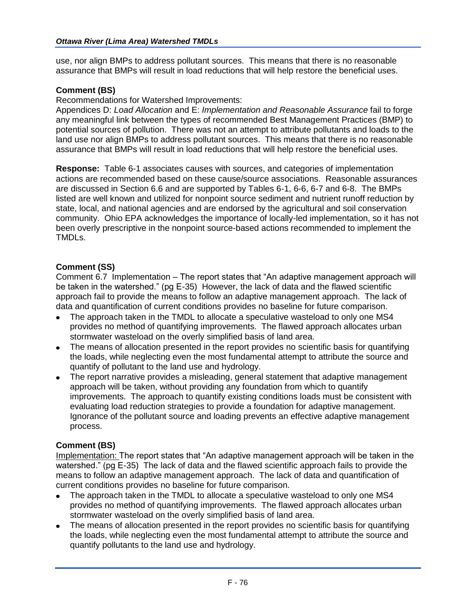use, nor align BMPs to address pollutant sources. This means that there is no reasonable assurance that BMPs will result in load reductions that will help restore the beneficial uses.

# **Comment (BS)**

Recommendations for Watershed Improvements:

Appendices D: *Load Allocation* and E: *Implementation and Reasonable Assurance* fail to forge any meaningful link between the types of recommended Best Management Practices (BMP) to potential sources of pollution. There was not an attempt to attribute pollutants and loads to the land use nor align BMPs to address pollutant sources. This means that there is no reasonable assurance that BMPs will result in load reductions that will help restore the beneficial uses.

**Response:** Table 6-1 associates causes with sources, and categories of implementation actions are recommended based on these cause/source associations. Reasonable assurances are discussed in Section 6.6 and are supported by Tables 6-1, 6-6, 6-7 and 6-8. The BMPs listed are well known and utilized for nonpoint source sediment and nutrient runoff reduction by state, local, and national agencies and are endorsed by the agricultural and soil conservation community. Ohio EPA acknowledges the importance of locally-led implementation, so it has not been overly prescriptive in the nonpoint source-based actions recommended to implement the TMDLs.

# **Comment (SS)**

Comment 6.7 Implementation – The report states that "An adaptive management approach will be taken in the watershed." (pg E-35) However, the lack of data and the flawed scientific approach fail to provide the means to follow an adaptive management approach. The lack of data and quantification of current conditions provides no baseline for future comparison.

- The approach taken in the TMDL to allocate a speculative wasteload to only one MS4 provides no method of quantifying improvements. The flawed approach allocates urban stormwater wasteload on the overly simplified basis of land area.
- The means of allocation presented in the report provides no scientific basis for quantifying the loads, while neglecting even the most fundamental attempt to attribute the source and quantify of pollutant to the land use and hydrology.
- The report narrative provides a misleading, general statement that adaptive management approach will be taken, without providing any foundation from which to quantify improvements. The approach to quantify existing conditions loads must be consistent with evaluating load reduction strategies to provide a foundation for adaptive management. Ignorance of the pollutant source and loading prevents an effective adaptive management process.

## **Comment (BS)**

Implementation: The report states that "An adaptive management approach will be taken in the watershed." (pg E-35) The lack of data and the flawed scientific approach fails to provide the means to follow an adaptive management approach. The lack of data and quantification of current conditions provides no baseline for future comparison.

- The approach taken in the TMDL to allocate a speculative wasteload to only one MS4  $\bullet$ provides no method of quantifying improvements. The flawed approach allocates urban stormwater wasteload on the overly simplified basis of land area.
- The means of allocation presented in the report provides no scientific basis for quantifying the loads, while neglecting even the most fundamental attempt to attribute the source and quantify pollutants to the land use and hydrology.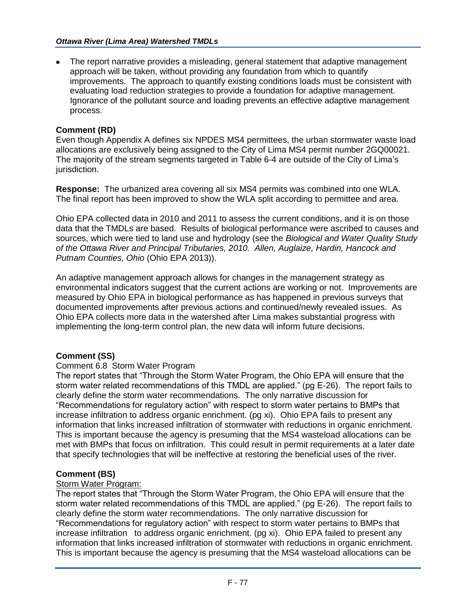The report narrative provides a misleading, general statement that adaptive management approach will be taken, without providing any foundation from which to quantify improvements. The approach to quantify existing conditions loads must be consistent with evaluating load reduction strategies to provide a foundation for adaptive management. Ignorance of the pollutant source and loading prevents an effective adaptive management process.

#### **Comment (RD)**

Even though Appendix A defines six NPDES MS4 permittees, the urban stormwater waste load allocations are exclusively being assigned to the City of Lima MS4 permit number 2GQ00021. The majority of the stream segments targeted in Table 6-4 are outside of the City of Lima's jurisdiction.

**Response:** The urbanized area covering all six MS4 permits was combined into one WLA. The final report has been improved to show the WLA split according to permittee and area.

Ohio EPA collected data in 2010 and 2011 to assess the current conditions, and it is on those data that the TMDLs are based. Results of biological performance were ascribed to causes and sources, which were tied to land use and hydrology (see the *Biological and Water Quality Study of the Ottawa River and Principal Tributaries, 2010. Allen, Auglaize, Hardin, Hancock and Putnam Counties, Ohio* (Ohio EPA 2013)).

An adaptive management approach allows for changes in the management strategy as environmental indicators suggest that the current actions are working or not. Improvements are measured by Ohio EPA in biological performance as has happened in previous surveys that documented improvements after previous actions and continued/newly revealed issues. As Ohio EPA collects more data in the watershed after Lima makes substantial progress with implementing the long-term control plan, the new data will inform future decisions.

## **Comment (SS)**

#### Comment 6.8 Storm Water Program

The report states that "Through the Storm Water Program, the Ohio EPA will ensure that the storm water related recommendations of this TMDL are applied." (pg E-26). The report fails to clearly define the storm water recommendations. The only narrative discussion for "Recommendations for regulatory action" with respect to storm water pertains to BMPs that increase infiltration to address organic enrichment. (pg xi). Ohio EPA fails to present any information that links increased infiltration of stormwater with reductions in organic enrichment. This is important because the agency is presuming that the MS4 wasteload allocations can be met with BMPs that focus on infiltration. This could result in permit requirements at a later date that specify technologies that will be ineffective at restoring the beneficial uses of the river.

## **Comment (BS)**

#### Storm Water Program:

The report states that "Through the Storm Water Program, the Ohio EPA will ensure that the storm water related recommendations of this TMDL are applied." (pg E-26). The report fails to clearly define the storm water recommendations. The only narrative discussion for "Recommendations for regulatory action" with respect to storm water pertains to BMPs that increase infiltration to address organic enrichment. (pg xi). Ohio EPA failed to present any information that links increased infiltration of stormwater with reductions in organic enrichment. This is important because the agency is presuming that the MS4 wasteload allocations can be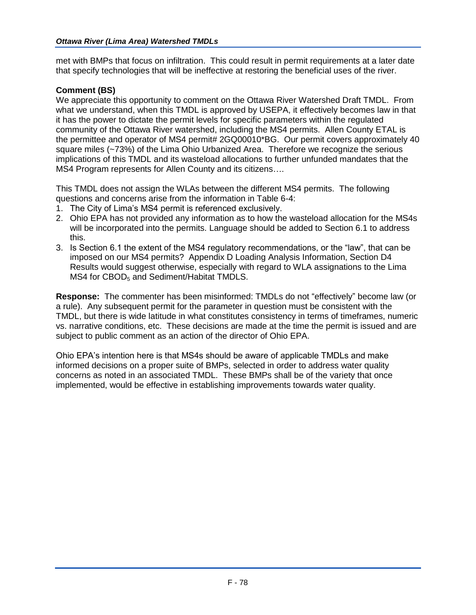met with BMPs that focus on infiltration. This could result in permit requirements at a later date that specify technologies that will be ineffective at restoring the beneficial uses of the river.

# **Comment (BS)**

We appreciate this opportunity to comment on the Ottawa River Watershed Draft TMDL. From what we understand, when this TMDL is approved by USEPA, it effectively becomes law in that it has the power to dictate the permit levels for specific parameters within the regulated community of the Ottawa River watershed, including the MS4 permits. Allen County ETAL is the permittee and operator of MS4 permit# 2GQ00010\*BG. Our permit covers approximately 40 square miles (~73%) of the Lima Ohio Urbanized Area. Therefore we recognize the serious implications of this TMDL and its wasteload allocations to further unfunded mandates that the MS4 Program represents for Allen County and its citizens….

This TMDL does not assign the WLAs between the different MS4 permits. The following questions and concerns arise from the information in Table 6-4:

- 1. The City of Lima's MS4 permit is referenced exclusively.
- 2. Ohio EPA has not provided any information as to how the wasteload allocation for the MS4s will be incorporated into the permits. Language should be added to Section 6.1 to address this.
- 3. Is Section 6.1 the extent of the MS4 regulatory recommendations, or the "law", that can be imposed on our MS4 permits? Appendix D Loading Analysis Information, Section D4 Results would suggest otherwise, especially with regard to WLA assignations to the Lima  $MS4$  for  $CBOD<sub>5</sub>$  and Sediment/Habitat TMDLS.

**Response:** The commenter has been misinformed: TMDLs do not "effectively" become law (or a rule). Any subsequent permit for the parameter in question must be consistent with the TMDL, but there is wide latitude in what constitutes consistency in terms of timeframes, numeric vs. narrative conditions, etc. These decisions are made at the time the permit is issued and are subject to public comment as an action of the director of Ohio EPA.

Ohio EPA's intention here is that MS4s should be aware of applicable TMDLs and make informed decisions on a proper suite of BMPs, selected in order to address water quality concerns as noted in an associated TMDL. These BMPs shall be of the variety that once implemented, would be effective in establishing improvements towards water quality.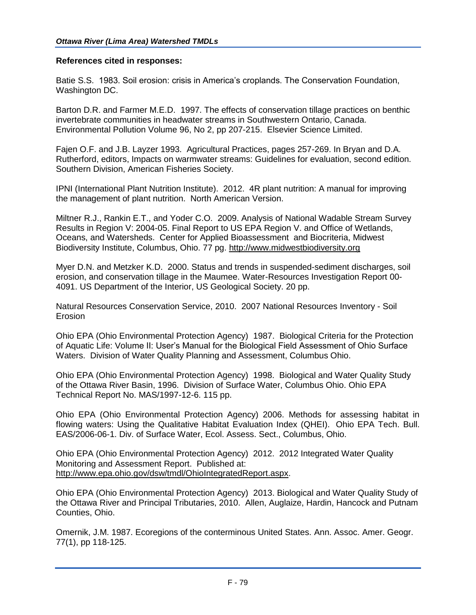#### **References cited in responses:**

Batie S.S. 1983. Soil erosion: crisis in America's croplands. The Conservation Foundation, Washington DC.

Barton D.R. and Farmer M.E.D. 1997. The effects of conservation tillage practices on benthic invertebrate communities in headwater streams in Southwestern Ontario, Canada. Environmental Pollution Volume 96, No 2, pp 207-215. Elsevier Science Limited.

Fajen O.F. and J.B. Layzer 1993. Agricultural Practices, pages 257-269. In Bryan and D.A. Rutherford, editors, Impacts on warmwater streams: Guidelines for evaluation, second edition. Southern Division, American Fisheries Society.

IPNI (International Plant Nutrition Institute). 2012. 4R plant nutrition: A manual for improving the management of plant nutrition. North American Version.

Miltner R.J., Rankin E.T., and Yoder C.O. 2009. Analysis of National Wadable Stream Survey Results in Region V: 2004-05. Final Report to US EPA Region V. and Office of Wetlands, Oceans, and Watersheds. Center for Applied Bioassessment and Biocriteria, Midwest Biodiversity Institute, Columbus, Ohio. 77 pg. [http://www.midwestbiodiversity.org](http://www.midwestbiodiversity.org/)

Myer D.N. and Metzker K.D. 2000. Status and trends in suspended-sediment discharges, soil erosion, and conservation tillage in the Maumee. Water-Resources Investigation Report 00- 4091. US Department of the Interior, US Geological Society. 20 pp.

Natural Resources Conservation Service, 2010. 2007 National Resources Inventory - Soil Erosion

Ohio EPA (Ohio Environmental Protection Agency) 1987. Biological Criteria for the Protection of Aquatic Life: Volume II: User's Manual for the Biological Field Assessment of Ohio Surface Waters. Division of Water Quality Planning and Assessment, Columbus Ohio.

Ohio EPA (Ohio Environmental Protection Agency) 1998. Biological and Water Quality Study of the Ottawa River Basin, 1996. Division of Surface Water, Columbus Ohio. Ohio EPA Technical Report No. MAS/1997-12-6. 115 pp.

Ohio EPA (Ohio Environmental Protection Agency) 2006. Methods for assessing habitat in flowing waters: Using the Qualitative Habitat Evaluation Index (QHEI). Ohio EPA Tech. Bull. EAS/2006-06-1. Div. of Surface Water, Ecol. Assess. Sect., Columbus, Ohio.

Ohio EPA (Ohio Environmental Protection Agency) 2012. 2012 Integrated Water Quality Monitoring and Assessment Report. Published at: [http://www.epa.ohio.gov/dsw/tmdl/OhioIntegratedReport.aspx.](http://www.epa.ohio.gov/dsw/tmdl/OhioIntegratedReport.aspx)

Ohio EPA (Ohio Environmental Protection Agency) 2013. Biological and Water Quality Study of the Ottawa River and Principal Tributaries, 2010. Allen, Auglaize, Hardin, Hancock and Putnam Counties, Ohio.

Omernik, J.M. 1987. Ecoregions of the conterminous United States. Ann. Assoc. Amer. Geogr. 77(1), pp 118-125.